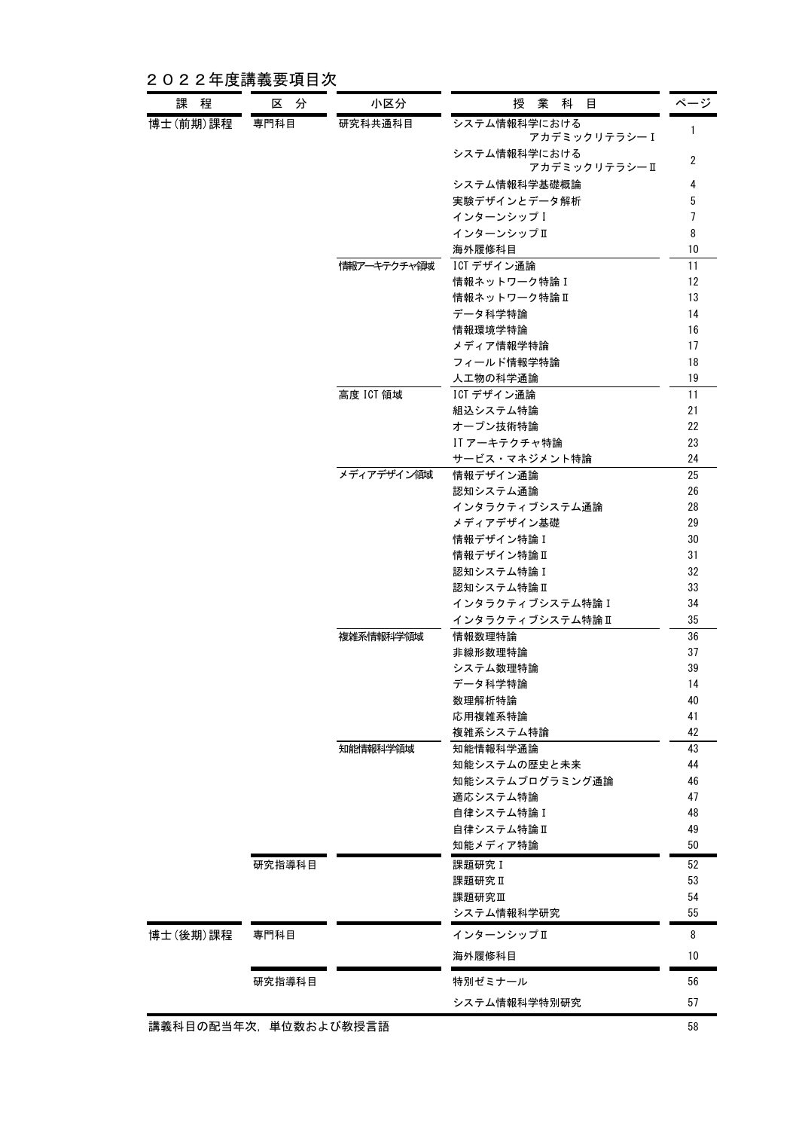2022年度講義要項目次

| 課程                   | 区分     | 小区分         | 授業科目                           | ページ            |
|----------------------|--------|-------------|--------------------------------|----------------|
| 博士(前期)課程             | 専門科目   | 研究科共通科目     | システム情報科学における<br>アカデミックリテラシーI   | $\mathbf{1}$   |
|                      |        |             | システム情報科学における<br>アカデミックリテラシー II | $\overline{2}$ |
|                      |        |             | システム情報科学基礎概論                   | 4              |
|                      |        |             | 実験デザインとデータ解析                   | 5              |
|                      |        |             | インターンシップ I                     | 7              |
|                      |        |             | インターンシップⅡ                      | 8              |
|                      |        |             | 海外履修科目                         | 10             |
|                      |        | 情報アーキテクチャ領域 | ICT デザイン通論                     | 11             |
|                      |        |             | 情報ネットワーク特論I                    | 12             |
|                      |        |             | 情報ネットワーク特論Ⅱ                    | 13             |
|                      |        |             | データ科学特論                        | 14             |
|                      |        |             | 情報環境学特論                        | 16             |
|                      |        |             | メディア情報学特論                      | 17             |
|                      |        |             | フィールド情報学特論                     | 18             |
|                      |        |             | 人工物の科学通論                       | 19             |
|                      |        | 高度 ICT 領域   | ICT デザイン通論                     | 11             |
|                      |        |             | 組込システム特論                       | 21             |
|                      |        |             | オープン技術特論                       | 22             |
|                      |        |             | IT アーキテクチャ特論                   | 23             |
|                      |        |             | サービス・マネジメント特論                  | 24             |
|                      |        | メディアデザイン領域  | 情報デザイン通論                       | 25             |
|                      |        |             | 認知システム通論                       | 26             |
|                      |        |             | インタラクティブシステム通論                 | 28             |
|                      |        |             | メディアデザイン基礎                     | 29<br>30       |
|                      |        |             | 情報デザイン特論I<br>情報デザイン特論Ⅱ         | 31             |
|                      |        |             | 認知システム特論I                      | 32             |
|                      |        |             | 認知システム特論Ⅱ                      | 33             |
|                      |        |             | インタラクティブシステム特論 I               | 34             |
|                      |        |             | インタラクティブシステム特論I                | 35             |
|                      |        | 複雑系情報科学領域   | 情報数理特論                         | 36             |
|                      |        |             | 非線形数理特論                        | 37             |
|                      |        |             | システム数理特論                       | 39             |
|                      |        |             | データ科学特論                        | 14             |
|                      |        |             | 数理解析特論                         | 40             |
|                      |        |             | 応用複雑系特論                        | 41             |
|                      |        |             | 複雑系システム特論                      | 42             |
|                      |        | 知能情報科学領域    | 知能情報科学通論                       | 43             |
|                      |        |             | 知能システムの歴史と未来                   | 44             |
|                      |        |             | 知能システムプログラミング通論                | 46             |
|                      |        |             | 適応システム特論                       | 47             |
|                      |        |             | 自律システム特論 I                     | 48             |
|                      |        |             | 自律システム特論Ⅱ                      | 49             |
|                      |        |             | 知能メディア特論                       | 50             |
|                      | 研究指導科目 |             | 課題研究 I                         | 52             |
|                      |        |             | 課題研究Ⅱ                          | 53             |
|                      |        |             | 課題研究皿                          | 54             |
|                      |        |             | システム情報科学研究                     | 55             |
| 博士(後期)課程             | 専門科目   |             | インターンシップⅡ                      | 8              |
|                      |        |             | 海外履修科目                         | 10             |
|                      | 研究指導科目 |             | 特別ゼミナール                        | 56             |
|                      |        |             | システム情報科学特別研究                   | 57             |
| 講義科目の配当年次,単位数および教授言語 |        |             |                                | 58             |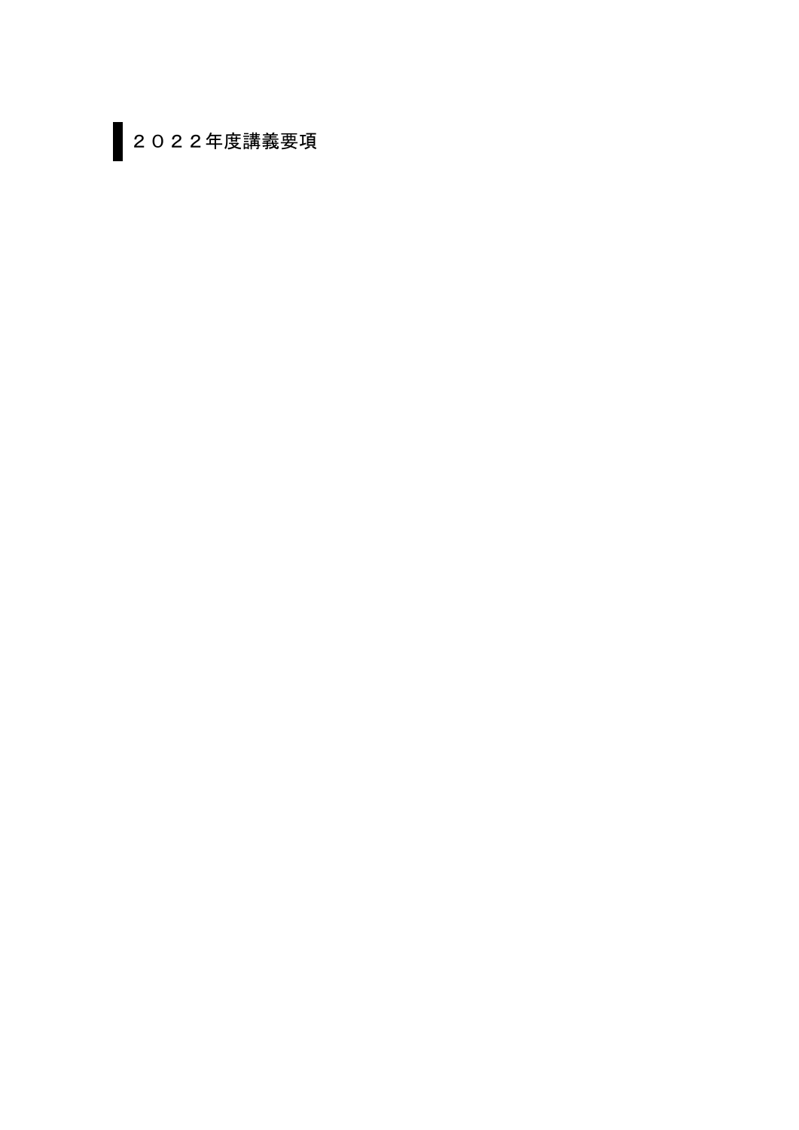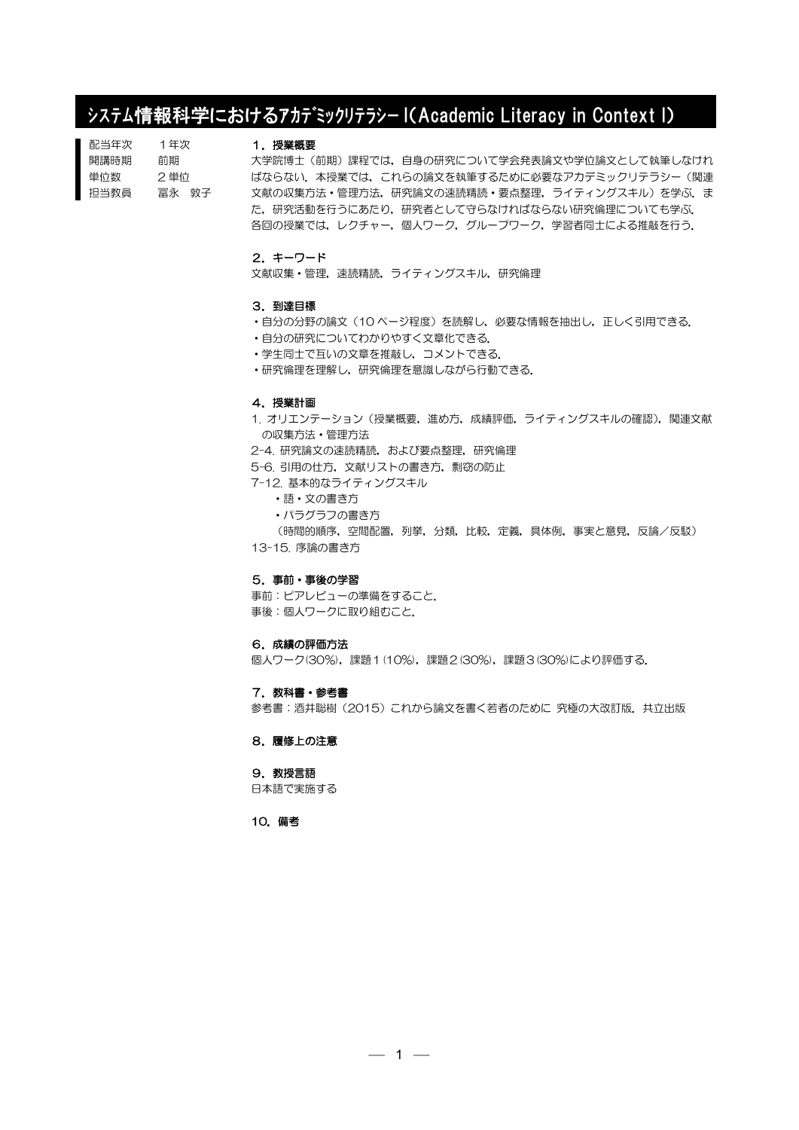# システム情報科学におけるアカデミックリテラシー I(Academic Literacy in Context I)

| 配当年次 | 1年次    |
|------|--------|
| 開講時期 | 前期     |
| 単位数  | 2 単位   |
| 担当教員 | 冨永  敦子 |

# 1.授業概要

大学院博士(前期)課程では,自身の研究について学会発表論文や学位論文として執筆しなけれ ばならない.本授業では,これらの論文を執筆するために必要なアカデミックリテラシー(関連 文献の収集方法·管理方法,研究論文の速読精読·要点整理,ライティングスキル)を学ぶ.ま た,研究活動を行うにあたり,研究者として守らなければならない研究倫理についても学ぶ. 各回の授業では、レクチャー,個人ワーク,グループワーク,学習者同士による推敲を行う.

# 2.キーワード

文献収集・管理,速読精読,ライティングスキル,研究倫理

#### 3.到達目標

- •自分の分野の論文 (10 ページ程度)を読解し,必要な情報を抽出し,正しく引用できる.
- ・自分の研究についてわかりやすく文章化できる.
- ・学生同士で互いの文章を推敲し,コメントできる.
- ・研究倫理を理解し,研究倫理を意識しながら行動できる.

#### 4.授業計画

1. オリエンテーション(授業概要,進め方,成績評価,ライティングスキルの確認),関連文献 の収集方法・管理方法

- 2-4. 研究論文の速読精読,および要点整理,研究倫理
- 5-6. 引用の仕方,文献リストの書き方,剽窃の防止
- 7-12. 基本的なライティングスキル
	- ・語・文の書き方
	- ・パラグラフの書き方

(時間的順序,空間配置,列挙,分類,比較,定義,具体例,事実と意見,反論/反駁)

13-15. 序論の書き方

### 5.事前・事後の学習

事前:ピアレビューの準備をすること. 事後:個人ワークに取り組むこと.

#### 6.成績の評価方法

個人ワーク(30%),課題1(10%),課題2(30%),課題3(30%)により評価する.

#### 7.教科書・参考書

参考書:酒井聡樹(2015)これから論文を書く若者のために 究極の大改訂版. 共立出版

8.履修上の注意

# 9.教授言語

日本語で実施する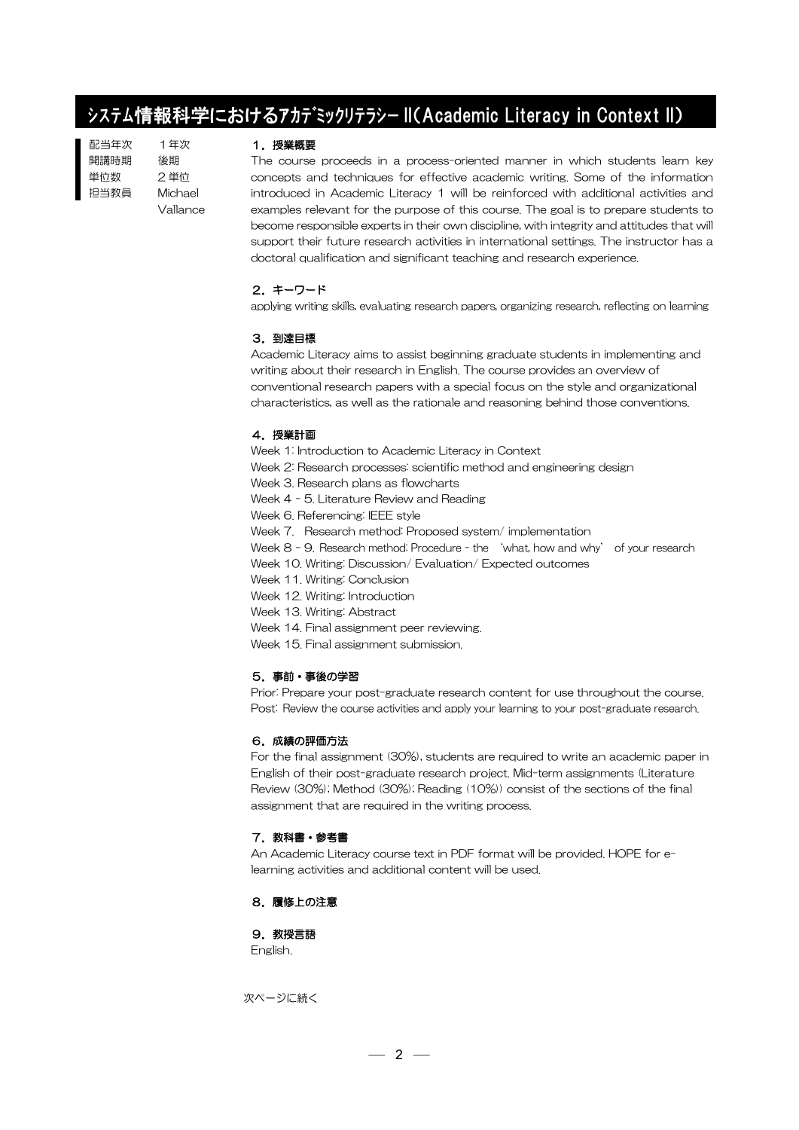# システム情報科学におけるアカデミックリテラシー II(Academic Literacy in Context II)

配当年次 開講時期 単位数 担当教員 1年次 後期 2 単位 Michael Vallance

### 1. 授業概要

The course proceeds in a process-oriented manner in which students learn key concepts and techniques for effective academic writing. Some of the information introduced in Academic Literacy 1 will be reinforced with additional activities and examples relevant for the purpose of this course. The goal is to prepare students to become responsible experts in their own discipline, with integrity and attitudes that will support their future research activities in international settings. The instructor has a doctoral qualification and significant teaching and research experience.

# 2.キーワード

applying writing skills, evaluating research papers, organizing research, reflecting on learning

# 3.到達目標

Academic Literacy aims to assist beginning graduate students in implementing and writing about their research in English. The course provides an overview of conventional research papers with a special focus on the style and organizational characteristics, as well as the rationale and reasoning behind those conventions.

# 4. 授業計画

Week 1: Introduction to Academic Literacy in Context

- Week 2: Research processes: scientific method and engineering design
	- Week 3. Research plans as flowcharts

Week 4 - 5. Literature Review and Reading

Week 6. Referencing: IEEE style

Week 7. Research method: Proposed system/ implementation

Week 8 - 9. Research method: Procedure - the 'what, how and why' of your research

Week 10. Writing: Discussion/ Evaluation/ Expected outcomes

Week 11. Writing: Conclusion

Week 12. Writing: Introduction

Week 13. Writing: Abstract

Week 14. Final assignment peer reviewing.

Week 15. Final assignment submission.

# 5.事前・事後の学習

Prior: Prepare your post-graduate research content for use throughout the course. Post: Review the course activities and apply your learning to your post-graduate research.

# 6.成績の評価方法

For the final assignment (30%), students are required to write an academic paper in English of their post-graduate research project. Mid-term assignments (Literature Review (30%); Method (30%); Reading (10%)) consist of the sections of the final assignment that are required in the writing process.

# 7. 教科書・参考書

An Academic Literacy course text in PDF format will be provided. HOPE for elearning activities and additional content will be used.

# 8.履修上の注意

9. 教授言語

English.

次ページに続く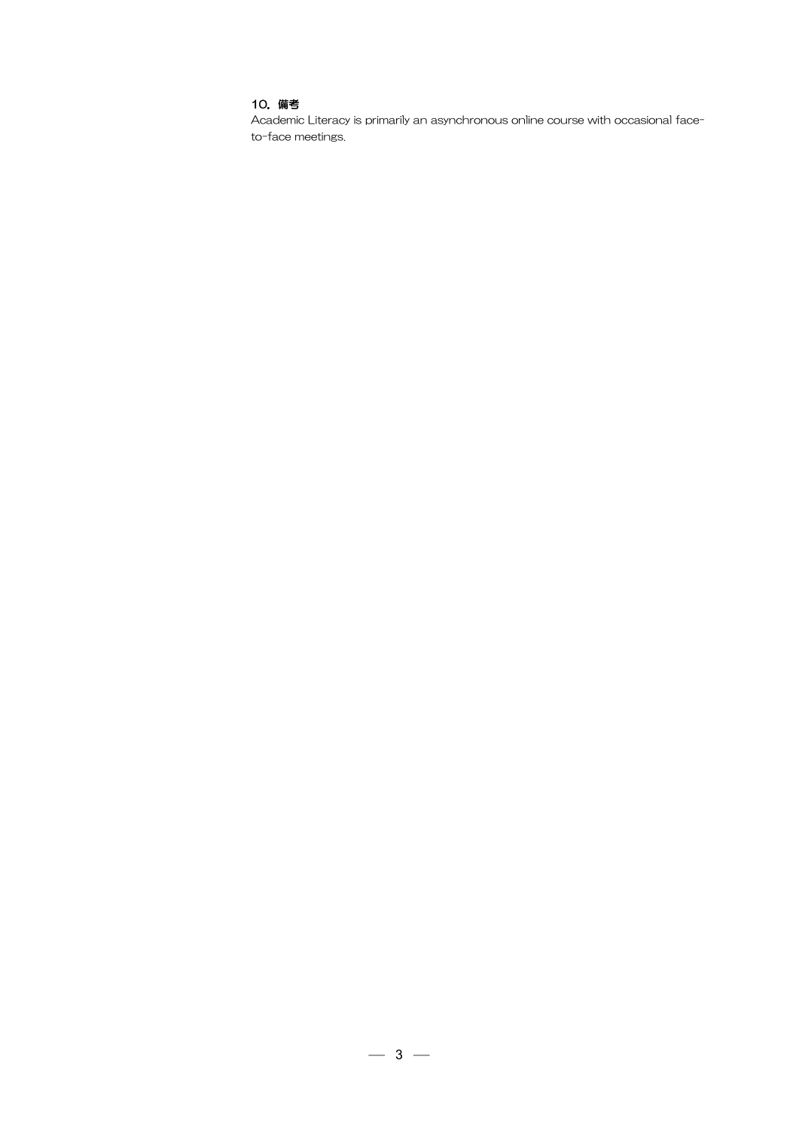# 10.備考

Academic Literacy is primarily an asynchronous online course with occasional faceto-face meetings.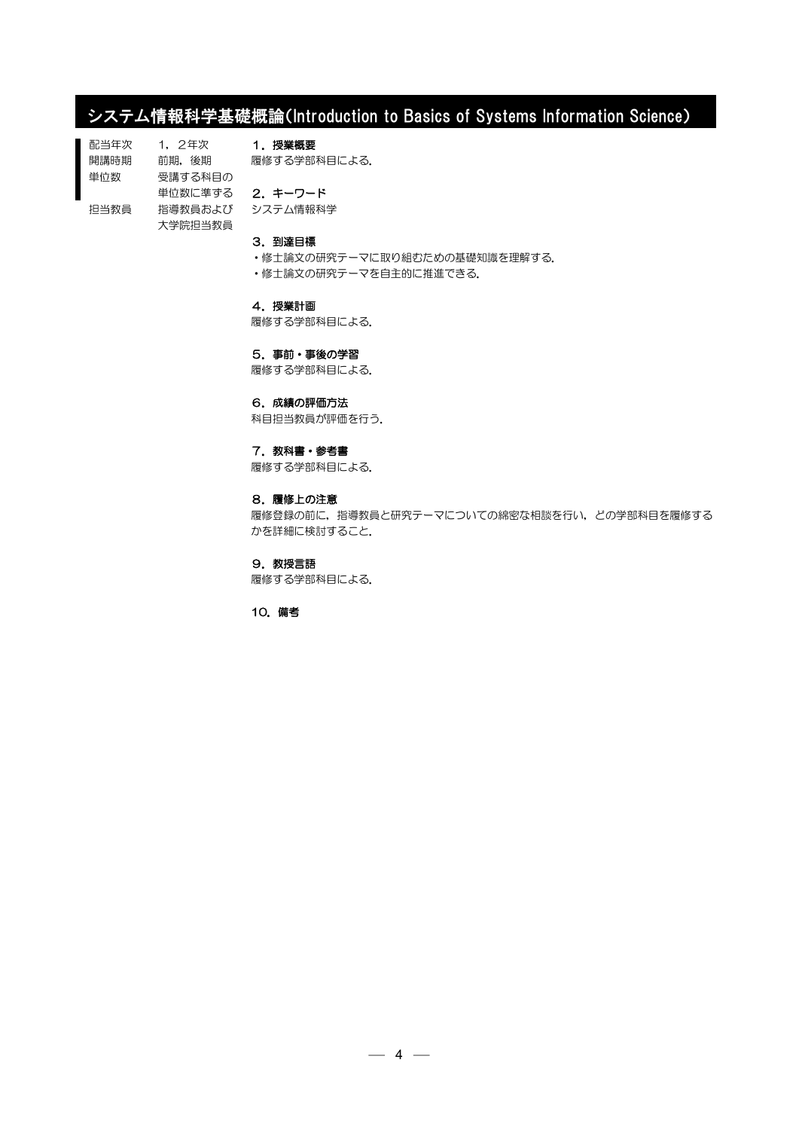# システム情報科学基礎概論(Introduction to Basics of Systems Information Science)

配当年次 開講時期 単位数 担当教員 1,2年次 前期,後期 受講する科目の 単位数に準ずる 2.キーワード 指導教員および 大学院担当教員 1.授業概要 履修する学部科目による. システム情報科学

# 3.到達目標

- ・修士論文の研究テーマに取り組むための基礎知識を理解する.
- ・修士論文の研究テーマを自主的に推進できる.

### 4.授業計画

履修する学部科目による.

#### 5.事前・事後の学習

履修する学部科目による.

# 6.成績の評価方法

科目担当教員が評価を行う.

### 7. 教科書・参考書

履修する学部科目による.

# 8.履修上の注意

履修登録の前に,指導教員と研究テーマについての綿密な相談を行い,どの学部科目を履修する かを詳細に検討すること.

#### 9.教授言語

履修する学部科目による.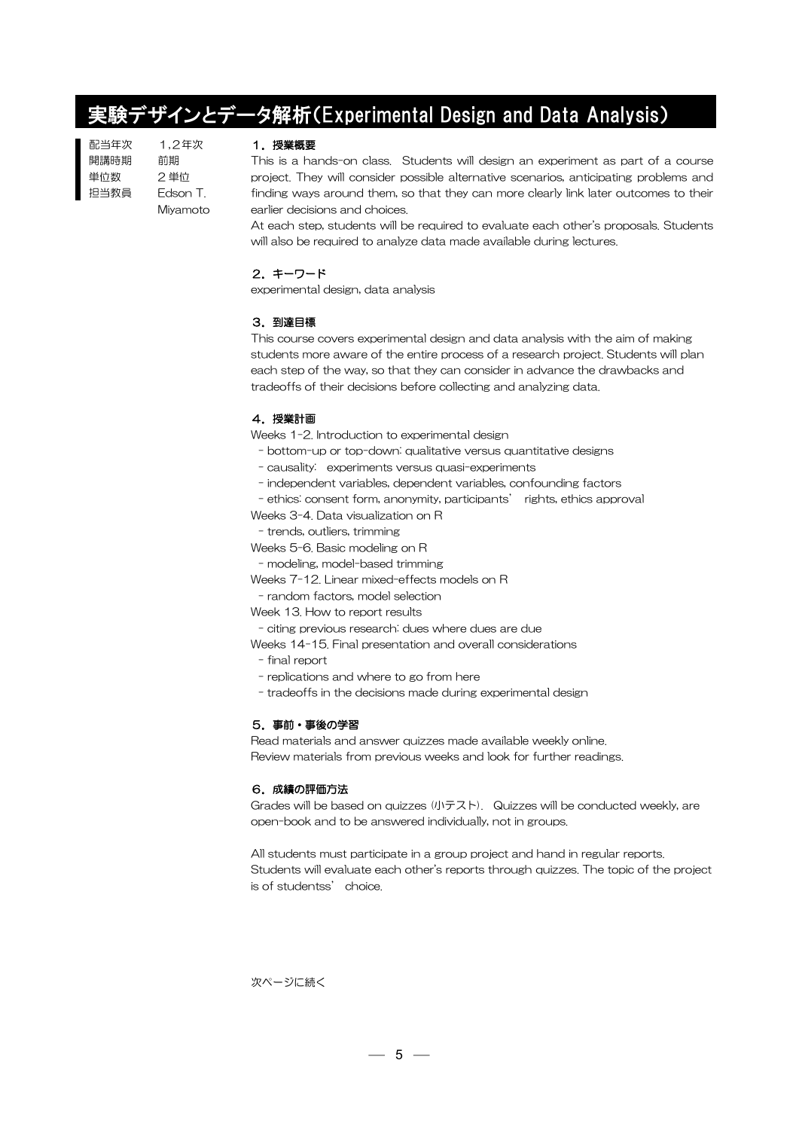# 実験デザインとデータ解析(Experimental Design and Data Analysis)

配当年次 開講時期 単位数 担当教員 1,2年次 前期 2 単位 Edson T. Miyamoto

# 1.授業概要

This is a hands-on class. Students will design an experiment as part of a course project. They will consider possible alternative scenarios, anticipating problems and finding ways around them, so that they can more clearly link later outcomes to their earlier decisions and choices.

At each step, students will be required to evaluate each other's proposals. Students will also be required to analyze data made available during lectures.

# 2.キーワード

experimental design, data analysis

# 3.到達目標

This course covers experimental design and data analysis with the aim of making students more aware of the entire process of a research project. Students will plan each step of the way, so that they can consider in advance the drawbacks and tradeoffs of their decisions before collecting and analyzing data.

# 4.授業計画

Weeks 1-2. Introduction to experimental design

- bottom-up or top-down: qualitative versus quantitative designs
- causality: experiments versus quasi-experiments
- independent variables, dependent variables, confounding factors

- ethics: consent form, anonymity, participants' rights, ethics approval

Weeks 3-4. Data visualization on R

- trends, outliers, trimming

Weeks 5-6. Basic modeling on R

- modeling, model-based trimming

Weeks 7-12. Linear mixed-effects models on R

- random factors, model selection

Week 13. How to report results

- citing previous research: dues where dues are due

Weeks 14-15. Final presentation and overall considerations

- final report
- replications and where to go from here
- tradeoffs in the decisions made during experimental design

## 5.事前・事後の学習

Read materials and answer quizzes made available weekly online. Review materials from previous weeks and look for further readings.

## 6.成績の評価方法

Grades will be based on quizzes (小テスト). Quizzes will be conducted weekly, are open-book and to be answered individually, not in groups.

All students must participate in a group project and hand in regular reports. Students will evaluate each other's reports through quizzes. The topic of the project is of studentss' choice.

次ページに続く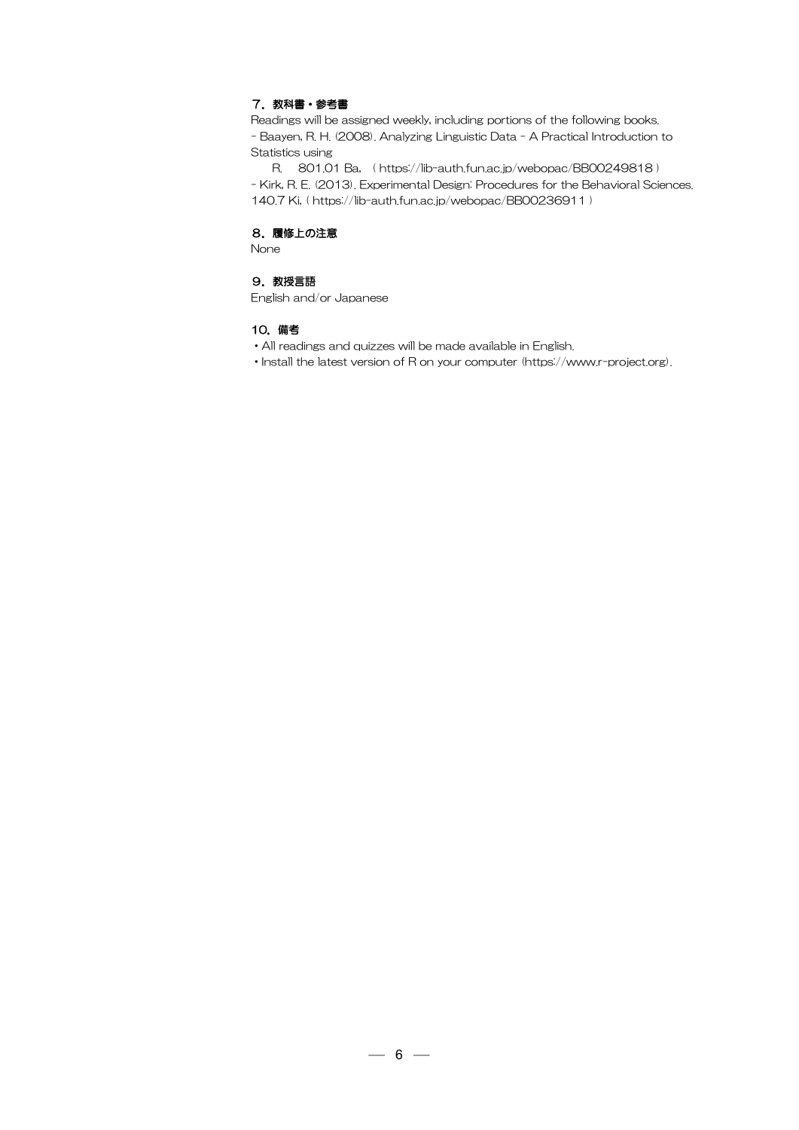# 7. 教科書・参考書

Readings will be assigned weekly, including portions of the following books. - Baayen, R. H. (2008). Analyzing Linguistic Data - A Practical Introduction to Statistics using

 R. 801.01 Ba, ( https://lib-auth.fun.ac.jp/webopac/BB00249818 ) - Kirk, R. E. (2013). Experimental Design: Procedures for the Behavioral Sciences. 140.7 Ki, ( https://lib-auth.fun.ac.jp/webopac/BB00236911 )

# 8.履修上の注意

None

# 9. 教授言語

English and/or Japanese

- ・All readings and quizzes will be made available in English.
- ・Install the latest version of R on your computer (https://www.r-project.org).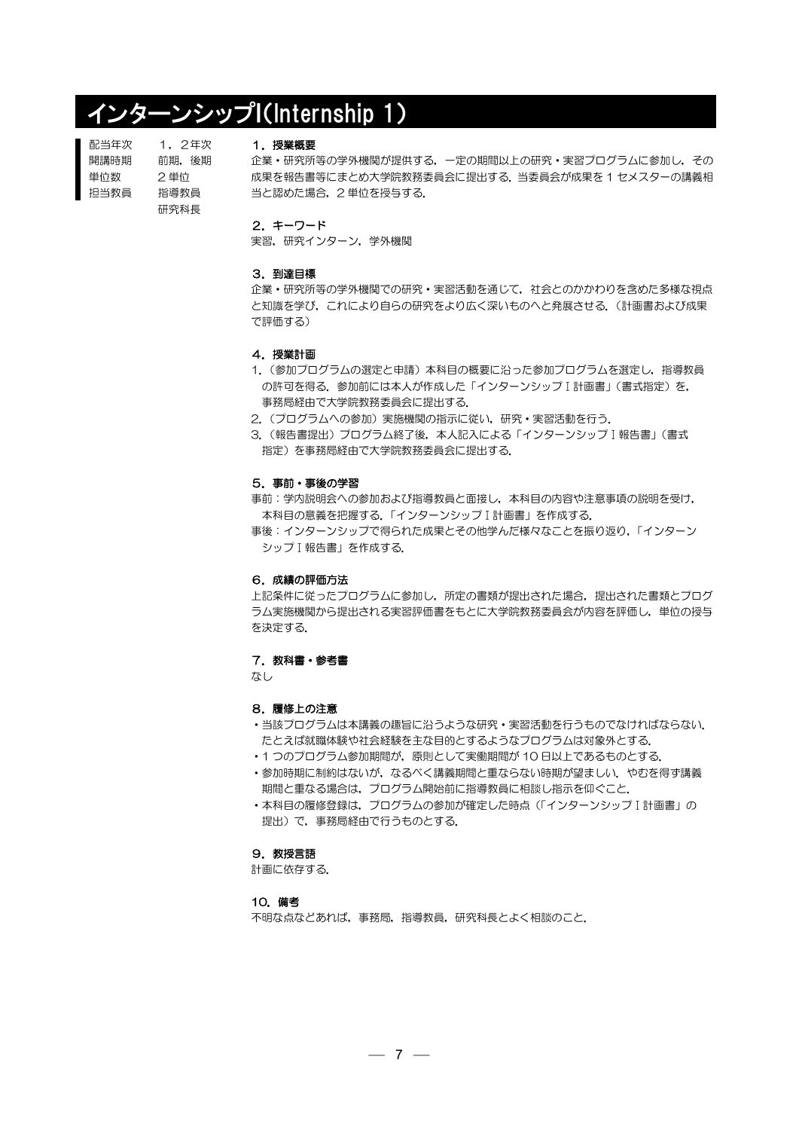# インターンシップI(Internship 1)

| 配当年次 | 1.2年次 |
|------|-------|
| 開講時期 | 前期.後期 |
| 単位数  | 2 単位  |
| 抇当教員 | 指導教員  |
|      | 研究科長  |
|      |       |

#### 1.授業概要

企業・研究所等の学外機関が提供する,一定の期間以上の研究・実習プログラムに参加し,その 成果を報告書等にまとめ大学院教務委員会に提出する.当委員会が成果を 1 セメスターの講義相 当と認めた場合,2 単位を授与する.

#### 2.キーワード

実習,研究インターン,学外機関

### 3.到達目標

企業・研究所等の学外機関での研究・実習活動を通じて,社会とのかかわりを含めた多様な視点 と知識を学び,これにより自らの研究をより広く深いものへと発展させる.(計画書および成果 で評価する)

#### 4.授業計画

- 1. (参加プログラムの選定と申請)本科目の概要に沿った参加プログラムを選定し, 指導教員 の許可を得る. 参加前には本人が作成した「インターンシップⅠ計画書」(書式指定)を, 事務局経由で大学院教務委員会に提出する.
- 2. (プログラムへの参加)実施機関の指示に従い、研究·実習活動を行う.
- 3. (報告書提出) プログラム終了後, 本人記入による「インターンシップⅠ報告書」(書式 指定)を事務局経由で大学院教務委員会に提出する.

#### 5.事前・事後の学習

- 事前:学内説明会への参加および指導教員と面接し,本科目の内容や注意事項の説明を受け, 本科目の意義を把握する.「インターンシップⅠ計画書」を作成する.
- 事後:インターンシップで得られた成果とその他学んだ様々なことを振り返り,「インターン シップⅠ報告書」を作成する.

#### 6.成績の評価方法

上記条件に従ったプログラムに参加し,所定の書類が提出された場合,提出された書類とプログ ラム実施機関から提出される実習評価書をもとに大学院教務委員会が内容を評価し,単位の授与 を決定する.

# 7. 教科書・参考書

なし

#### 8.履修上の注意

- ・当該プログラムは本講義の趣旨に沿うような研究・実習活動を行うものでなければならない. たとえば就職体験や社会経験を主な目的とするようなプログラムは対象外とする.
- ・1 つのプログラム参加期間が,原則として実働期間が 10 日以上であるものとする.
- •参加時期に制約はないが、なるべく講義期間と重ならない時期が望ましい. やむを得ず講義 期間と重なる場合は,プログラム開始前に指導教員に相談し指示を仰ぐこと.
- •本科目の履修登録は,プログラムの参加が確定した時点(「インターンシップⅠ計画書」の 提出)で,事務局経由で行うものとする.

#### 9. 教授言語

計画に依存する.

#### 10.備考

不明な点などあれば,事務局,指導教員,研究科長とよく相談のこと.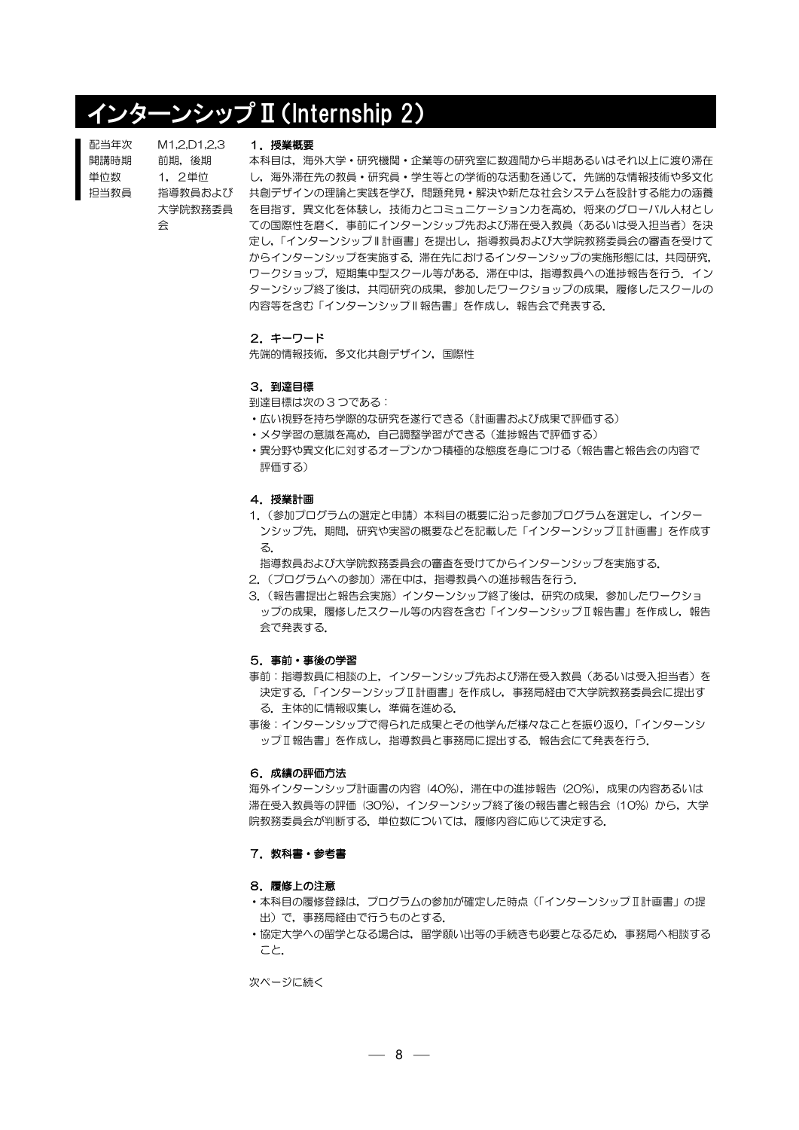# インターンシップⅡ(Internship 2)

| 配当年次 | M1.2.D1.2.3 |
|------|-------------|
| 開講時期 | 前期. 後期      |
| 単位数  | 1. 2単位      |
| 抇当教員 | 指導教員およて     |
|      | 大学院教務委員     |
|      | 佘           |
|      |             |

# 1.授業概要

指導教員および 共創デザインの理論と実践を学び,問題発見・解決や新たな社会システムを設計する能力の涵養 大学院教務委員 を目指す.異文化を体験し,技術力とコミュニケーション力を高め,将来のグローバル人材とし 本科目は,海外大学・研究機関・企業等の研究室に数週間から半期あるいはそれ以上に渡り滞在 し,海外滞在先の教員・研究員・学生等との学術的な活動を通じて,先端的な情報技術や多文化 ての国際性を磨く.事前にインターンシップ先および滞在受入教員(あるいは受入担当者)を決 定し,「インターンシップ II 計画書」を提出し,指導教員および大学院教務委員会の審査を受けて からインターンシップを実施する.滞在先におけるインターンシップの実施形態には,共同研究, ワークショップ,短期集中型スクール等がある.滞在中は,指導教員への進捗報告を行う.イン ターンシップ終了後は,共同研究の成果,参加したワークショップの成果,履修したスクールの 内容等を含む「インターンシップⅡ報告書」を作成し、報告会で発表する.

#### 2.キーワード

先端的情報技術,多文化共創デザイン、国際性

#### 3.到達目標

到達目標は次の 3 つである:

- ・広い視野を持ち学際的な研究を遂行できる(計画書および成果で評価する)
- ・メタ学習の意識を高め,自己調整学習ができる(進捗報告で評価する)
- ・異分野や異文化に対するオープンかつ積極的な態度を身につける(報告書と報告会の内容で 評価する)

#### 4.授業計画

- 1.(参加プログラムの選定と申請)本科目の概要に沿った参加プログラムを選定し,インター ンシップ先,期間,研究や実習の概要などを記載した「インターンシップⅡ計画書」を作成す る.
- 指導教員および大学院教務委員会の審査を受けてからインターンシップを実施する.
- 2. (プログラムへの参加)滞在中は、指導教員への進捗報告を行う.
- 3.(報告書提出と報告会実施)インターンシップ終了後は,研究の成果,参加したワークショ ップの成果、履修したスクール等の内容を含む「インターンシップⅡ報告書」を作成し、報告 会で発表する.

### 5.事前・事後の学習

- 事前: 指導教員に相談の上,インターンシップ先および滞在受入教員(あるいは受入担当者)を 決定する.「インターンシップⅡ計画書」を作成し,事務局経由で大学院教務委員会に提出す る.主体的に情報収集し,準備を進める.
- 事後:インターンシップで得られた成果とその他学んだ様々なことを振り返り,「インターンシ ップⅡ報告書」を作成し、指導教員と事務局に提出する.報告会にて発表を行う.

## 6.成績の評価方法

海外インターンシップ計画書の内容 (40%),滞在中の進捗報告 (20%), 成果の内容あるいは 滞在受入教員等の評価 (30%),インターンシップ終了後の報告書と報告会 (10%) から,大学 院教務委員会が判断する. 単位数については,履修内容に応じて決定する.

# 7. 教科書・参考書

#### 8.履修上の注意

- •本科目の履修登録は、プログラムの参加が確定した時点(「インターンシップⅡ計画書」の提 出)で,事務局経由で行うものとする.
- •協定大学への留学となる場合は,留学願い出等の手続きも必要となるため,事務局へ相談する こと.

次ページに続く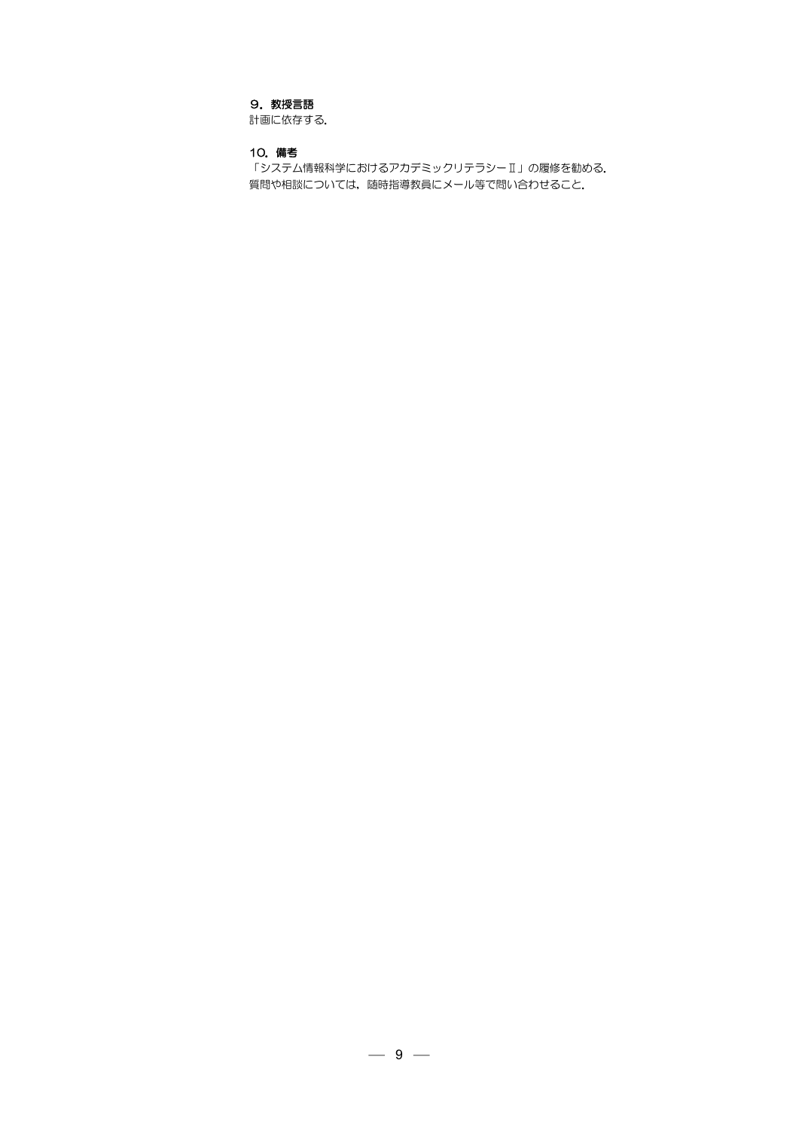# 9. 教授言語

計画に依存する.

# 10.備考

「システム情報科学におけるアカデミックリテラシーⅡ」の履修を勧める. 質問や相談については,随時指導教員にメール等で問い合わせること.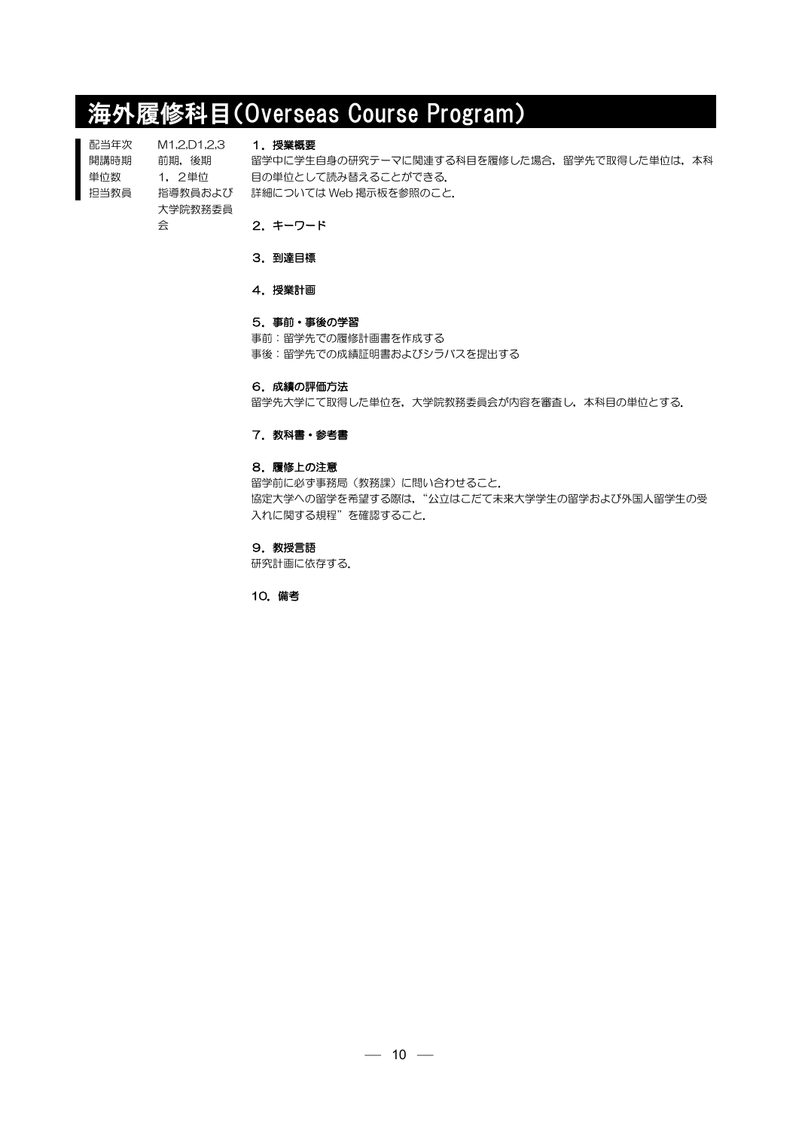# 海外履修科目(Overseas Course Program)

配当年次 開講時期 単位数 担当教員 M1,2,D1,2,3 前期,後期 1,2単位 大学院教務委員 会

1.授業概要

指導教員および 詳細については Web 掲示板を参照のこと. 留学中に学生自身の研究テーマに関連する科目を履修した場合、留学先で取得した単位は、本科 目の単位として読み替えることができる.

2.キーワード

3.到達目標

4. 授業計画

# 5.事前・事後の学習

事前:留学先での履修計画書を作成する 事後:留学先での成績証明書およびシラバスを提出する

#### 6.成績の評価方法

留学先大学にて取得した単位を,大学院教務委員会が内容を審査し,本科目の単位とする.

# 7. 教科書・参考書

# 8.履修上の注意

留学前に必ず事務局(教務課)に問い合わせること. 協定大学への留学を希望する際は、"公立はこだて未来大学学生の留学および外国人留学生の受 入れに関する規程"を確認すること.

#### 9.教授言語

研究計画に依存する.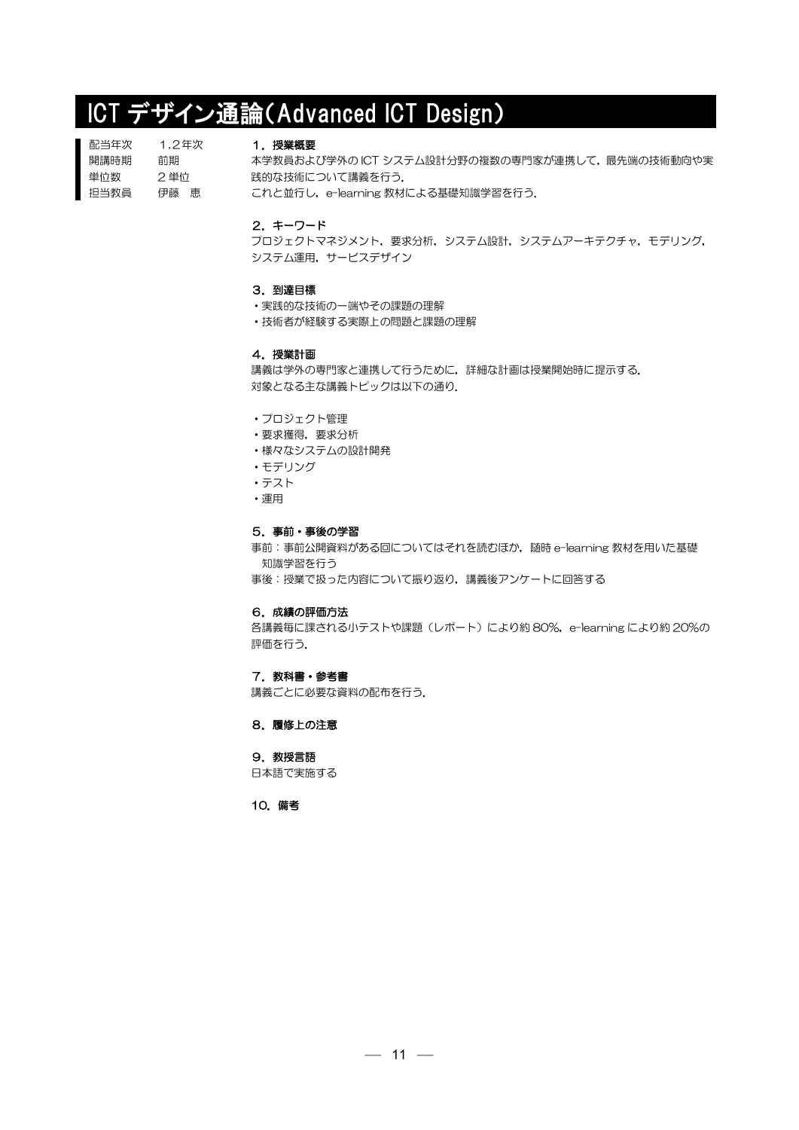# ICT デザイン通論(Advanced ICT Design)

| 配当年次 | 1.2年次 |
|------|-------|
| 開講時期 | 前期    |
| 単位数  | 2単位   |
| 担当教員 | 伊藤の恵  |
|      |       |

# 1. 授業概要

本学教員および学外の ICT システム設計分野の複数の専門家が連携して、最先端の技術動向や実 践的な技術について講義を行う. これと並行し, e-learning 教材による基礎知識学習を行う.

2.キーワード

プロジェクトマネジメント,要求分析,システム設計,システムアーキテクチャ,モデリング, システム運用,サービスデザイン

### 3.到達目標

- •実践的な技術の一端やその課題の理解
- ・技術者が経験する実際上の問題と課題の理解

#### 4.授業計画

講義は学外の専門家と連携して行うために,詳細な計画は授業開始時に提示する. 対象となる主な講義トピックは以下の通り.

- ・プロジェクト管理
- ・要求獲得,要求分析
- ・様々なシステムの設計開発
- ・モデリング
- ・テスト
- ・運用

#### 5.事前・事後の学習

事前:事前公開資料がある回についてはそれを読むほか,随時 e-learning 教材を用いた基礎 知識学習を行う

事後:授業で扱った内容について振り返り,講義後アンケートに回答する

# 6.成績の評価方法

各講義毎に課される小テストや課題(レポート)により約 80%, e-learning により約 20%の 評価を行う.

# 7. 教科書・参考書

講義ごとに必要な資料の配布を行う.

#### 8.履修上の注意

# 9. 教授言語

日本語で実施する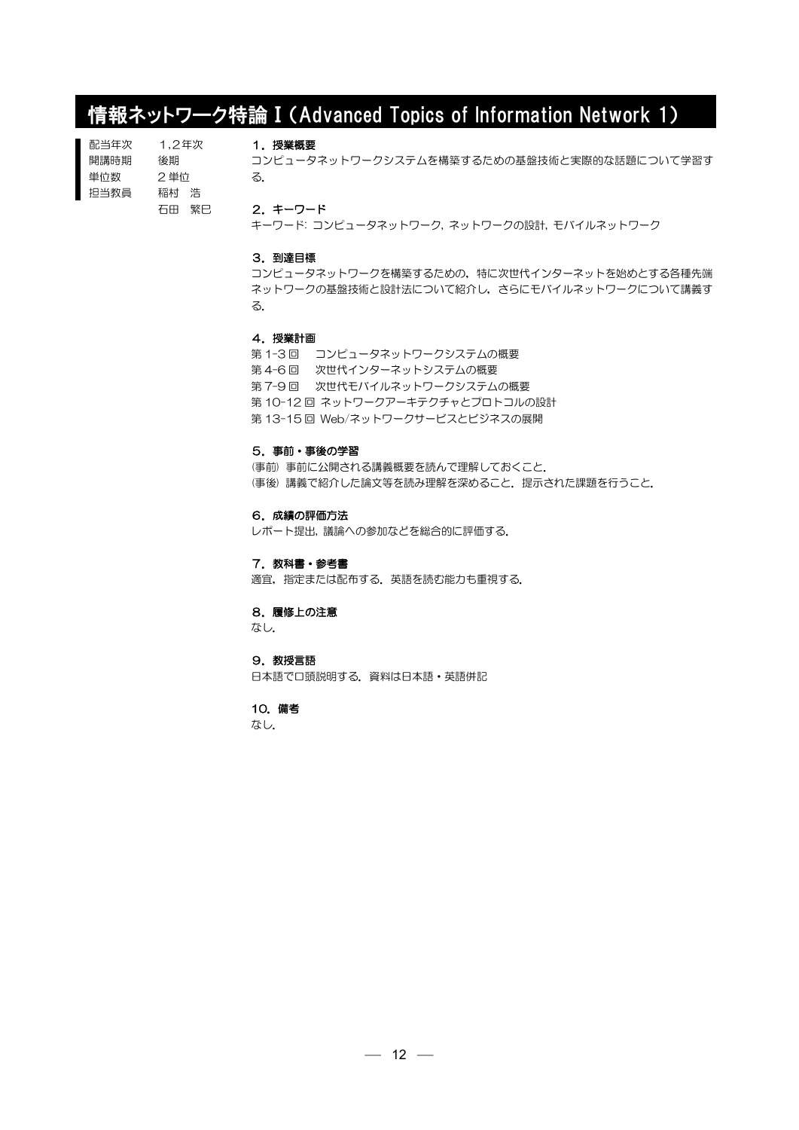# 情報ネットワーク特論Ⅰ(Advanced Topics of Information Network 1)

| 配当年次 | 1.2年次 |       |
|------|-------|-------|
| 開講時期 | 後期    |       |
| 単位数  | 2単位   |       |
| 担当教員 | 稲村 浩  |       |
|      |       | 石田 繁巳 |

# 1.授業概要

コンピュータネットワークシステムを構築するための基盤技術と実際的な話題について学習す る.

2.キーワード

キーワード: コンピュータネットワーク, ネットワークの設計, モバイルネットワーク

## 3.到達目標

コンピュータネットワークを構築するための,特に次世代インターネットを始めとする各種先端 ネットワークの基盤技術と設計法について紹介し,さらにモバイルネットワークについて講義す る.

# 4.授業計画

第 1-3 回 コンピュータネットワークシステムの概要 第 4-6 回 次世代インターネットシステムの概要 第7-9回 次世代モバイルネットワークシステムの概要 第 10-12 回 ネットワークアーキテクチャとプロトコルの設計 第 13-15 回 Web/ネットワークサービスとビジネスの展開

# 5.事前・事後の学習

(事前) 事前に公開される講義概要を読んで理解しておくこと. (事後) 講義で紹介した論文等を読み理解を深めること.提示された課題を行うこと.

#### 6.成績の評価方法

レポート提出, 議論への参加などを総合的に評価する.

#### 7. 教科書・参考書

適宜,指定または配布する.英語を読む能力も重視する.

# 8.履修上の注意

なし.

# 9.教授言語

日本語で口頭説明する.資料は日本語・英語併記

#### 10.備考

なし.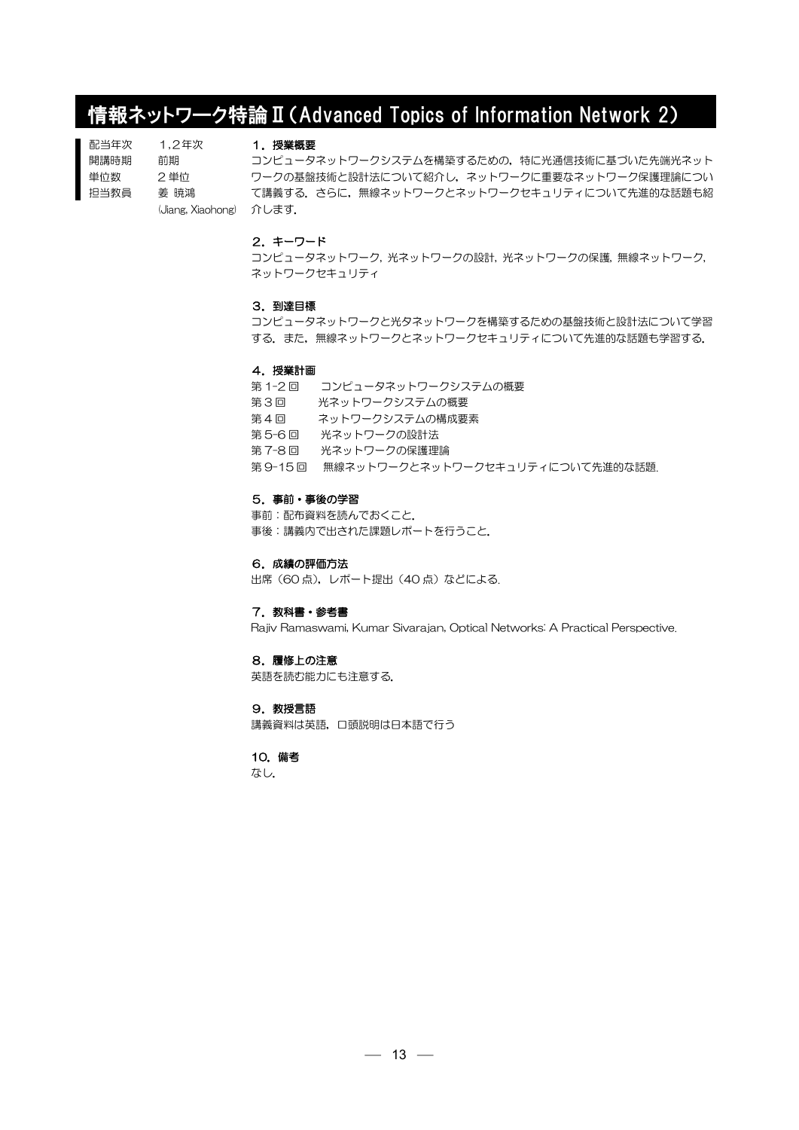# 情報ネットワーク特論Ⅱ(Advanced Topics of Information Network 2)

配当年次 開講時期 単位数 担当教員 1,2年次 前期 2 単位 姜 暁鴻

# 1.授業概要

(Jiang, Xiaohong) 介します. コンピュータネットワークシステムを構築するための,特に光通信技術に基づいた先端光ネット ワークの基盤技術と設計法について紹介し,ネットワークに重要なネットワーク保護理論につい て講義する.さらに,無線ネットワークとネットワークセキュリティについて先進的な話題も紹

# 2.キーワード

コンピュータネットワーク, 光ネットワークの設計, 光ネットワークの保護, 無線ネットワーク, ネットワークセキュリティ

#### 3.到達目標

コンピュータネットワークと光タネットワークを構築するための基盤技術と設計法について学習 する. また、無線ネットワークとネットワークセキュリティについて先進的な話題も学習する.

#### 4.授業計画

第 1-2 回 コンピュータネットワークシステムの概要 第3回 光ネットワークシステムの概要 第4回 ネットワークシステムの構成要素 第 5-6 回 光ネットワークの設計法 第 7-8 回 光ネットワークの保護理論 第 9-15 回 無線ネットワークとネットワークセキュリティについて先進的な話題.

#### 5.事前・事後の学習

事前:配布資料を読んでおくこと. 事後:講義内で出された課題レポートを行うこと.

6.成績の評価方法

出席(60点), レポート提出(40点)などによる.

# 7. 教科書・参考書

Rajiv Ramaswami, Kumar Sivarajan, Optical Networks: A Practical Perspective.

#### 8.履修上の注意

英語を読む能力にも注意する.

#### 9. 教授言語

講義資料は英語,口頭説明は日本語で行う

#### 10.備考

なし.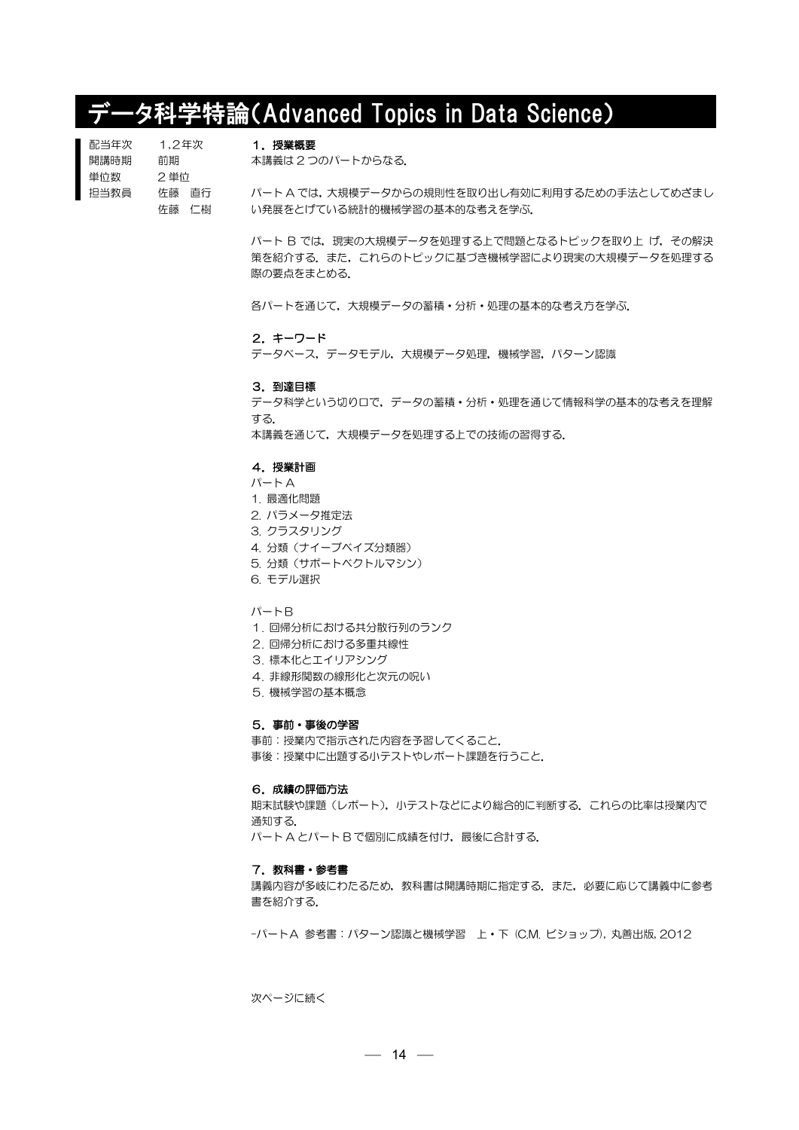# データ科学特論(Advanced Topics in Data Science)

| 配当年次 | 1.2年次  |  |
|------|--------|--|
| 開講時期 | 前期     |  |
| 単位数  | 2 単位   |  |
| 担当教員 | 佐藤 一百行 |  |
|      | 佐藤 仁樹  |  |

1. 授業概要

本講義は 2 つのパートからなる.

パート A では,大規模データからの規則性を取り出し有効に利用するための手法としてめざまし い発展をとげている統計的機械学習の基本的な考えを学ぶ.

> パート B では、現実の大規模データを処理する上で問題となるトピックを取り上 げ、その解決 策を紹介する.また,これらのトピックに基づき機械学習により現実の大規模データを処理する 際の要点をまとめる.

各パートを通じて,大規模データの蓄積・分析・処理の基本的な考え方を学ぶ.

#### 2.キーワード

データベース,データモデル,大規模データ処理,機械学習,パターン認識

### 3.到達目標

データ科学という切り口で,データの蓄積・分析・処理を通じて情報科学の基本的な考えを理解 する.

本講義を通じて,大規模データを処理する上での技術の習得する.

### 4.授業計画

- $J\mathcal{C}-\vdash A$
- 1. 最適化問題
- 2. パラメータ推定法
- 3. クラスタリング
- 4. 分類(ナイーブベイズ分類器)
- 5. 分類(サポートベクトルマシン)
- 6. モデル選択

# パートB

- 1. 回帰分析における共分散行列のランク
- 2. 回帰分析における多重共線性
- 3. 標本化とエイリアシング
- 4. 非線形関数の線形化と次元の呪い
- 5. 機械学習の基本概念

## 5.事前・事後の学習

事前:授業内で指示された内容を予習してくること. 事後:授業中に出題する小テストやレポート課題を行うこと.

# 6.成績の評価方法

期末試験や課題(レポート),小テストなどにより総合的に判断する.これらの比率は授業内で 通知する. パート A とパート B で個別に成績を付け、最後に合計する.

#### 7.教科書・参考書

講義内容が多岐にわたるため,教科書は開講時期に指定する.また,必要に応じて講義中に参考 書を紹介する.

-パートA 参考書:パターン認識と機械学習 上・下 (C.M. ビショップ), 丸善出版, 2012

次ページに続く

 $- 14 -$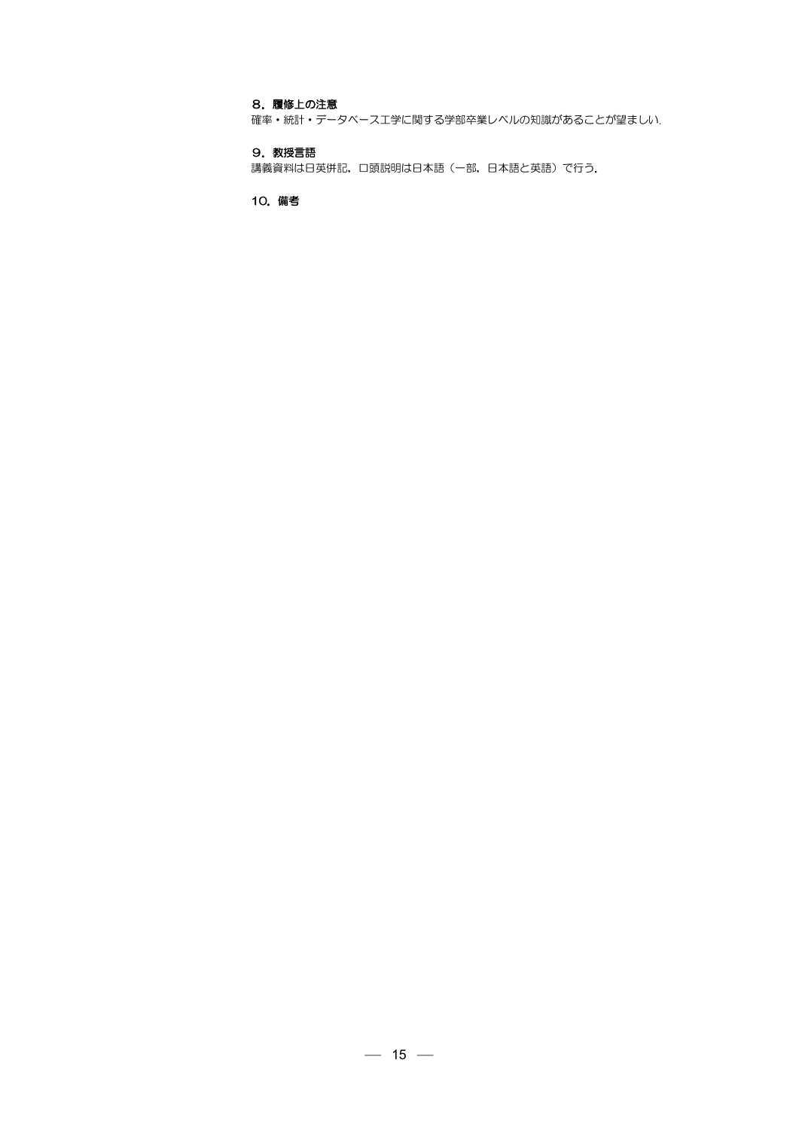# 8.履修上の注意

確率・統計・データベース工学に関する学部卒業レベルの知識があることが望ましい.

# 9.教授言語

講義資料は日英併記,口頭説明は日本語(一部,日本語と英語)で行う.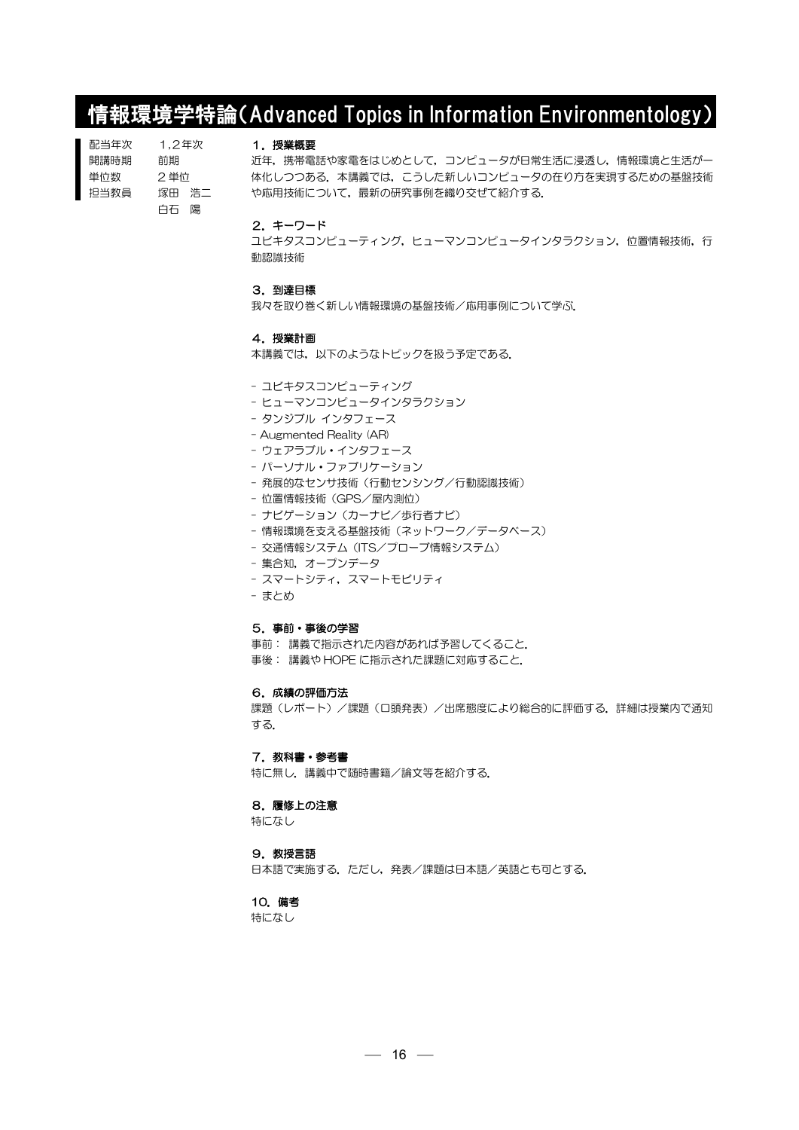# 情報環境学特論(Advanced Topics in Information Environmentology)

| 配当年次 | 1.2年次 |      |
|------|-------|------|
| 開講時期 | 前期    |      |
| 単位数  | 2 単位  |      |
| 抇当教員 | 塚田    | - 浩二 |
|      | 白石    | 陽    |

# 1.授業概要

近年,携帯電話や家電をはじめとして,コンピュータが日常生活に浸透し,情報環境と生活が一 体化しつつある.本講義では、こうした新しいコンピュータの在り方を実現するための基盤技術 や応用技術について,最新の研究事例を織り交ぜて紹介する.

#### 2.キーワード

ユビキタスコンピューティング,ヒューマンコンピュータインタラクション,位置情報技術,行 動認識技術

#### 3.到達目標

我々を取り巻く新しい情報環境の基盤技術/応用事例について学ぶ.

#### 4.授業計画

本講義では,以下のようなトピックを扱う予定である.

- ユビキタスコンピューティング
- ヒューマンコンピュータインタラクション
- タンジブル インタフェース
- Augmented Reality (AR)
- ウェアラブル・インタフェース
- パーソナル・ファブリケーション
- 発展的なヤンサ技術(行動ヤンシング/行動認識技術)
- 位置情報技術(GPS/屋内測位)
- ナビゲーション(カーナビ/歩行者ナビ)
- 情報環境を支える基盤技術(ネットワーク/データベース)
- 交通情報システム (ITS/プローブ情報システム)
- 集合知, オープンデータ
- スマートシティ,スマートモビリティ
- まとめ

#### 5.事前・事後の学習

事前: 講義で指示された内容があれば予習してくること. 事後: 講義や HOPE に指示された課題に対応すること.

#### 6.成績の評価方法

課題(レポート)/課題(口頭発表)/出席態度により総合的に評価する.詳細は授業内で通知 する.

# 7. 教科書・参考書

特に無し. 講義中で随時書籍/論文等を紹介する.

## 8.履修上の注意

特になし

#### 9. 教授言語

日本語で実施する.ただし、発表/課題は日本語/英語とも可とする.

# 10.備考

特になし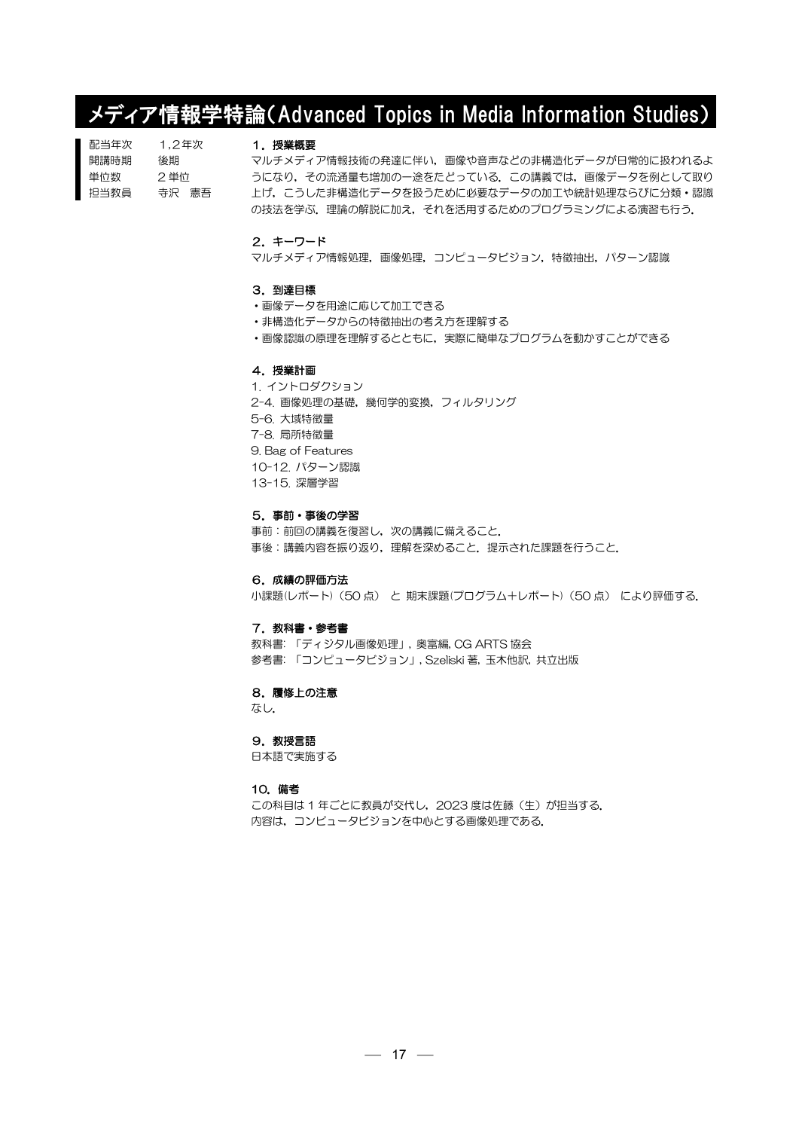# メディア情報学特論(Advanced Topics in Media Information Studies)

| 配当年次 | 1.2年次 |
|------|-------|
| 開講時期 | 後期    |
| 単位数  | 2 単位  |
| 担当教員 | 寺沢 憲吾 |

# 1.授業概要

マルチメディア情報技術の発達に伴い,画像や音声などの非構造化データが日常的に扱われるよ うになり,その流通量も増加の一途をたどっている.この講義では,画像データを例として取り 上げ,こうした非構造化データを扱うために必要なデータの加工や統計処理ならびに分類・認識 の技法を学ぶ.理論の解説に加え、それを活用するためのプログラミングによる演習も行う.

# 2.キーワード

マルチメディア情報処理,画像処理,コンピュータビジョン,特徴抽出,パターン認識

#### 3.到達目標

- ・画像データを用途に応じて加工できる
- ・非構造化データからの特徴抽出の考え方を理解する
- ・画像認識の原理を理解するとともに,実際に簡単なプログラムを動かすことができる

#### 4.授業計画

1. イントロダクション 2-4. 画像処理の基礎, 幾何学的変換, フィルタリング 5-6. 大域特徴量 7-8. 局所特徴量 9. Bag of Features 10-12. パターン認識 13-15. 深層学習

#### 5.事前・事後の学習

事前: 前回の講義を復習し、次の講義に備えること. 事後:講義内容を振り返り,理解を深めること.提示された課題を行うこと.

#### 6.成績の評価方法

小課題(レポート)(50 点) と 期末課題(プログラム+レポート)(50 点) により評価する.

#### 7. 教科書・参考書

教科書: 「ディジタル画像処理」, 奥富編, CG ARTS 協会 参考書: 「コンピュータビジョン」, Szeliski 著, 玉木他訳, 共立出版

#### 8.履修上の注意

なし.

# 9. 教授言語

日本語で実施する

# 10.備考

この科目は 1 年ごとに教員が交代し, 2023 度は佐藤(生)が担当する. 内容は,コンピュータビジョンを中心とする画像処理である.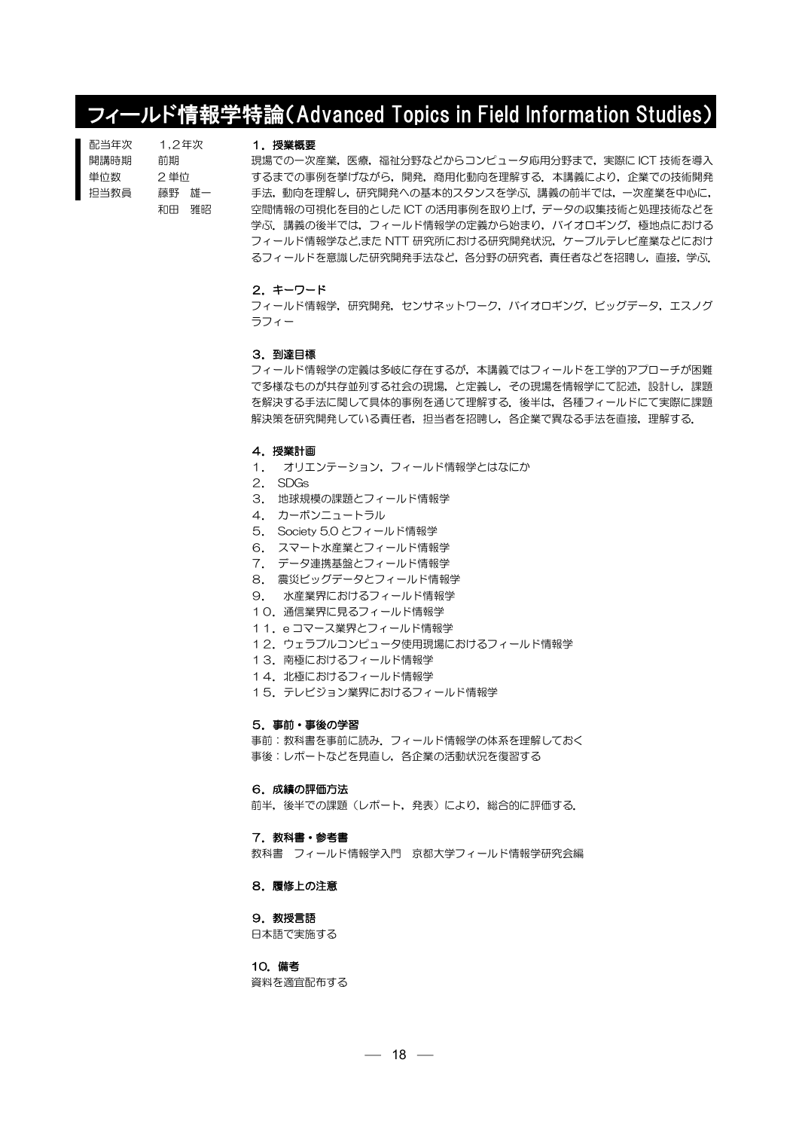# フィールド情報学特論(Advanced Topics in Field Information Studies)

| 配当年次 | 1.2年次 |       |
|------|-------|-------|
| 開講時期 | 前期    |       |
| 単位数  | 2 単位  |       |
| 抇当教員 |       | 藤野 雄一 |
|      | 和田    | 雅昭    |

#### 1. 授業概要

現場での一次産業,医療,福祉分野などからコンピュータ応用分野まで,実際に ICT 技術を導入 するまでの事例を挙げながら,開発,商用化動向を理解する.本講義により,企業での技術開発 手法,動向を理解し,研究開発への基本的スタンスを学ぶ.講義の前半では,一次産業を中心に, 空間情報の可視化を目的とした ICT の活用事例を取り上げ,データの収集技術と処理技術などを 学ぶ. 講義の後半では、フィールド情報学の定義から始まり,バイオロギング,極地点における フィールド情報学など,また NTT 研究所における研究開発状況,ケーブルテレビ産業などにおけ るフィールドを意識した研究開発手法など,各分野の研究者,責任者などを招聘し,直接,学ぶ.

#### 2.キーワード

フィールド情報学,研究開発,センサネットワーク,バイオロギング,ビッグデータ,エスノグ ラフィー

#### 3.到達目標

フィールド情報学の定義は多岐に存在するが,本講義ではフィールドを工学的アプローチが困難 で多様なものが共存並列する社会の現場,と定義し,その現場を情報学にて記述,設計し,課題 を解決する手法に関して具体的事例を通じて理解する.後半は,各種フィールドにて実際に課題 解決策を研究開発している責任者、担当者を招聘し、各企業で異なる手法を直接、理解する.

#### 4.授業計画

- 1. オリエンテーション,フィールド情報学とはなにか
- 2. SDGs
- 3. 地球規模の課題とフィールド情報学
- 4. カーボンニュートラル
- 5. Society 5.0 とフィールド情報学
- 6. スマート水産業とフィールド情報学
- 7. データ連携基盤とフィールド情報学
- 8. 震災ビッグデータとフィールド情報学
- 9. 水産業界におけるフィールド情報学
- 10.通信業界に見るフィールド情報学
- 11.e コマース業界とフィールド情報学
- 12. ウェラブルコンピュータ使用現場におけるフィールド情報学
- 13. 南極におけるフィールド情報学
- 14. 北極におけるフィールド情報学
- 15. テレビジョン業界におけるフィールド情報学

#### 5.事前・事後の学習

事前:教科書を事前に読み.フィールド情報学の体系を理解しておく 事後:レポートなどを見直し,各企業の活動状況を復習する

#### 6.成績の評価方法

前半,後半での課題(レポート,発表)により,総合的に評価する.

### 7.教科書・参考書

教科書 フィールド情報学入門 京都大学フィールド情報学研究会編

## 8.履修上の注意

# 9. 教授言語

日本語で実施する

## 10.備考

資料を適宜配布する

 $- 18 -$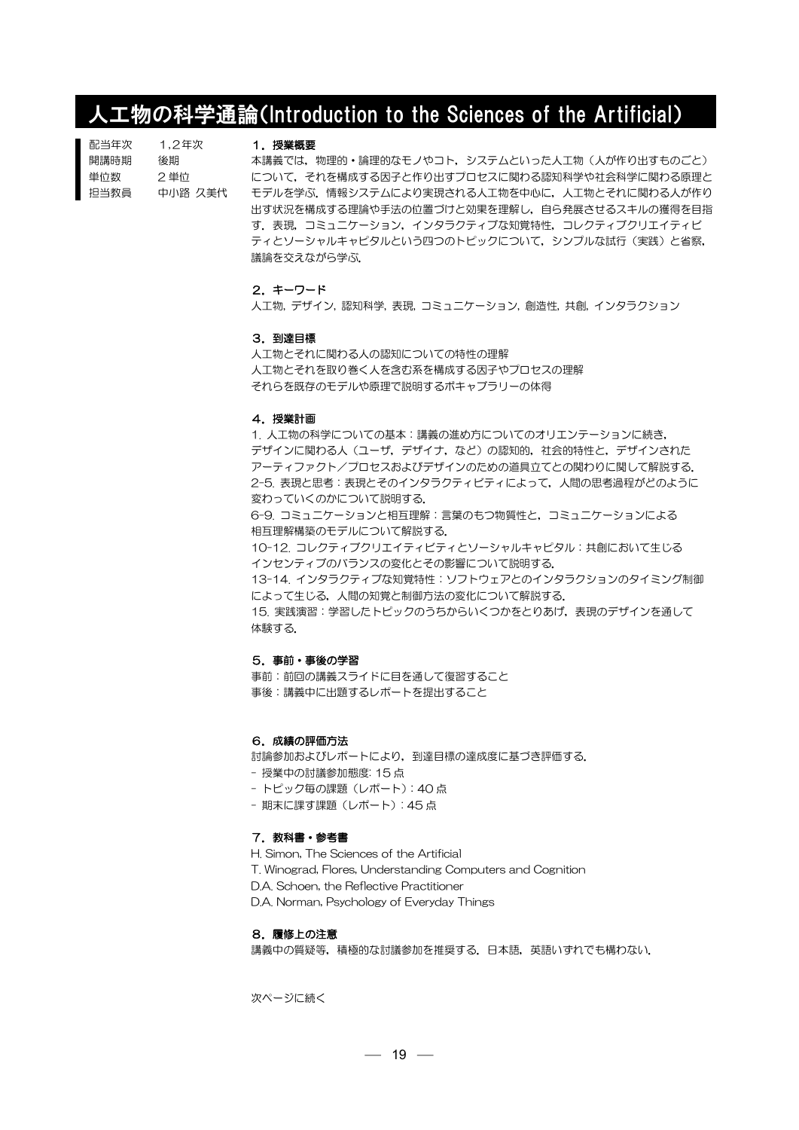# 人工物の科学通論(Introduction to the Sciences of the Artificial)

| 配当年次 | 1.2年次   |
|------|---------|
| 開講時期 | 後期      |
| 単位数  | 2 単位    |
| 担当教員 | 中小路 久美代 |

#### 1. 授業概要

本講義では,物理的・論理的なモノやコト,システムといった人工物(人が作り出すものごと) について,それを構成する因子と作り出すプロセスに関わる認知科学や社会科学に関わる原理と モデルを学ぶ.情報システムにより実現される人工物を中心に,人工物とそれに関わる人が作り 出す状況を構成する理論や手法の位置づけと効果を理解し,自ら発展させるスキルの獲得を目指 す.表現,コミュニケーション,インタラクティブな知覚特性,コレクティブクリエイティビ ティとソーシャルキャピタルという四つのトピックについて、シンプルな試行(実践)と省察, 議論を交えながら学ぶ.

## 2.キーワード

人工物, デザイン, 認知科学, 表現, コミュニケーション, 創造性, 共創, インタラクション

#### 3.到達目標

人工物とそれに関わる人の認知についての特性の理解 人工物とそれを取り巻く人を含む系を構成する因子やプロセスの理解 それらを既存のモデルや原理で説明するボキャブラリーの体得

### 4.授業計画

1. 人工物の科学についての基本:講義の進め方についてのオリエンテーションに続き, デザインに関わる人(ユーザ,デザイナ,など)の認知的,社会的特性と,デザインされた アーティファクト/プロセスおよびデザインのための道具立てとの関わりに関して解説する. 2-5. 表現と思考:表現とそのインタラクティビティによって、人間の思考過程がどのように 変わっていくのかについて説明する. 6-9. コミュニケーションと相互理解:言葉のもつ物質性と,コミュニケーションによる 相互理解構築のモデルについて解説する.

10-12. コレクティブクリエイティビティとソーシャルキャピタル:共創において生じる インセンティブのバランスの変化とその影響について説明する.

13-14. インタラクティブな知覚特性:ソフトウェアとのインタラクションのタイミング制御 によって生じる,人間の知覚と制御方法の変化について解説する. 15. 実践演習:学習したトピックのうちからいくつかをとりあげ,表現のデザインを通して

体験する.

#### 5.事前・事後の学習

事前:前回の講義スライドに目を通して復習すること 事後:講義中に出題するレポートを提出すること

### 6.成績の評価方法

討論参加およびレポートにより,到達目標の達成度に基づき評価する.

- 授業中の討議参加態度: 15 点

- トピック毎の課題(レポート):40 点
- 期末に課す課題(レポート): 45 点

# 7. 教科書・参考書

H. Simon, The Sciences of the Artificial

T. Winograd, Flores, Understanding Computers and Cognition

D.A. Schoen, the Reflective Practitioner

D.A. Norman, Psychology of Everyday Things

# 8.履修上の注意

講義中の質疑等,積極的な討議参加を推奨する.日本語,英語いずれでも構わない.

次ページに続く

 $-19 =$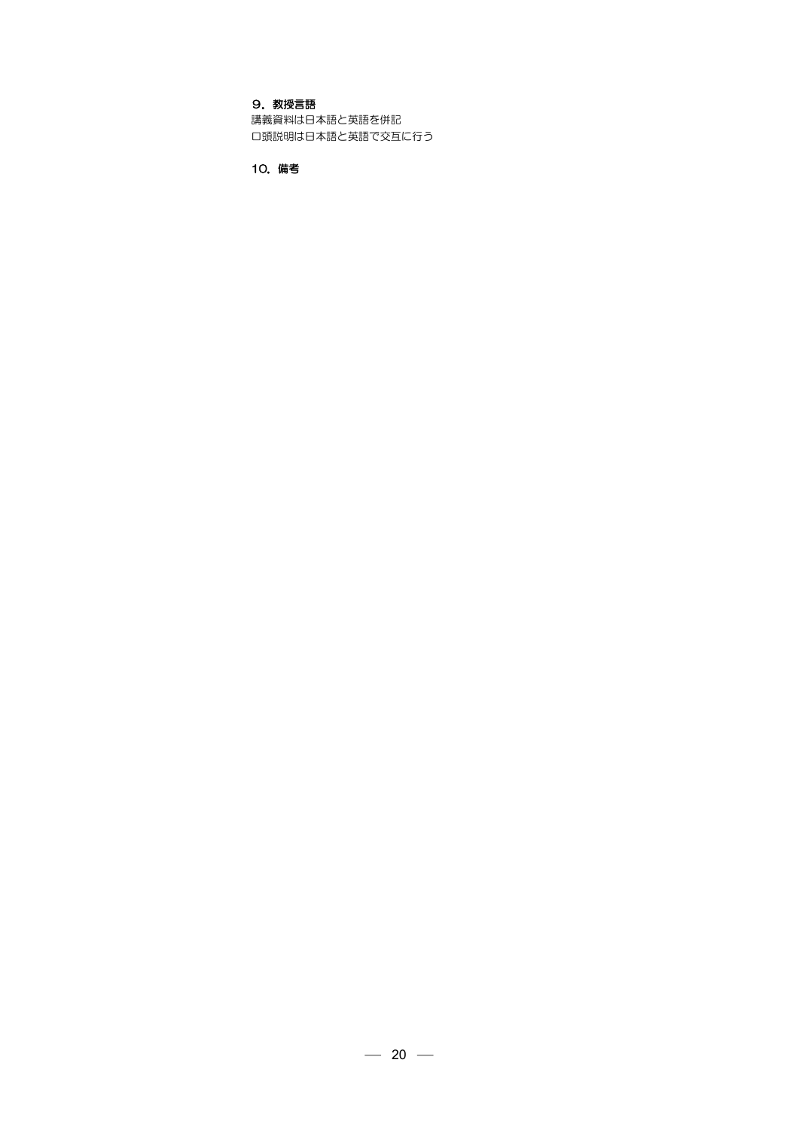# 9. 教授言語

講義資料は日本語と英語を併記 口頭説明は日本語と英語で交互に行う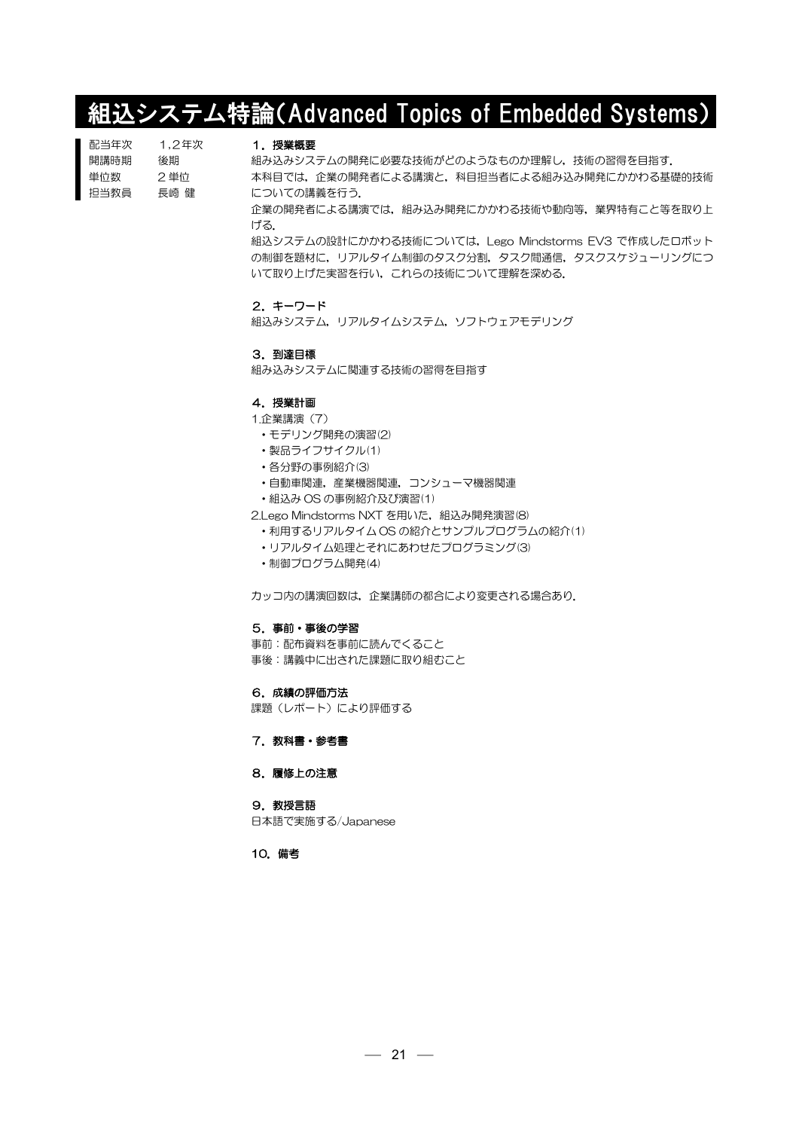# 組込システム特論(Advanced Topics of Embedded Systems)

| 1.2年次 |
|-------|
| 後期    |
| 2 単位  |
| 長崎 健  |
|       |

#### 1.授業概要

組み込みシステムの開発に必要な技術がどのようなものか理解し,技術の習得を目指す. 本科目では,企業の開発者による講演と,科目担当者による組み込み開発にかかわる基礎的技術 についての講義を行う.

企業の開発者による講演では,組み込み開発にかかわる技術や動向等,業界特有こと等を取り上 げる.

組込システムの設計にかかわる技術については,Lego Mindstorms EV3 で作成したロボット の制御を題材に,リアルタイム制御のタスク分割,タスク間通信,タスクスケジューリングにつ いて取り上げた実習を行い,これらの技術について理解を深める.

# 2.キーワード

組込みシステム,リアルタイムシステム,ソフトウェアモデリング

#### 3.到達目標

組み込みシステムに関連する技術の習得を目指す

### 4.授業計画

## 1.企業講演(7)

- ・モデリング開発の演習(2)
- ・製品ライフサイクル(1)
- ・各分野の事例紹介(3)
- •自動車関連,産業機器関連,コンシューマ機器関連
- ・組込み OS の事例紹介及び演習(1)

2.Lego Mindstorms NXT を用いた, 組込み開発演習(8)

- ・利用するリアルタイム OS の紹介とサンプルプログラムの紹介(1)
- ・リアルタイム処理とそれにあわせたプログラミング(3)
- ・制御プログラム開発(4)

カッコ内の講演回数は,企業講師の都合により変更される場合あり.

#### 5.事前・事後の学習

事前:配布資料を事前に読んでくること 事後:講義中に出された課題に取り組むこと

#### 6.成績の評価方法

課題(レポート)により評価する

7. 教科書・参考書

# 8.履修上の注意

# 9.教授言語

日本語で実施する/Japanese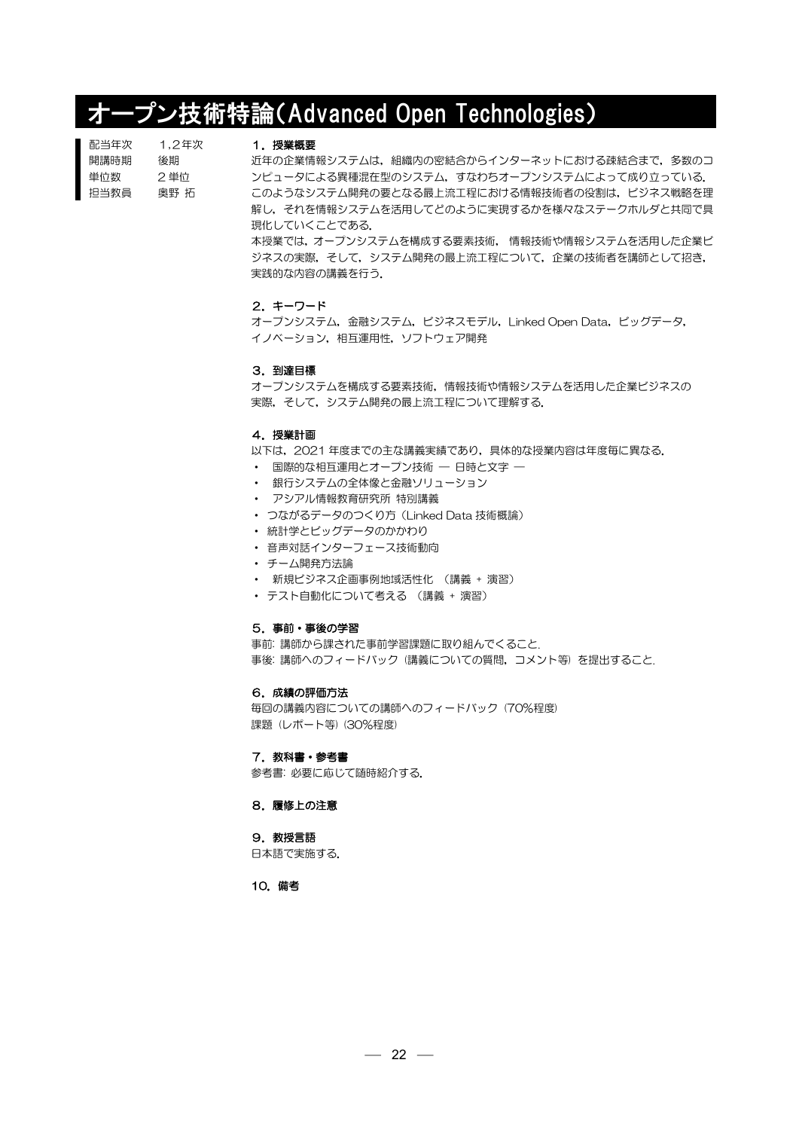# オープン技術特論(Advanced Open Technologies)

| 配当年次 | 1.2年次 |
|------|-------|
| 開講時期 | 後期    |
| 単位数  | 2単位   |
| 抇当教員 | 興野 拓  |

#### 1.授業概要

近年の企業情報システムは,組織内の密結合からインターネットにおける疎結合まで,多数のコ ンピュータによる異種混在型のシステム,すなわちオープンシステムによって成り立っている. このようなシステム開発の要となる最上流工程における情報技術者の役割は、ビジネス戦略を理 解し,それを情報システムを活用してどのように実現するかを様々なステークホルダと共同で具 現化していくことである.

本授業では,オープンシステムを構成する要素技術, 情報技術や情報システムを活用した企業ビ ジネスの実際,そして,システム開発の最上流工程について,企業の技術者を講師として招き, 実践的な内容の講義を行う.

# 2.キーワード

オープンシステム,金融システム,ビジネスモデル, Linked Open Data,ビッグデータ, イノベーション,相互運用性,ソフトウェア開発

#### 3.到達目標

オープンシステムを構成する要素技術,情報技術や情報システムを活用した企業ビジネスの 実際, そして, システム開発の最上流工程について理解する.

# 4.授業計画

以下は,2021 年度までの主な講義実績であり,具体的な授業内容は年度毎に異なる.

- ・ 国際的な相互運用とオープン技術 ― 日時と文字 ―
- ・ 銀行システムの全体像と金融ソリューション
- ・ アシアル情報教育研究所 特別講義
- ・ つながるデータのつくり方(Linked Data 技術概論)
- ・ 統計学とビッグデータのかかわり
- ・ 音声対話インターフェース技術動向
- ・ チーム開発方法論
- ・ 新規ビジネス企画事例地域活性化 (講義 + 演習)
- ・ テスト自動化について考える (講義 + 演習)

#### 5.事前・事後の学習

事前: 講師から課された事前学習課題に取り組んでくること. 事後: 講師へのフィードバック (講義についての質問,コメント等) を提出すること.

#### 6.成績の評価方法

毎回の講義内容についての講師へのフィードバック (70%程度) 課題 (レポート等) (30%程度)

### 7. 教科書・参考書

参考書: 必要に応じて随時紹介する.

#### 8.履修上の注意

#### 9. 教授言語

日本語で実施する.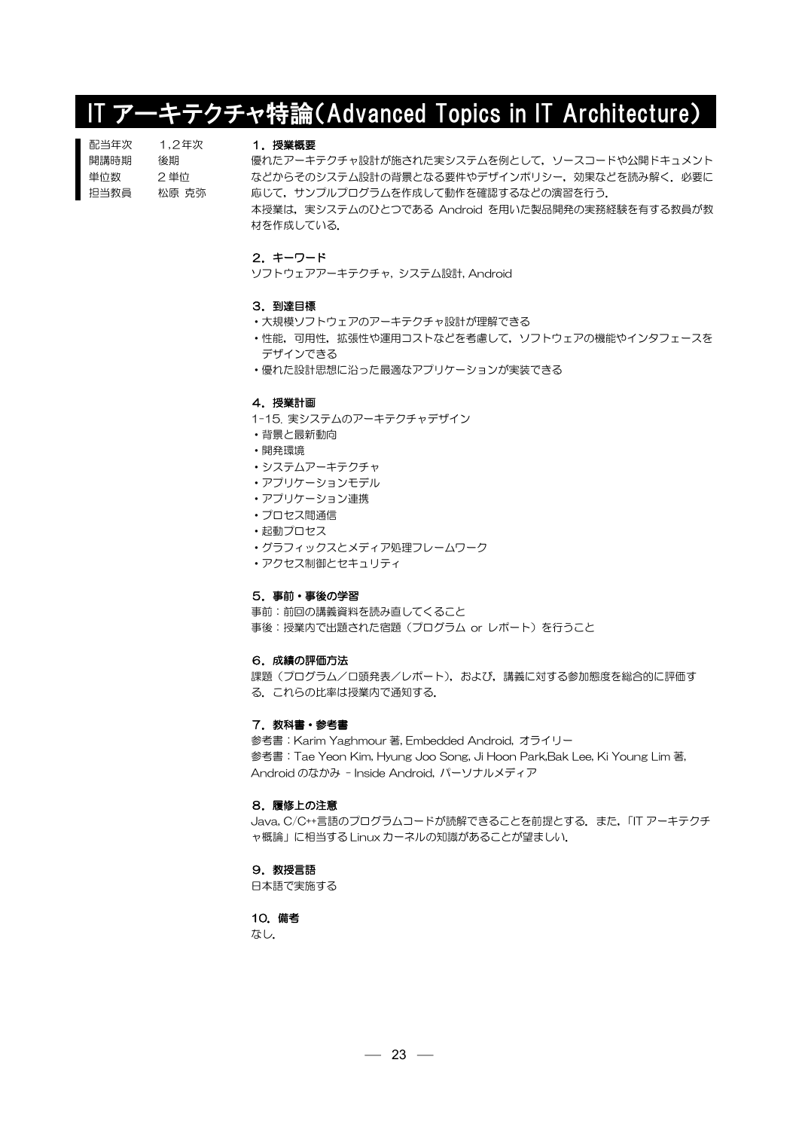# IT アーキテクチャ特論(Advanced Topics in IT Architecture)

| 配当年次 | 1.2年次 |
|------|-------|
| 開講時期 | 後期    |
| 単位数  | 2 単位  |
| 担当教員 | 松原 克弥 |

### 1.授業概要

優れたアーキテクチャ設計が施された実システムを例として,ソースコードや公開ドキュメント などからそのシステム設計の背景となる要件やデザインポリシー,効果などを読み解く.必要に 応じて,サンプルプログラムを作成して動作を確認するなどの演習を行う.

本授業は、実システムのひとつである Android を用いた製品開発の実務経験を有する教員が教 材を作成している.

# 2.キーワード

ソフトウェアアーキテクチャ, システム設計, Android

### 3.到達目標

- ・大規模ソフトウェアのアーキテクチャ設計が理解できる
- ・性能,可用性,拡張性や運用コストなどを考慮して,ソフトウェアの機能やインタフェースを デザインできる
- ・優れた設計思想に沿った最適なアプリケーションが実装できる

#### 4.授業計画

- 1-15. 実システムのアーキテクチャデザイン
- ・背景と最新動向
- ・開発環境
- ・システムアーキテクチャ
- ・アプリケーションモデル
- ・アプリケーション連携
- ・プロセス間通信
- ・起動プロセス
- ・グラフィックスとメディア処理フレームワーク
- ・アクセス制御とセキュリティ

# 5.事前・事後の学習

事前:前回の講義資料を読み直してくること

事後:授業内で出題された宿題(プログラム or レポート)を行うこと

#### 6.成績の評価方法

課題(プログラム/口頭発表/レポート),および,講義に対する参加態度を総合的に評価す る.これらの比率は授業内で通知する.

## 7. 教科書・参考書

参考書:Karim Yaghmour 著, Embedded Android, オライリー 参考書:Tae Yeon Kim, Hyung Joo Song, Ji Hoon Park,Bak Lee, Ki Young Lim 著, Android のなかみ - Inside Android, パーソナルメディア

## 8.履修上の注意

Java, C/C++言語のプログラムコードが読解できることを前提とする.また,「IT アーキテクチ ャ概論」に相当する Linux カーネルの知識があることが望ましい.

#### 9.教授言語

日本語で実施する

# 10.備考

なし.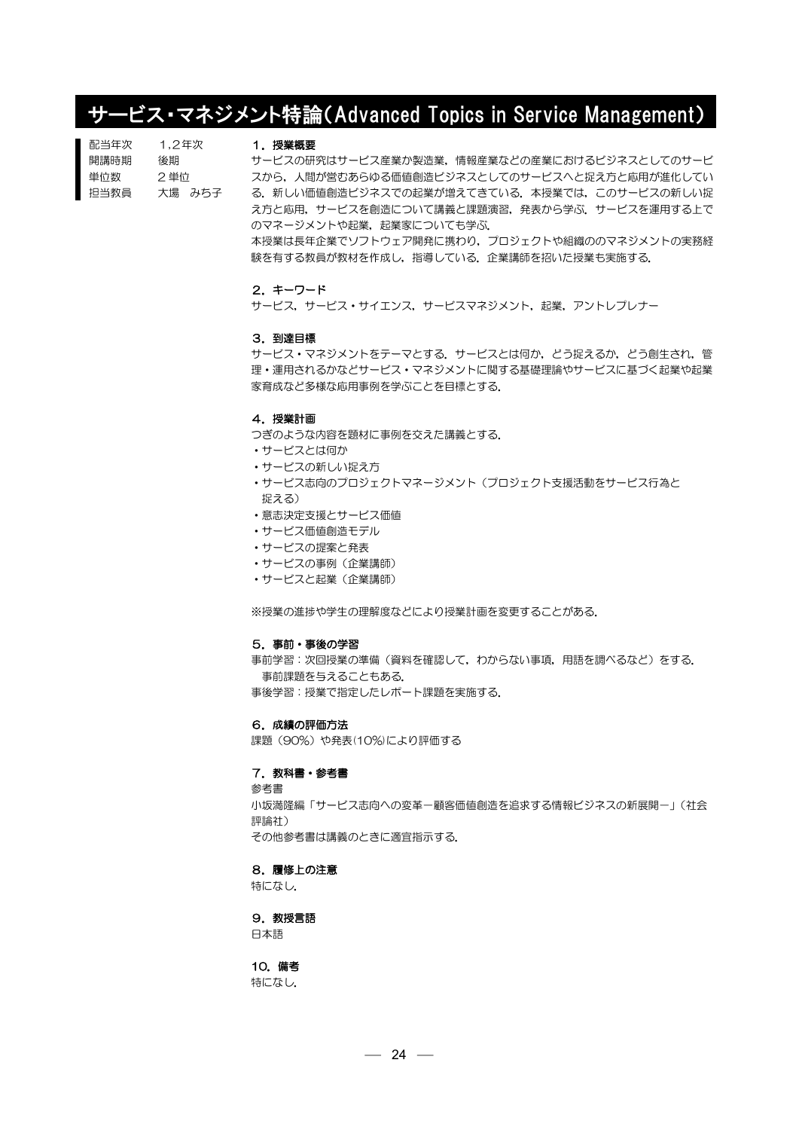# サービス・マネジメント特論(Advanced Topics in Service Management)

| 配当年次 | 1.2年次  |
|------|--------|
| 開講時期 | 後期     |
| 単位数  | 2 単位   |
| 担当教員 | 大場 みち子 |

#### 1.授業概要

サービスの研究はサービス産業か製造業,情報産業などの産業におけるビジネスとしてのサービ スから,人間が営むあらゆる価値創造ビジネスとしてのサービスへと捉え方と応用が進化してい る.新しい価値創造ビジネスでの起業が増えてきている.本授業では,このサービスの新しい捉 え方と応用,サービスを創造について講義と課題演習,発表から学ぶ.サービスを運用する上で のマネージメントや起業,起業家についても学ぶ. 本授業は長年企業でソフトウェア開発に携わり,プロジェクトや組織ののマネジメントの実務経 験を有する教員が教材を作成し,指導している.企業講師を招いた授業も実施する.

#### 2.キーワード

サービス,サービス・サイエンス,サービスマネジメント,起業,アントレプレナー

#### 3.到達目標

サービス・マネジメントをテーマとする.サービスとは何か,どう捉えるか,どう創生され,管 理・運用されるかなどサービス・マネジメントに関する基礎理論やサービスに基づく起業や起業 家育成など多様な応用事例を学ぶことを目標とする.

# 4.授業計画

つぎのような内容を題材に事例を交えた講義とする.

- ・サービスとは何か
- ・サービスの新しい捉え方
- ・サービス志向のプロジェクトマネージメント(プロジェクト支援活動をサービス行為と 捉える)
- ・意志決定支援とサービス価値
- ・サービス価値創造モデル
- ・サービスの提案と発表
- ・サービスの事例(企業講師)
- ・サービスと起業(企業講師)

※授業の進捗や学生の理解度などにより授業計画を変更することがある.

#### 5.事前・事後の学習

事前学習:次回授業の準備(資料を確認して,わからない事項,用語を調べるなど)をする. 事前課題を与えることもある. 事後学習:授業で指定したレポート課題を実施する.

## 6.成績の評価方法

課題 (90%) や発表(10%)により評価する

### 7. 教科書・参考書

参考書 小坂満隆編「サービス志向への変革一顧客価値創造を追求する情報ビジネスの新展開ー」(社会 評論社) その他参考書は講義のときに適宜指示する.

#### 8.履修上の注意

特になし.

# 9. 教授言語

日本語

# 10.備考

特になし.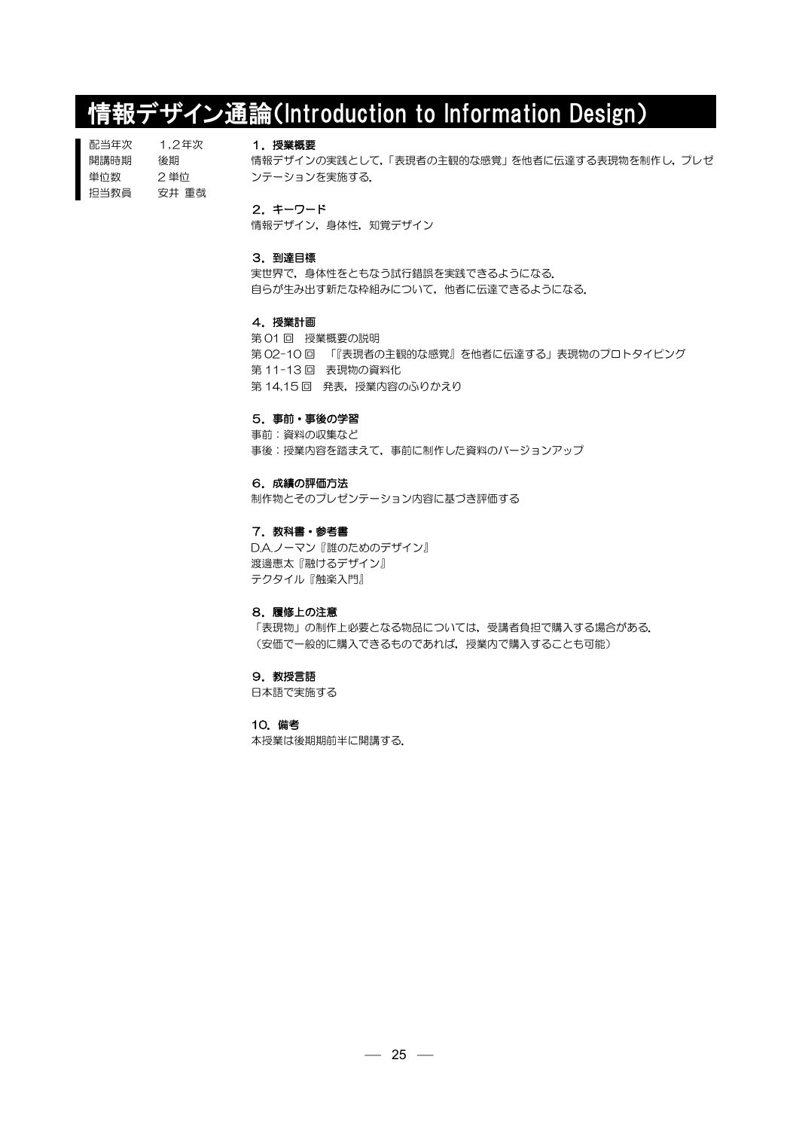# 情報デザイン通論(Introduction to Information Design)

配当年次 開講時期 単位数 担当教員 1,2年次 後期 2 単位 安井 重哉

# 1.授業概要

情報デザインの実践として,「表現者の主観的な感覚」を他者に伝達する表現物を制作し,プレゼ ンテーションを実施する.

2.キーワード

情報デザイン,身体性,知覚デザイン

# 3.到達目標

実世界で、身体性をともなう試行錯誤を実践できるようになる. 自らが生み出す新たな枠組みについて,他者に伝達できるようになる.

# 4.授業計画

第 01 回 授業概要の説明 第 02-10 回 「『表現者の主観的な感覚』を他者に伝達する」表現物のプロトタイピング 第 11-13 回 表現物の資料化 第 14,15 回 発表,授業内容のふりかえり

# 5.事前・事後の学習

事前:資料の収集など 事後:授業内容を踏まえて,事前に制作した資料のバージョンアップ

# 6.成績の評価方法

制作物とそのプレゼンテーション内容に基づき評価する

# 7. 教科書・参考書

D.A.ノーマン『誰のためのデザイン』 渡邊恵太『融けるデザイン』 テクタイル『触楽入門』

# 8.履修上の注意

「表現物」の制作上必要となる物品については,受講者負担で購入する場合がある. (安価で一般的に購入できるものであれば,授業内で購入することも可能)

# 9. 教授言語

日本語で実施する

# 10.備考 本授業は後期期前半に開講する.

 $-25 -$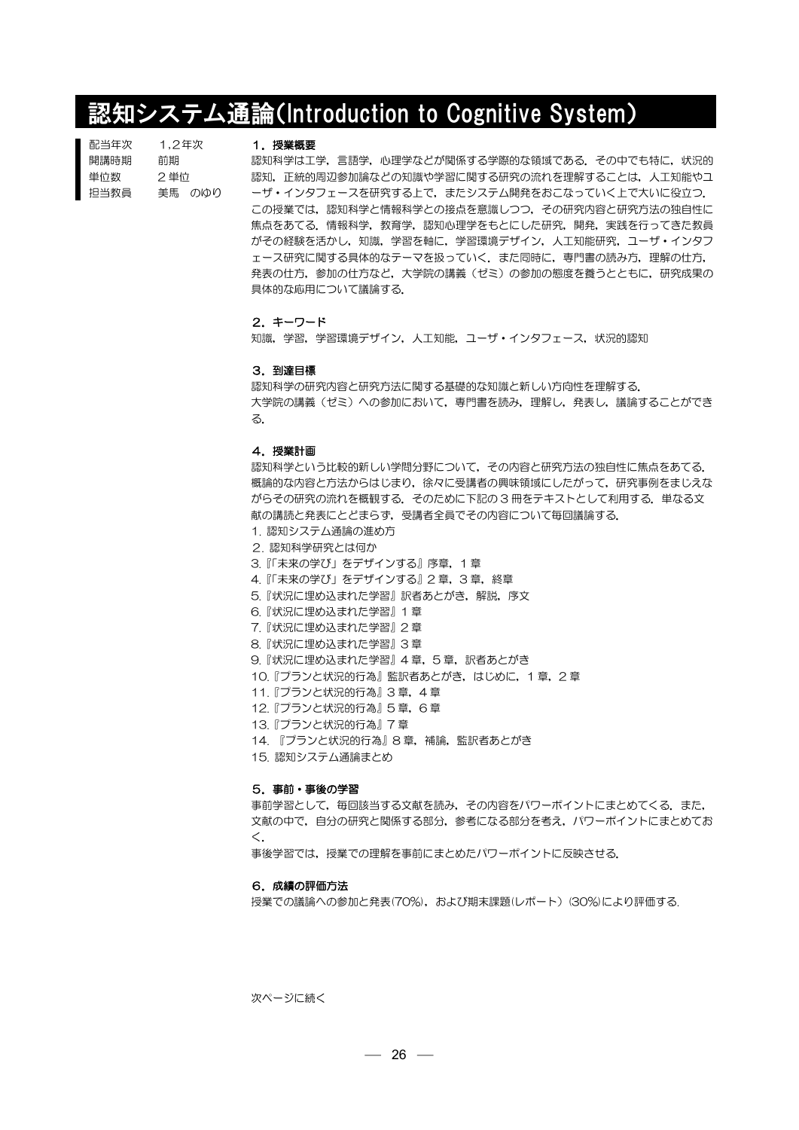# **認知システム通論(Introduction to Cognitive System)**

| 配当年次 | 1.2年次  |
|------|--------|
| 開講時期 | 前期     |
| 単位数  | 2 単位   |
| 担当教員 | 美馬 のゆり |

#### 1.授業概要

認知科学は工学,言語学,心理学などが関係する学際的な領域である.その中でも特に,状況的 認知,正統的周辺参加論などの知識や学習に関する研究の流れを理解することは,人工知能やユ ーザ・インタフェースを研究する上で、またシステム開発をおこなっていく上で大いに役立つ. この授業では,認知科学と情報科学との接点を意識しつつ,その研究内容と研究方法の独自性に 焦点をあてる.情報科学,教育学,認知心理学をもとにした研究,開発,実践を行ってきた教員 がその経験を活かし,知識,学習を軸に,学習環境デザイン,人工知能研究,ユーザ・インタフ ェース研究に関する具体的なテーマを扱っていく.また同時に,専門書の読み方,理解の仕方, 発表の仕方、参加の仕方など、大学院の講義(ゼミ)の参加の態度を養うとともに、研究成果の 具体的な応用について議論する.

# 2.キーワード

知識,学習,学習環境デザイン,人工知能,ユーザ・インタフェース,状況的認知

#### 3.到達目標

認知科学の研究内容と研究方法に関する基礎的な知識と新しい方向性を理解する. 大学院の講義(ゼミ)への参加において,専門書を読み,理解し,発表し,議論することができ る.

# 4.授業計画

認知科学という比較的新しい学問分野について,その内容と研究方法の独自性に焦点をあてる. 概論的な内容と方法からはじまり,徐々に受講者の興味領域にしたがって,研究事例をまじえな がらその研究の流れを概観する. そのために下記の3冊をテキストとして利用する. 単なる文 献の講読と発表にとどまらず,受講者全員でその内容について毎回議論する.

- 1. 認知システム通論の進め方
- 2. 認知科学研究とは何か
- 3.『「未来の学び」をデザインする』序章,1 章
- 4. 『「未来の学び」をデザインする』2章,3章,終章
- 5.『状況に埋め込まれた学習』訳者あとがき、解説,序文
- 6.『状況に埋め込まれた学習』1 章
- 7.『状況に埋め込まれた学習』2 章
- 8.『状況に埋め込まれた学習』3 章
- 9.『状況に埋め込まれた学習』4章,5章,訳者あとがき
- 10.『プランと状況的行為』監訳者あとがき,はじめに,1 章,2 章
	- 11.『プランと状況的行為』3 章,4 章
	- 12.『プランと状況的行為』5 章,6 章
	- 13.『プランと状況的行為』7 章
	- 14. 『プランと状況的行為』8章,補論,監訳者あとがき
	- 15. 認知システム通論まとめ

#### 5.事前・事後の学習

事前学習として,毎回該当する文献を読み,その内容をパワーポイントにまとめてくる.また, 文献の中で,自分の研究と関係する部分,参考になる部分を考え,パワーポイントにまとめてお く.

事後学習では、授業での理解を事前にまとめたパワーポイントに反映させる.

#### 6.成績の評価方法

授業での議論への参加と発表(70%),および期末課題(レポート)(30%)により評価する.

次ページに続く

 $-26$  —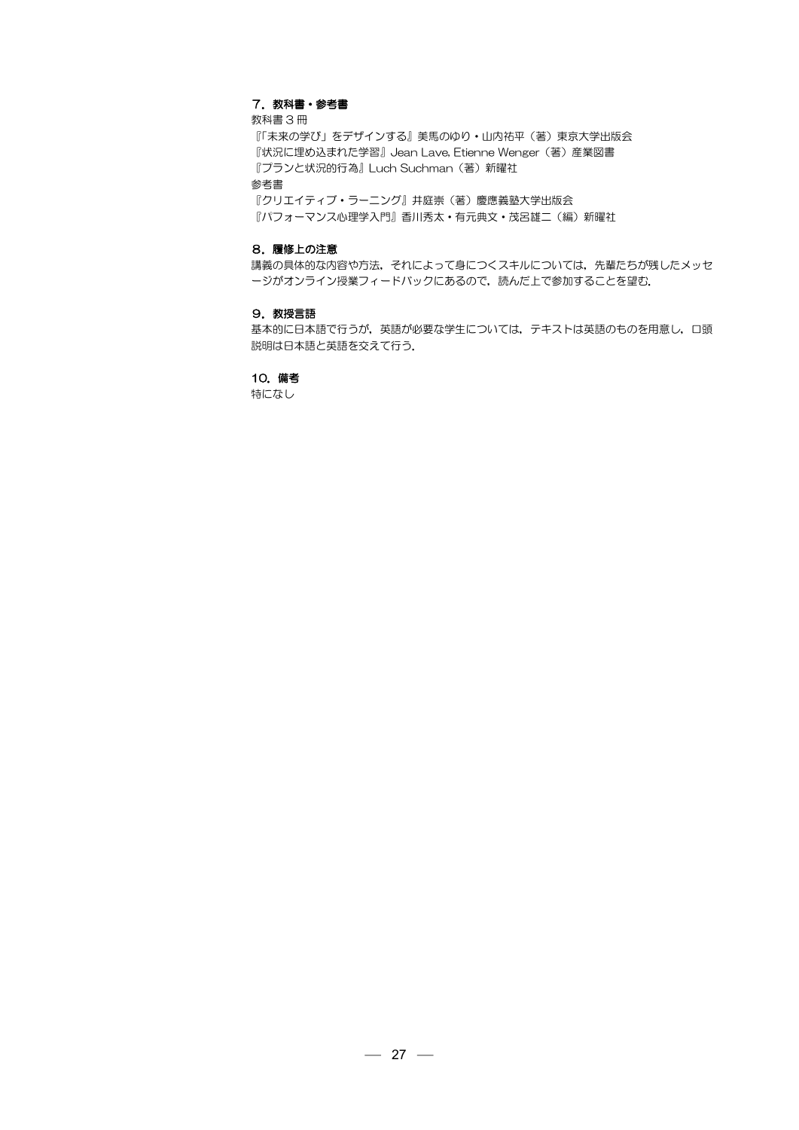# 7. 教科書・参考書

教科書 3 冊

『「未来の学び」をデザインする』美馬のゆり・山内祐平(著)東京大学出版会 『状況に埋め込まれた学習』Jean Lave, Etienne Wenger(著)産業図書 『プランと状況的行為』Luch Suchman(著)新曜社

参考書

『クリエイティブ・ラーニング』井庭崇(著)慶應義塾大学出版会 『パフォーマンス心理学入門』香川秀太·有元典文·茂呂雄二(編)新曜社

#### 8.履修上の注意

講義の具体的な内容や方法,それによって身につくスキルについては,先輩たちが残したメッセ ージがオンライン授業フィードバックにあるので、読んだ上で参加することを望む.

#### 9.教授言語

基本的に日本語で行うが,英語が必要な学生については,テキストは英語のものを用意し,口頭 説明は日本語と英語を交えて行う.

# 10.備考

特になし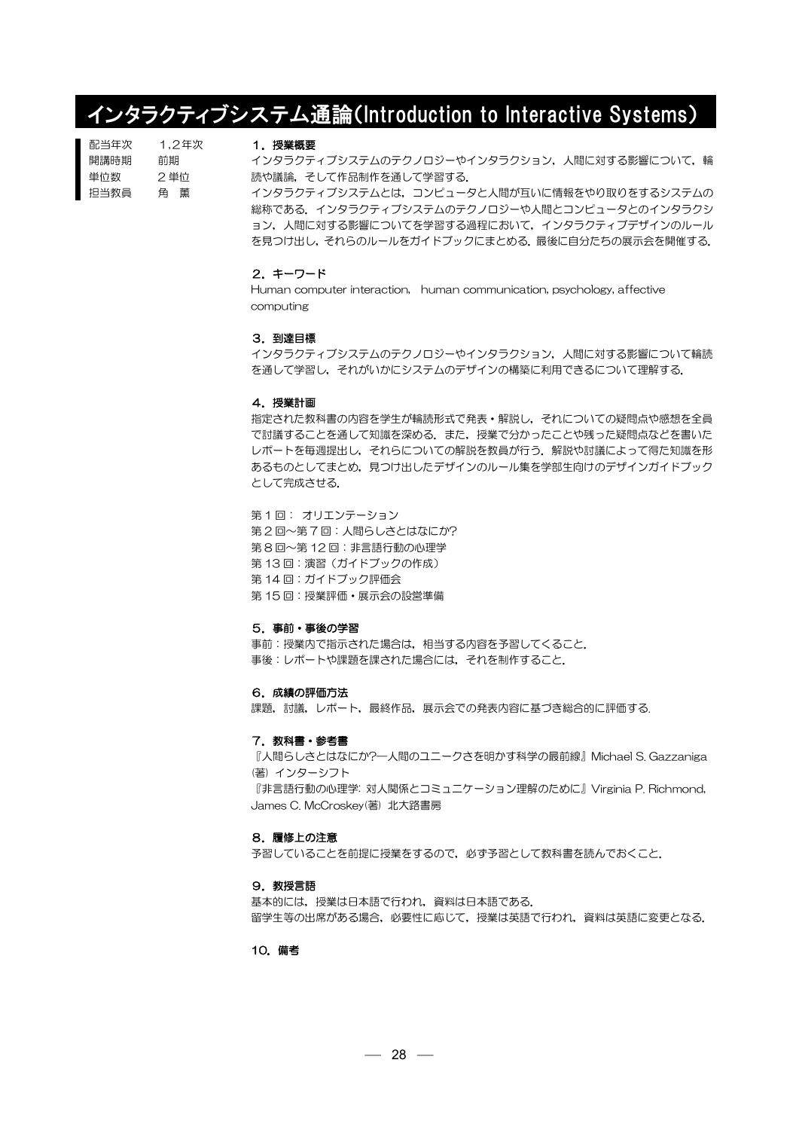# インタラクティブシステム通論(Introduction to Interactive Systems)

| 配当年次 | 1.2年次 |
|------|-------|
| 開講時期 | 前期    |
| 単位数  | 2 単位  |
| 担当教員 | 角 董   |

## 1.授業概要

インタラクティブシステムのテクノロジーやインタラクション、人間に対する影響について、輪 読や議論,そして作品制作を通して学習する.

インタラクティブシステムとは,コンピュータと人間が互いに情報をやり取りをするシステムの 総称である.インタラクティブシステムのテクノロジーや人間とコンピュータとのインタラクシ ョン,人間に対する影響についてを学習する過程において,インタラクティブデザインのルール を見つけ出し,それらのルールをガイドブックにまとめる.最後に自分たちの展示会を開催する.

## 2.キーワード

Human computer interaction, human communication, psychology, affective computing

#### 3.到達目標

インタラクティブシステムのテクノロジーやインタラクション,人間に対する影響について輪読 を通して学習し,それがいかにシステムのデザインの構築に利用できるについて理解する.

#### 4.授業計画

指定された教科書の内容を学生が輪読形式で発表・解説し,それについての疑問点や感想を全員 で討議することを通して知識を深める.また,授業で分かったことや残った疑問点などを書いた レポートを毎週提出し,それらについての解説を教員が行う.解説や討議によって得た知識を形 あるものとしてまとめ,見つけ出したデザインのルール集を学部生向けのデザインガイドブック として完成させる.

第 1 回: オリエンテーション 第2回~第7回:人間らしさとはなにか? 第 8 回~第 12 回:非言語行動の心理学 第13回:演習(ガイドブックの作成) 第 14 回:ガイドブック評価会 第 15 回:授業評価・展示会の設営準備

#### 5.事前・事後の学習

事前:授業内で指示された場合は,相当する内容を予習してくること. 事後:レポートや課題を課された場合には,それを制作すること.

#### 6.成績の評価方法

課題,討議,レポート,最終作品,展示会での発表内容に基づき総合的に評価する.

#### 7. 教科書・参考書

『人間らしさとはなにか?―人間のユニークさを明かす科学の最前線』Michael S. Gazzaniga (著) インターシフト 『非言語行動の心理学: 対人関係とコミュニケーション理解のために』Virginia P. Richmond, James C. McCroskey(著) 北大路書房

# 8.履修上の注意

予習していることを前提に授業をするので,必ず予習として教科書を読んでおくこと.

#### 9.教授言語

基本的には,授業は日本語で行われ,資料は日本語である. 留学生等の出席がある場合,必要性に応じて,授業は英語で行われ,資料は英語に変更となる.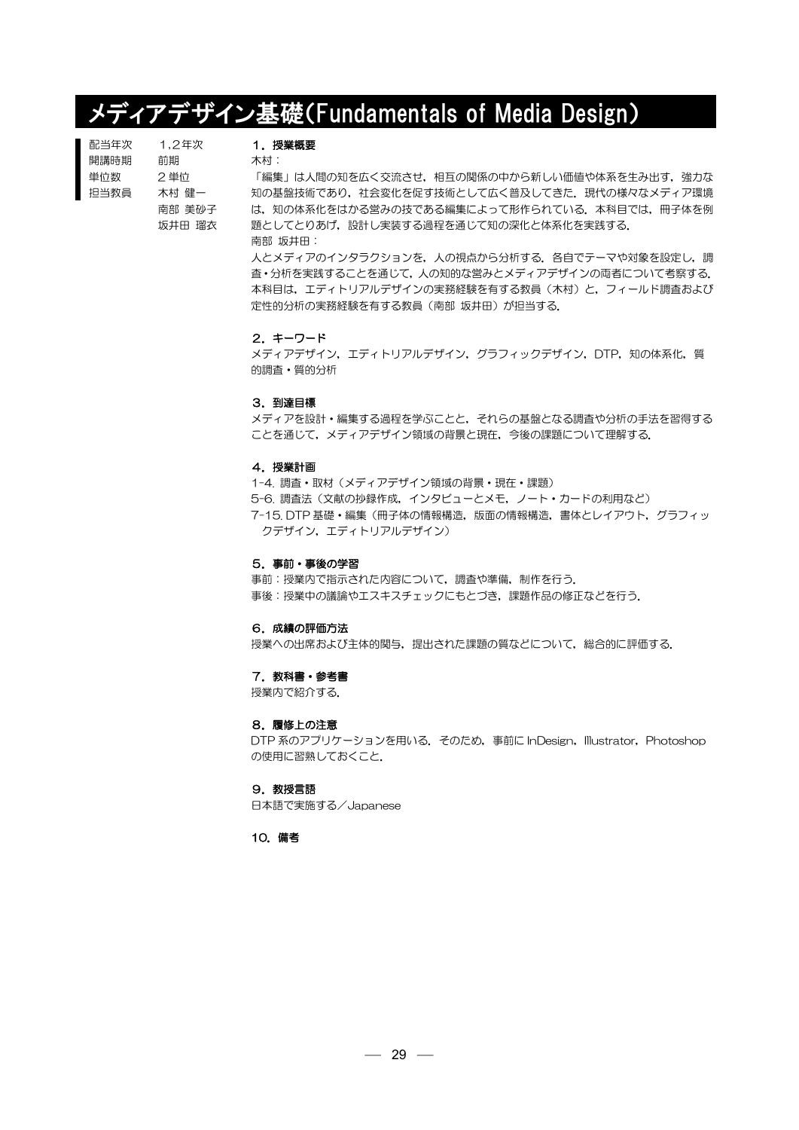# メディアデザイン基礎(Fundamentals of Media Design)

| 配当年次 | 1.2年次  |
|------|--------|
| 開講時期 | 前期     |
| 単位数  | 2 単位   |
| 担当教員 | 木村 健一  |
|      | 南部 美砂子 |
|      | 坂井田 瑠衣 |

# 1.授業概要

木村:

「編集」は人間の知を広く交流させ、相互の関係の中から新しい価値や体系を生み出す、強力な 知の基盤技術であり、社会変化を促す技術として広く普及してきた、現代の様々なメディア環境 は、知の体系化をはかる営みの技である編集によって形作られている. 本科目では、冊子体を例 題としてとりあげ,設計し実装する過程を通じて知の深化と体系化を実践する. 南部 坂井田:

人とメディアのインタラクションを、人の視点から分析する。各自でテーマや対象を設定し,調 査・分析を実践することを通じて,人の知的な営みとメディアデザインの両者について考察する. 本科目は、エディトリアルデザインの実務経験を有する教員(木村)と、フィールド調査および 定性的分析の実務経験を有する教員(南部 坂井田)が担当する.

#### 2.キーワード

メディアデザイン,エディトリアルデザイン,グラフィックデザイン,DTP,知の体系化,質 的調査・質的分析

#### 3.到達目標

メディアを設計・編集する過程を学ぶことと,それらの基盤となる調査や分析の手法を習得する ことを通じて,メディアデザイン領域の背景と現在,今後の課題について理解する.

#### 4.授業計画

1-4. 調査・取材(メディアデザイン領域の背景・現在・課題) 5-6. 調査法(文献の抄録作成,インタビューとメモ,ノート・カードの利用など) 7-15. DTP 基礎・編集(冊子体の情報構造,版面の情報構造,書体とレイアウト,グラフィッ クデザイン,エディトリアルデザイン)

#### 5.事前・事後の学習

事前:授業内で指示された内容について,調査や準備,制作を行う. 事後:授業中の議論やエスキスチェックにもとづき,課題作品の修正などを行う.

#### 6.成績の評価方法

授業への出席および主体的関与,提出された課題の質などについて,総合的に評価する.

### 7. 教科書・参考書

授業内で紹介する.

#### 8.履修上の注意

DTP 系のアプリケーションを用いる. そのため,事前に InDesign, Illustrator, Photoshop の使用に習熟しておくこと.

# 9. 教授言語

日本語で実施する/Japanese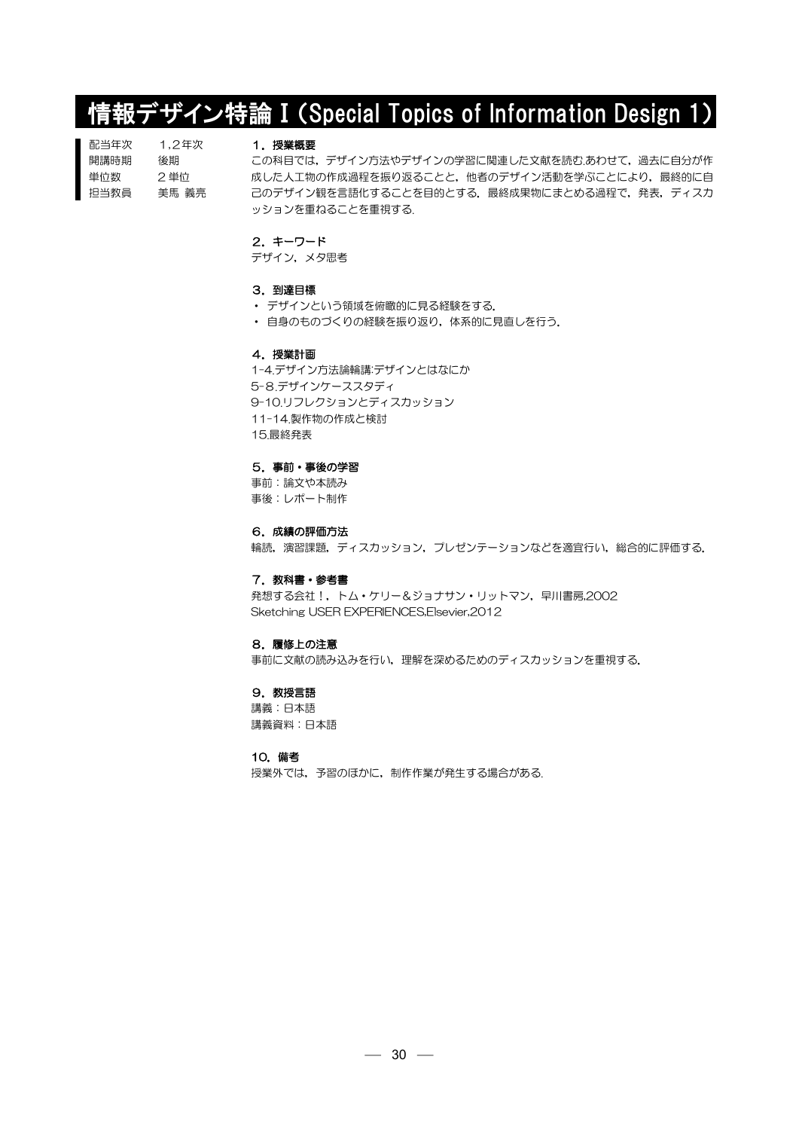# 情報デザイン特論 I (Special Topics of Information Design 1)

| 配当年次 | 1.2年次 |
|------|-------|
| 開講時期 | 後期    |
| 単位数  | 2 単位  |
| 担当教員 | 美馬 義亮 |

#### 1.授業概要

この科目では、デザイン方法やデザインの学習に関連した文献を読む.あわせて、過去に自分が作 成した人工物の作成過程を振り返ることと、他者のデザイン活動を学ぶことにより、最終的に自 己のデザイン観を言語化することを目的とする. 最終成果物にまとめる過程で,発表,ディスカ ッションを重ねることを重視する.

## 2.キーワード

デザイン,メタ思考

# 3.到達目標

- デザインという領域を俯瞰的に見る経験をする.
- ・ 自身のものづくりの経験を振り返り,体系的に見直しを行う.

### 4.授業計画

1-4.デザイン方法論輪講:デザインとはなにか 5-8.デザインケーススタディ 9-10.リフレクションとディスカッション 11-14.製作物の作成と検討 15.最終発表

#### 5.事前・事後の学習

事前:論文や本読み 事後:レポート制作

#### 6.成績の評価方法

輪読,演習課題,ディスカッション,プレゼンテーションなどを適宜行い,総合的に評価する.

## 7. 教科書・参考書

発想する会社!,トム・ケリー&ジョナサン・リットマン,早川書房,2002 Sketching USER EXPERIENCES,Elsevier,2012

#### 8.履修上の注意

事前に文献の読み込みを行い,理解を深めるためのディスカッションを重視する.

# 9. 教授言語

講義:日本語 講義資料:日本語

#### 10.備考

授業外では,予習のほかに,制作作業が発生する場合がある.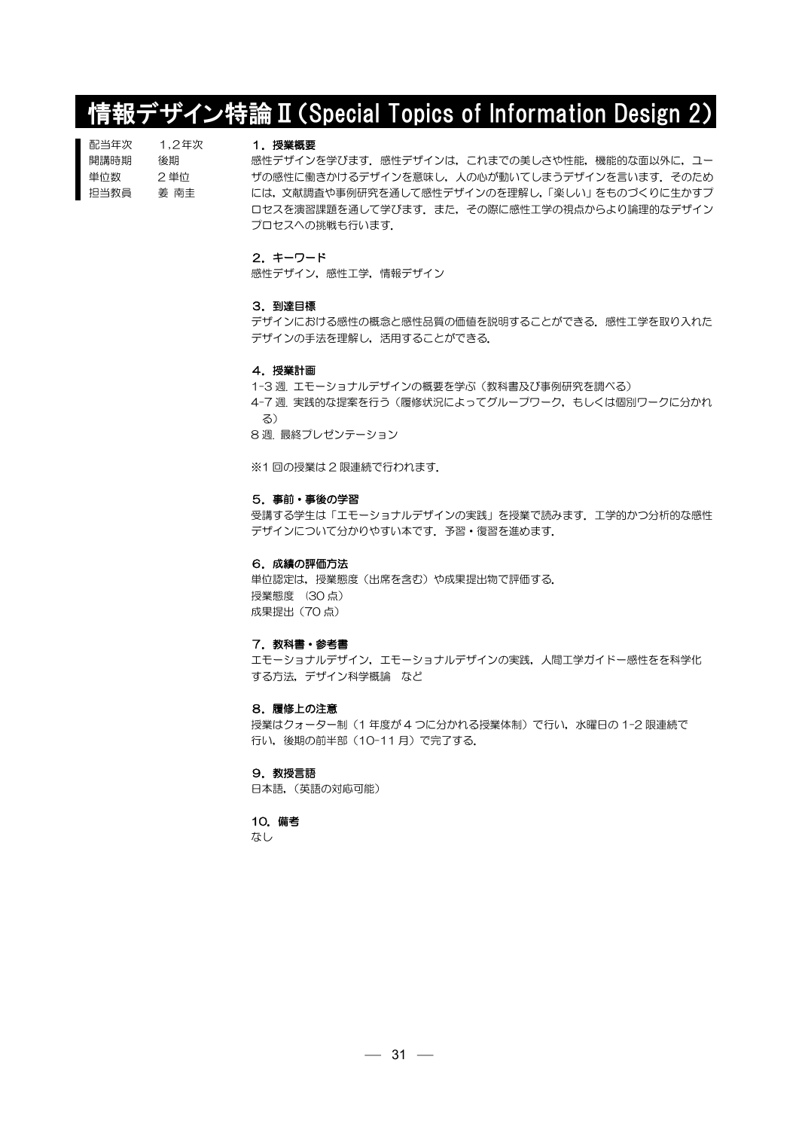# 情報デザイン特論Ⅱ(Special Topics of Information Design 2)

| 配当年次 | 1.2年次 |
|------|-------|
| 開講時期 | 後期    |
| 単位数  | 2 単位  |
| 抇当教員 | 姜 南丰  |

# 1.授業概要

感性デザインを学びます.感性デザインは,これまでの美しさや性能,機能的な面以外に,ユー ザの感性に働きかけるデザインを意味し、人の心が動いてしまうデザインを言います。そのため には,文献調査や事例研究を通して感性デザインのを理解し,「楽しい」をものづくりに生かすプ ロセスを演習課題を通して学びます.また,その際に感性工学の視点からより論理的なデザイン プロセスへの挑戦も行います.

### 2.キーワード

感性デザイン,感性工学,情報デザイン

#### 3.到達目標

デザインにおける感性の概念と感性品質の価値を説明することができる. 感性工学を取り入れた デザインの手法を理解し,活用することができる.

#### 4.授業計画

1-3 週. エモーショナルデザインの概要を学ぶ(教科書及び事例研究を調べる) 4-7 週. 実践的な提案を行う(履修状況によってグループワーク,もしくは個別ワークに分かれ る) 8 週. 最終プレゼンテーション

※1 回の授業は 2 限連続で行われます.

# 5.事前・事後の学習

受講する学生は「エモーショナルデザインの実践」を授業で読みます.工学的かつ分析的な感性 デザインについて分かりやすい本です. 予習・復習を進めます.

#### 6.成績の評価方法

単位認定は,授業態度(出席を含む)や成果提出物で評価する. 授業態度 (30 点) 成果提出(70 点)

#### 7. 教科書・参考書

エモーショナルデザイン,エモーショナルデザインの実践,人間工学ガイドー感性をを科学化 する方法,デザイン科学概論 など

#### 8.履修上の注意

授業はクォーター制(1年度が4つに分かれる授業体制)で行い、水曜日の 1-2 限連続で 行い,後期の前半部(10-11 月)で完了する.

9.教授言語 日本語,(英語の対応可能)

#### 10.備考

なし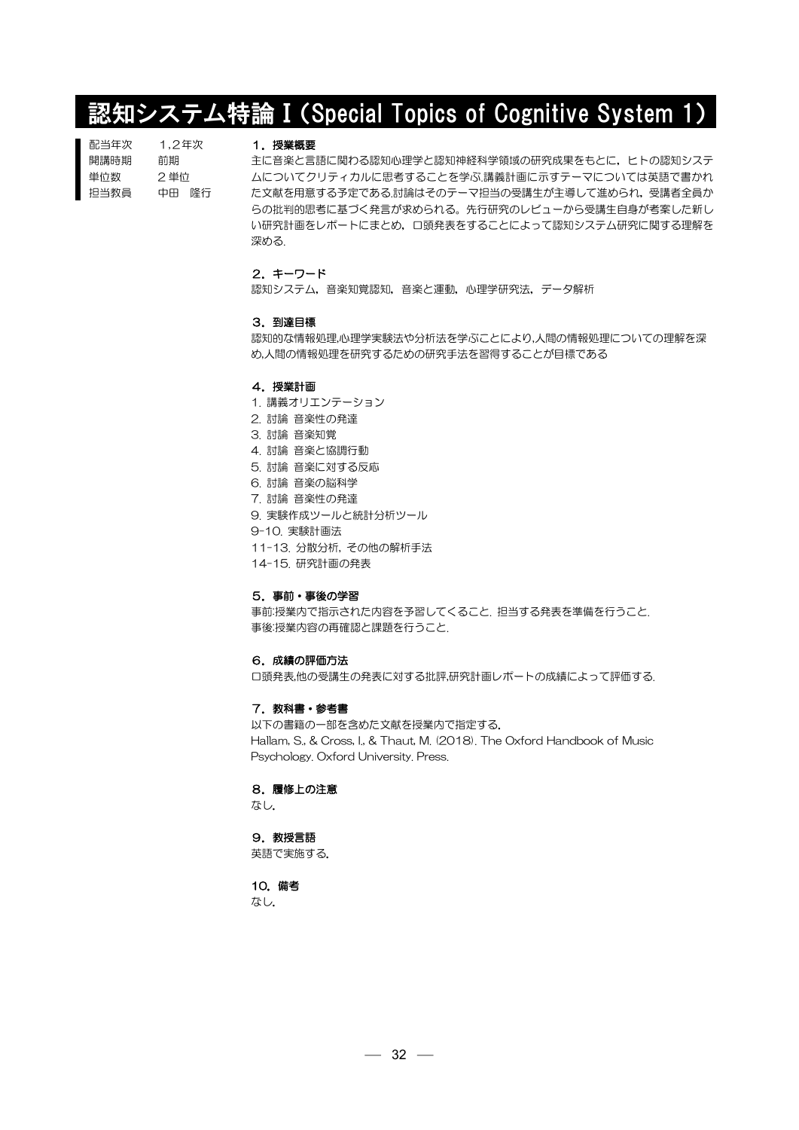# 認知システム特論Ⅰ(Special Topics of Cognitive System 1)

| 配当年次 | 1.2年次 |
|------|-------|
| 開講時期 | 前期    |
| 単位数  | 2 単位  |
| 担当教員 | 中田 降行 |

# 1.授業概要

主に音楽と言語に関わる認知心理学と認知神経科学領域の研究成果をもとに,ヒトの認知システ ムについてクリティカルに思考することを学ぶ.講義計画に示すテーマについては英語で書かれ た文献を用意する予定である.討論はそのテーマ担当の受講生が主導して進められ,受講者全員か らの批判的思考に基づく発言が求められる。先行研究のレビューから受講生自身が考案した新し い研究計画をレポートにまとめ,口頭発表をすることによって認知システム研究に関する理解を 深める.

# 2.キーワード

認知システム,音楽知覚認知,音楽と運動,心理学研究法,データ解析

#### 3.到達目標

認知的な情報処理,心理学実験法や分析法を学ぶことにより,人間の情報処理についての理解を深 め,人間の情報処理を研究するための研究手法を習得することが目標である

# 4.授業計画

- 1. 講義オリエンテーション
- 2. 討論 音楽性の発達
- 3. 討論 音楽知覚
- 4. 討論 音楽と協調行動
- 5. 討論 音楽に対する反応
- 6. 討論 音楽の脳科学
- 7. 討論 音楽性の発達
- 9. 実験作成ツールと統計分析ツール
- 9-10. 実験計画法
- 11-13. 分散分析, その他の解析手法
- 14-15. 研究計画の発表

## 5.事前・事後の学習

事前:授業内で指示された内容を予習してくること. 担当する発表を準備を行うこと. 事後:授業内容の再確認と課題を行うこと.

# 6.成績の評価方法

口頭発表,他の受講生の発表に対する批評,研究計画レポートの成績によって評価する.

#### 7. 教科書・参考書

以下の書籍の一部を含めた文献を授業内で指定する. Hallam, S., & Cross, I., & Thaut, M. (2018). The Oxford Handbook of Music Psychology. Oxford University. Press.

# 8.履修上の注意

なし.

### 9. 教授言語

英語で実施する.

10.備考

なし.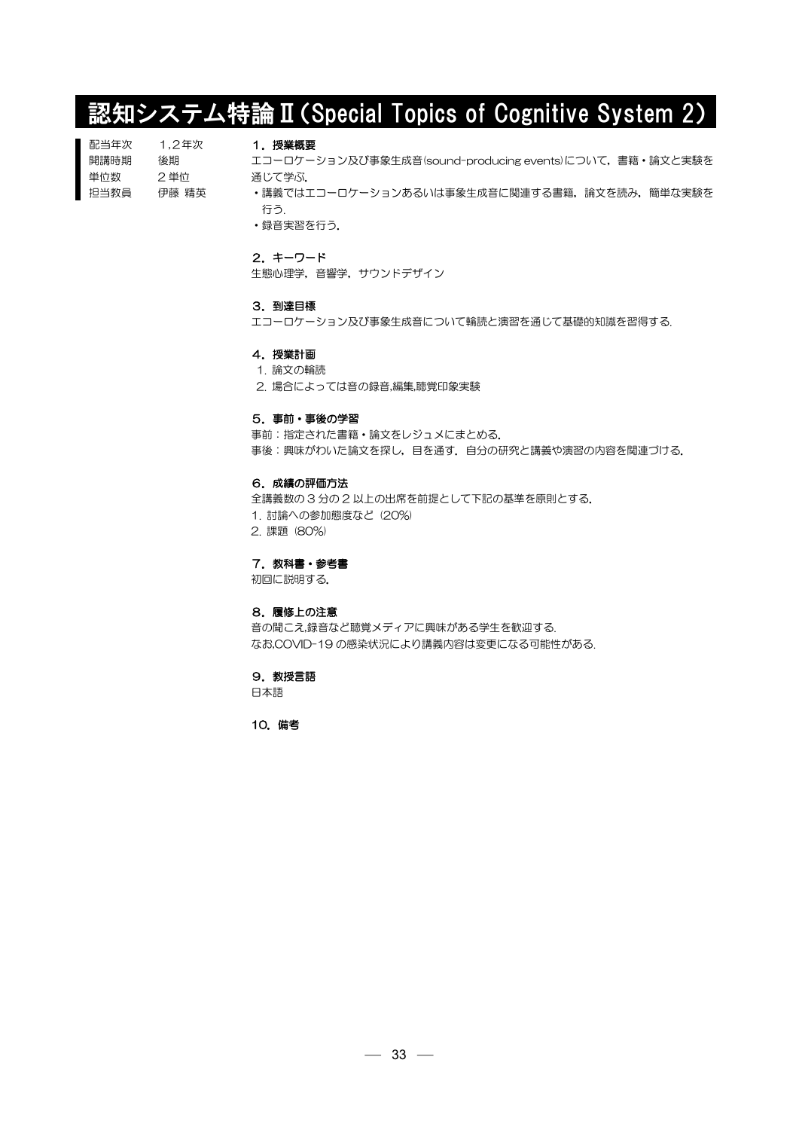# 認知システム特論Ⅱ(Special Topics of Cognitive System 2)

| 配当年次 | 1.2年次 |
|------|-------|
| 開講時期 | 後期    |
| 単位数  | 2 単位  |
| 抇当教員 | 伊藤 精英 |

# 1.授業概要

エコーロケーション及び事象生成音(sound-producing events)について,書籍・論文と実験を 通じて学ぶ.

•講義ではエコーロケーションあるいは事象生成音に関連する書籍,論文を読み,簡単な実験を 行う.

・録音実習を行う.

# 2.キーワード

生態心理学,音響学,サウンドデザイン

## 3.到達目標

エコーロケーション及び事象生成音について輪読と演習を通じて基礎的知識を習得する.

#### 4.授業計画

#### 1. 論文の輪読

2. 場合によっては音の録音,編集,聴覚印象実験

## 5.事前・事後の学習

事前:指定された書籍・論文をレジュメにまとめる. 事後:興味がわいた論文を探し,目を通す.自分の研究と講義や演習の内容を関連づける.

# 6.成績の評価方法

全講義数の 3 分の 2 以上の出席を前提として下記の基準を原則とする.

- 1. 討論への参加態度など (20%)
- 2. 課題 (80%)

7. 教科書・参考書

初回に説明する.

## 8.履修上の注意

音の聞こえ,録音など聴覚メディアに興味がある学生を歓迎する. なお,COVID-19 の感染状況により講義内容は変更になる可能性がある.

#### 9.教授言語

日本語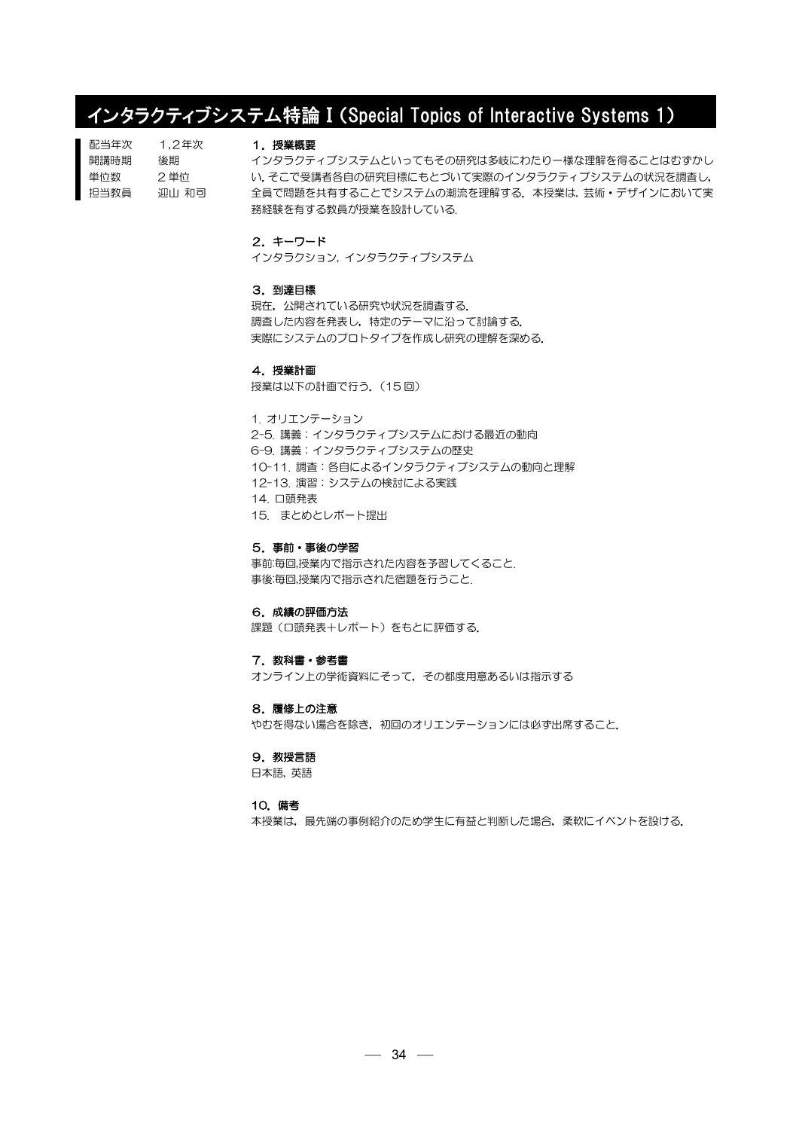# インタラクティブシステム特論Ⅰ(Special Topics of Interactive Systems 1)

| 配当年次 | 1.2年次 |
|------|-------|
| 開講時期 | 後期    |
| 単位数  | 2 単位  |
| 担当教員 | 迎山 和司 |

#### 1.授業概要

インタラクティブシステムといってもその研究は多岐にわたり一様な理解を得ることはむずかし い.そこで受講者各自の研究目標にもとづいて実際のインタラクティブシステムの状況を調査し, 全員で問題を共有することでシステムの潮流を理解する. 本授業は, 芸術·デザインにおいて実 務経験を有する教員が授業を設計している.

# 2.キーワード

インタラクション, インタラクティブシステム

## 3.到達目標

現在,公開されている研究や状況を調査する. 調査した内容を発表し,特定のテーマに沿って討論する. 実際にシステムのプロトタイプを作成し研究の理解を深める.

#### 4.授業計画

授業は以下の計画で行う. (15回)

1. オリエンテーション 2-5. 講義:インタラクティブシステムにおける最近の動向 6-9. 講義:インタラクティブシステムの歴史 10-11. 調査:各自によるインタラクティブシステムの動向と理解 12-13. 演習:システムの検討による実践 14. 口頭発表 15. まとめとレポート提出

5.事前・事後の学習

事前:毎回,授業内で指示された内容を予習してくること. 事後:毎回,授業内で指示された宿題を行うこと.

# 6.成績の評価方法

課題(口頭発表+レポート)をもとに評価する.

#### 7.教科書・参考書

オンライン上の学術資料にそって,その都度用意あるいは指示する

## 8.履修上の注意

やむを得ない場合を除き,初回のオリエンテーションには必ず出席すること.

# 9. 教授言語

日本語, 英語

#### 10.備考

本授業は、最先端の事例紹介のため学生に有益と判断した場合、柔軟にイベントを設ける.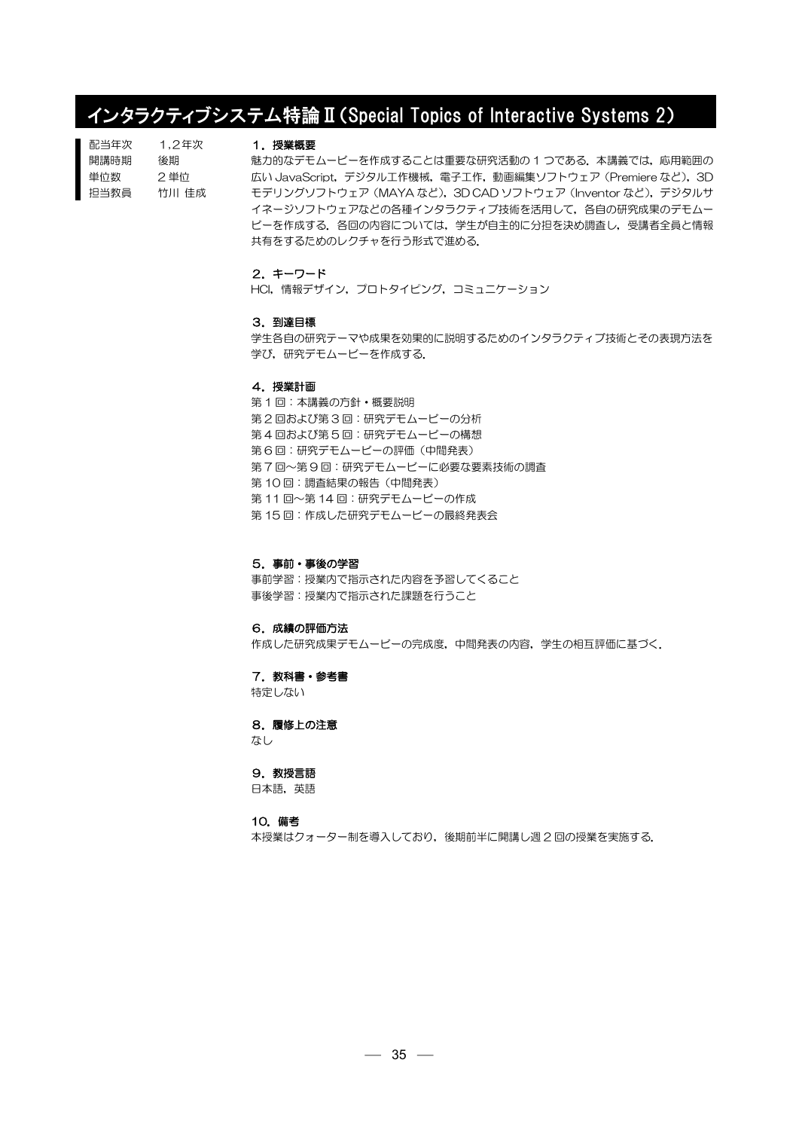# インタラクティブシステム特論Ⅱ(Special Topics of Interactive Systems 2)

| 配当年次 | 1.2年次 |
|------|-------|
| 開講時期 | 後期    |
| 単位数  | 2 単位  |
| 担当教員 | 竹川 仹成 |

#### 1.授業概要

魅力的なデモムービーを作成することは重要な研究活動の 1 つである. 本講義では,応用範囲の 広い JavaScript, デジタル工作機械, 電子工作, 動画編集ソフトウェア (Premiere など), 3D モデリングソフトウェア(MAYA など),3D CAD ソフトウェア(Inventor など),デジタルサ イネージソフトウェアなどの各種インタラクティブ技術を活用して,各自の研究成果のデモムー ビーを作成する.各回の内容については,学生が自主的に分担を決め調査し,受講者全員と情報 共有をするためのレクチャを行う形式で進める.

# 2.キーワード

HCI,情報デザイン,プロトタイピング,コミュニケーション

#### 3.到達目標

学生各自の研究テーマや成果を効果的に説明するためのインタラクティブ技術とその表現方法を 学び,研究デモムービーを作成する.

#### 4.授業計画

第 1 回:本講義の方針・概要説明 第 2 回および第 3 回:研究デモムービーの分析 第 4 回および第 5 回:研究デモムービーの構想 第 6 回:研究デモムービーの評価(中間発表) 第 7 回~第 9 回:研究デモムービーに必要な要素技術の調査 第 10 回:調査結果の報告(中間発表) 第 11 回~第 14 回:研究デモムービーの作成 第15回:作成した研究デモムービーの最終発表会

#### 5.事前・事後の学習

事前学習:授業内で指示された内容を予習してくること 事後学習:授業内で指示された課題を行うこと

#### 6.成績の評価方法

作成した研究成果デモムービーの完成度,中間発表の内容,学生の相互評価に基づく.

# 7. 教科書・参考書

特定しない

#### 8.履修上の注意

なし

#### 9.教授言語

日本語,英語

#### 10.備考

本授業はクォーター制を導入しており,後期前半に開講し週 2 回の授業を実施する.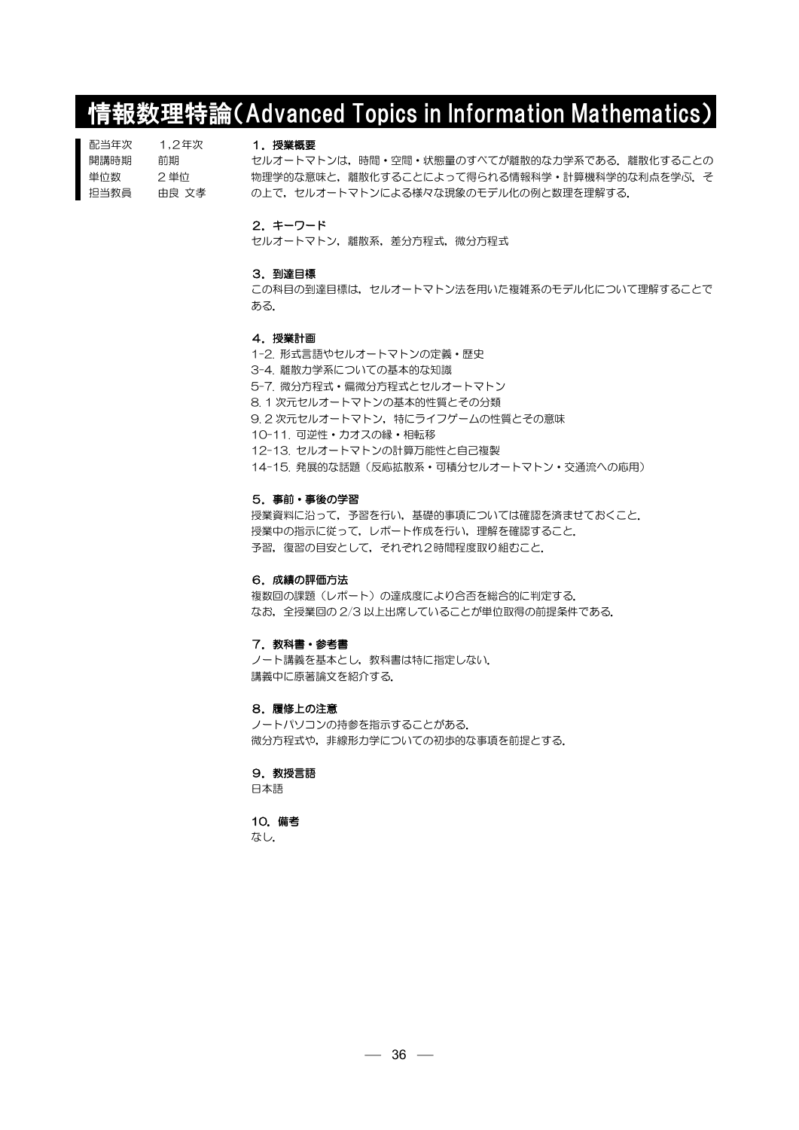# 情報数理特論(Advanced Topics in Information Mathematics)

| 配当年次 | 1.2年次 |
|------|-------|
| 開講時期 | 前期    |
| 単位数  | 2 単位  |
| 担当教員 | 由良 文孝 |

# 1.授業概要

セルオートマトンは,時間・空間・状態量のすべてが離散的な力学系である.離散化することの 物理学的な意味と、離散化することによって得られる情報科学·計算機科学的な利点を学ぶ、そ の上で、セルオートマトンによる様々な現象のモデル化の例と数理を理解する.

### 2.キーワード

セルオートマトン,離散系,差分方程式,微分方程式

#### 3.到達目標

この科目の到達目標は,セルオートマトン法を用いた複雑系のモデル化について理解することで ある.

#### 4.授業計画

1-2. 形式言語やセルオートマトンの定義・歴史 3-4. 離散力学系についての基本的な知識 5-7. 微分方程式・偏微分方程式とセルオートマトン 8. 1 次元セルオートマトンの基本的性質とその分類 9. 2 次元セルオートマトン,特にライフゲームの性質とその意味 10-11. 可逆性・カオスの縁・相転移 12-13. セルオートマトンの計算万能性と自己複製 14-15. 発展的な話題(反応拡散系・可積分セルオートマトン・交通流への応用)

#### 5.事前・事後の学習

授業資料に沿って,予習を行い,基礎的事項については確認を済ませておくこと. 授業中の指示に従って,レポート作成を行い,理解を確認すること. 予習,復習の目安として、それぞれ2時間程度取り組むこと.

#### 6.成績の評価方法

複数回の課題(レポート)の達成度により合否を総合的に判定する. なお、全授業回の 2/3 以上出席していることが単位取得の前提条件である.

#### 7. 教科書・参考書

ノート講義を基本とし、教科書は特に指定しない. 講義中に原著論文を紹介する.

#### 8.履修上の注意

ノートパソコンの持参を指示することがある. 微分方程式や,非線形力学についての初歩的な事項を前提とする.

#### 9.教授言語

日本語

#### 10.備考

なし.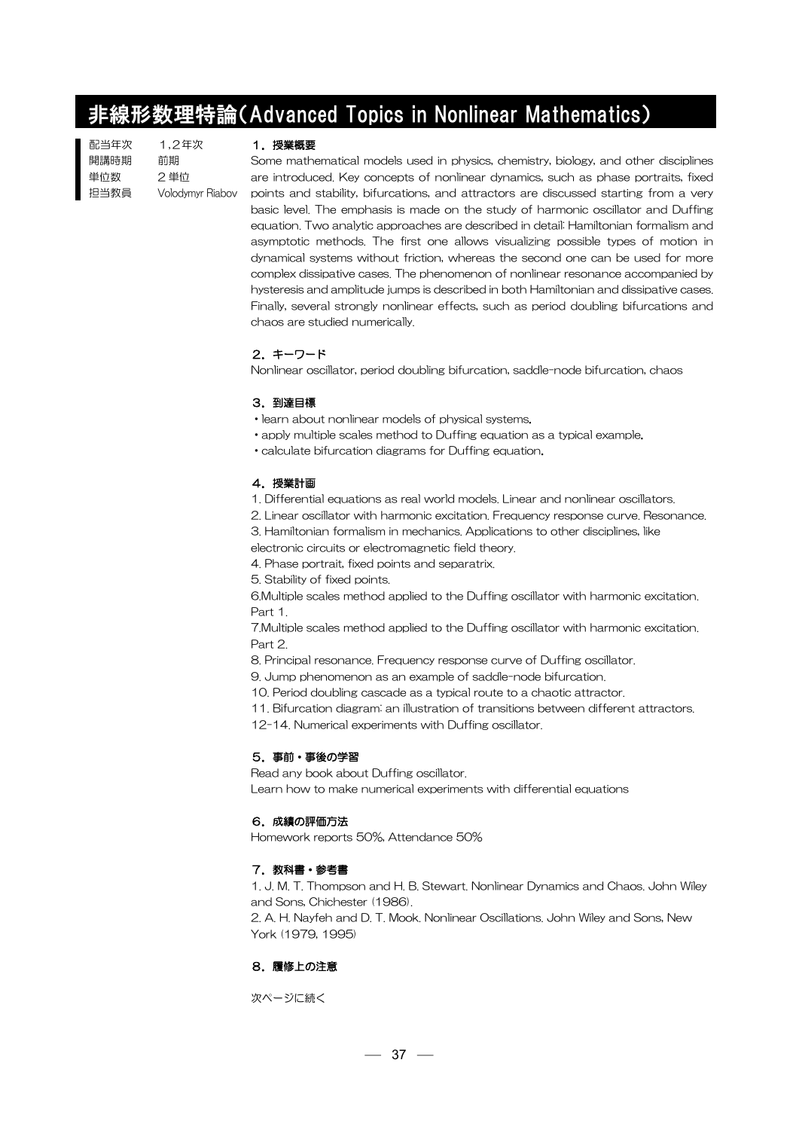# 非線形数理特論(Advanced Topics in Nonlinear Mathematics)

| 配当年次 | 1.2年次                   |
|------|-------------------------|
| 開講時期 | 前期                      |
| 単位数  | 2単位                     |
| 担当教員 | <b>Volodymyr Riabov</b> |
|      |                         |

#### 1. 授業概要

Some mathematical models used in physics, chemistry, biology, and other disciplines are introduced. Key concepts of nonlinear dynamics, such as phase portraits, fixed points and stability, bifurcations, and attractors are discussed starting from a very basic level. The emphasis is made on the study of harmonic oscillator and Duffing equation. Two analytic approaches are described in detail: Hamiltonian formalism and asymptotic methods. The first one allows visualizing possible types of motion in dynamical systems without friction, whereas the second one can be used for more complex dissipative cases. The phenomenon of nonlinear resonance accompanied by hysteresis and amplitude jumps is described in both Hamiltonian and dissipative cases. Finally, several strongly nonlinear effects, such as period doubling bifurcations and chaos are studied numerically.

# 2.キーワード

Nonlinear oscillator, period doubling bifurcation, saddle-node bifurcation, chaos

# 3.到達目標

・learn about nonlinear models of physical systems.

・apply multiple scales method to Duffing equation as a typical example.

・calculate bifurcation diagrams for Duffing equation.

# 4.授業計画

1. Differential equations as real world models. Linear and nonlinear oscillators.

2. Linear oscillator with harmonic excitation. Frequency response curve. Resonance.

3. Hamiltonian formalism in mechanics. Applications to other disciplines, like

electronic circuits or electromagnetic field theory.

4. Phase portrait, fixed points and separatrix.

5. Stability of fixed points.

6.Multiple scales method applied to the Duffing oscillator with harmonic excitation. Part 1.

7.Multiple scales method applied to the Duffing oscillator with harmonic excitation. Part 2.

8. Principal resonance. Frequency response curve of Duffing oscillator.

9. Jump phenomenon as an example of saddle-node bifurcation.

10. Period doubling cascade as a typical route to a chaotic attractor.

11. Bifurcation diagram: an illustration of transitions between different attractors.

12-14. Numerical experiments with Duffing oscillator.

# 5.事前・事後の学習

Read any book about Duffing oscillator. Learn how to make numerical experiments with differential equations

# 6.成績の評価方法

Homework reports 50%, Attendance 50%

# 7. 教科書・参考書

1. J. M. T. Thompson and H. B. Stewart. Nonlinear Dynamics and Chaos. John Wiley and Sons, Chichester (1986).

2. A. H. Nayfeh and D. T. Mook. Nonlinear Oscillations. John Wiley and Sons, New York (1979, 1995)

# 8.履修上の注意

次ページに続く

 $-37 =$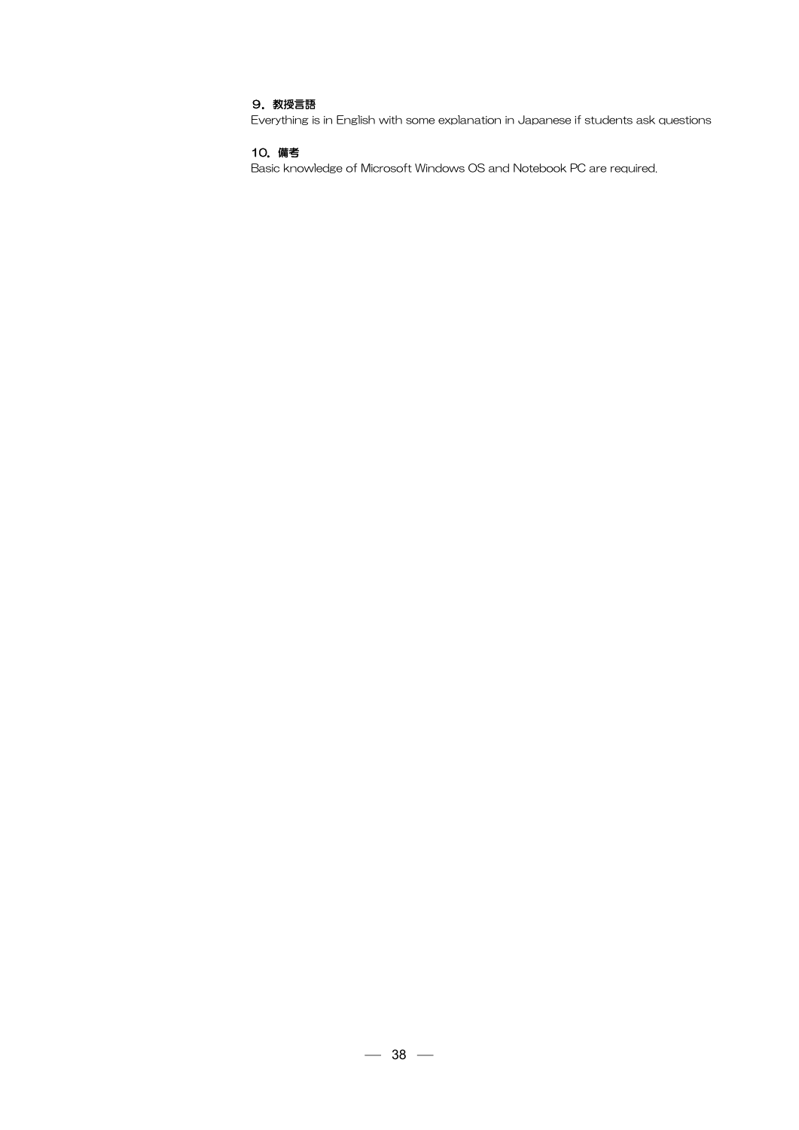# 9. 教授言語

Everything is in English with some explanation in Japanese if students ask questions

# 10.備考

Basic knowledge of Microsoft Windows OS and Notebook PC are required.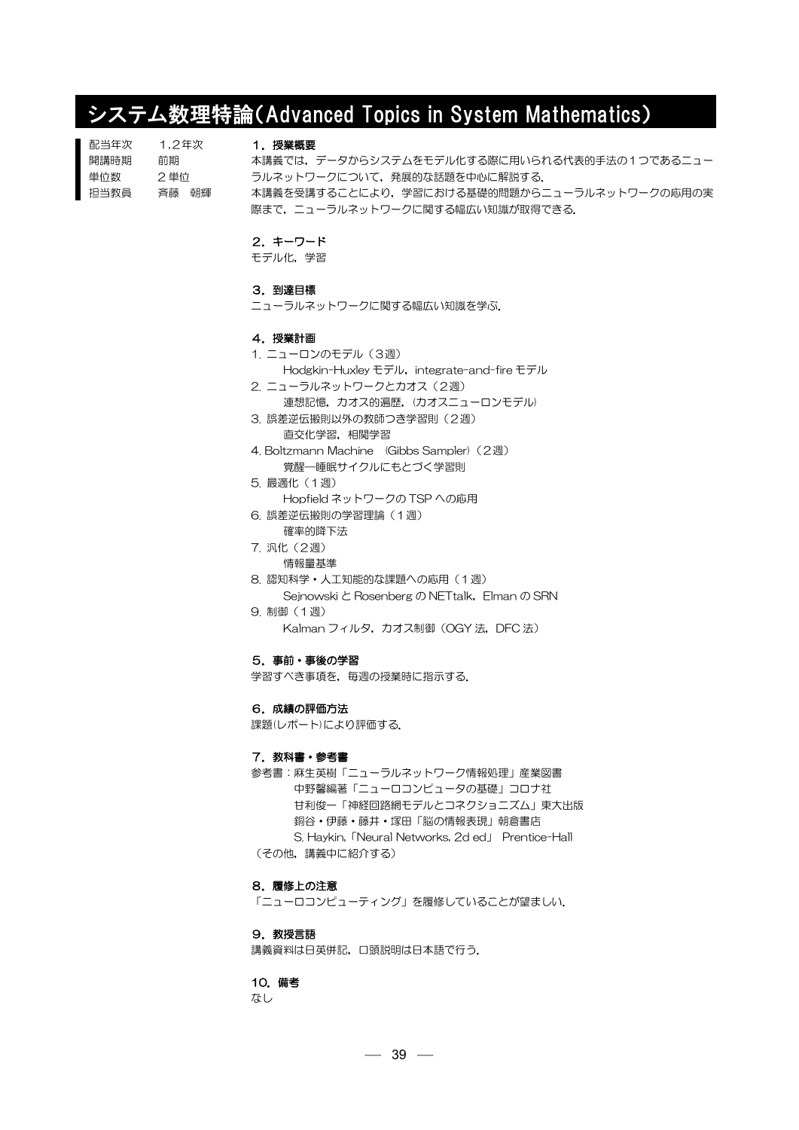# システム数理特論(Advanced Topics in System Mathematics)

| 配当年次 | 1.2年次 |  |
|------|-------|--|
| 開講時期 | 前期    |  |
| 単位数  | 2 単位  |  |
| 担当教員 | 吝藤 朝輝 |  |

#### 1.授業概要

本講義では,データからシステムをモデル化する際に用いられる代表的手法の1つであるニュー ラルネットワークについて,発展的な話題を中心に解説する. 本講義を受講することにより,学習における基礎的問題からニューラルネットワークの応用の実 際まで、ニューラルネットワークに関する幅広い知識が取得できる.

## 2.キーワード

モデル化,学習

## 3.到達目標

**ニューラルネットワークに関する幅広い知識を学ぶ.** 

#### 4.授業計画

#### 1. ニューロンのモデル(3週)

Hodgkin-Huxley モデル, integrate-and-fire モデル

- 2. ニューラルネットワークとカオス(2週)
	- 連想記憶,力オス的遍歴,(カオスニューロンモデル)
- 3. 誤差逆伝搬則以外の教師つき学習則(2週) 直交化学習,相関学習
- 4. Boltzmann Machine (Gibbs Sampler) (2週) 覚醒―睡眠サイクルにもとづく学習則
- 5. 最適化(1週) Hopfield ネットワークの TSP への応用 6. 誤差逆伝搬則の学習理論(1週)
- 確率的降下法
- 7. 汎化(2週)
- 情報量基準
- 8. 認知科学・人工知能的な課題への応用(1週) Sejnowski と Rosenberg の NETtalk,Elman の SRN
- 9. 制御(1週)
	- Kalman フィルタ, カオス制御 (OGY 法, DFC 法)

### 5.事前・事後の学習

学習すべき事項を,毎週の授業時に指示する.

## 6.成績の評価方法

課題(レポート)により評価する.

### 7. 教科書・参考書

参考書:麻生英樹「ニューラルネットワーク情報処理」産業図書 中野馨編著「ニューロコンピュータの基礎」コロナ社 甘利俊一「神経回路網モデルとコネクショニズム」東大出版 銅谷・伊藤・藤井・塚田「脳の情報表現」朝倉書店 S. Haykin,「Neural Networks, 2d ed」 Prentice-Hall (その他,講義中に紹介する)

#### 8.履修上の注意

「ニューロコンピューティング」を履修していることが望ましい.

### 9. 教授言語

講義資料は日英併記,口頭説明は日本語で行う.

#### 10.備考

なし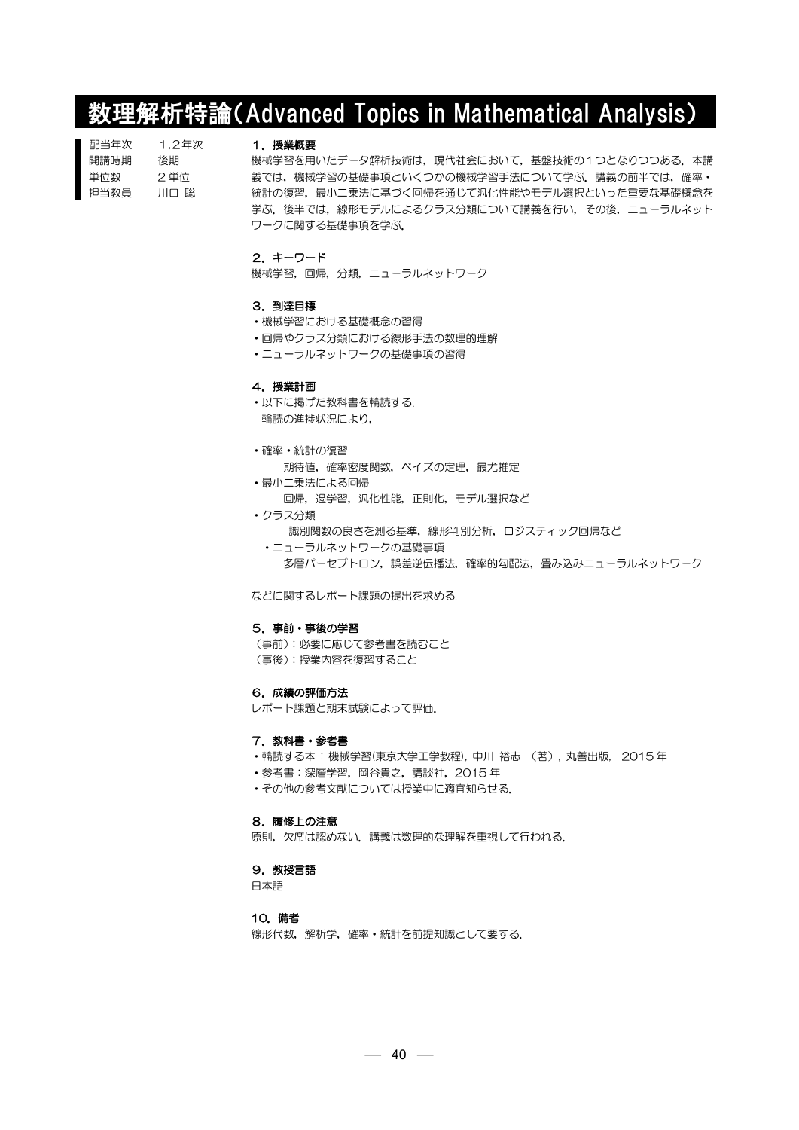# 数理解析特論(Advanced Topics in Mathematical Analysis)

| 配当年次 | 1.2年次 |
|------|-------|
| 開講時期 | 後期    |
| 単位数  | 2 単位  |
| 担当教員 | 川口 聡  |

#### 1. 授業概要

機械学習を用いたデータ解析技術は,現代社会において,基盤技術の1つとなりつつある.本講 義では、機械学習の基礎事項といくつかの機械学習手法について学ぶ. 講義の前半では,確率· 統計の復習,最小二乗法に基づく回帰を通じて汎化性能やモデル選択といった重要な基礎概念を 学ぶ.後半では,線形モデルによるクラス分類について講義を行い,その後,ニューラルネット ワークに関する基礎事項を学ぶ.

## 2.キーワード

機械学習,回帰,分類,ニューラルネットワーク

#### 3.到達目標

- ・機械学習における基礎概念の習得
- ・回帰やクラス分類における線形手法の数理的理解
- ・ニューラルネットワークの基礎事項の習得

#### 4.授業計画

- ・以下に掲げた教科書を輪読する. 輪読の進捗状況により,
- 
- ・確率・統計の復習
	- 期待値,確率密度関数,ベイズの定理,最尤推定
- ・最小二乗法による回帰 回帰,過学習,汎化性能,正則化,モデル選択など
- ・クラス分類 識別関数の良さを測る基準,線形判別分析,ロジスティック回帰など
	- ・ニューラルネットワークの基礎事項 多層パーセプトロン,誤差逆伝播法,確率的勾配法,畳み込みニューラルネットワーク

などに関するレポート課題の提出を求める.

#### 5.事前・事後の学習

(事前):必要に応じて参考書を読むこと (事後):授業内容を復習すること

#### 6.成績の評価方法

レポート課題と期末試験によって評価.

#### 7. 教科書・参考書

・輪読する本 : 機械学習(東京大学工学教程), 中川 裕志 (著), 丸善出版, 2015 年

・参考書:深層学習,岡谷貴之,講談社,2015 年

・その他の参考文献については授業中に適宜知らせる.

# 8.履修上の注意

原則,欠席は認めない.講義は数理的な理解を重視して行われる.

#### 9. 教授言語

日本語

# 10.備考

線形代数,解析学,確率·統計を前提知識として要する.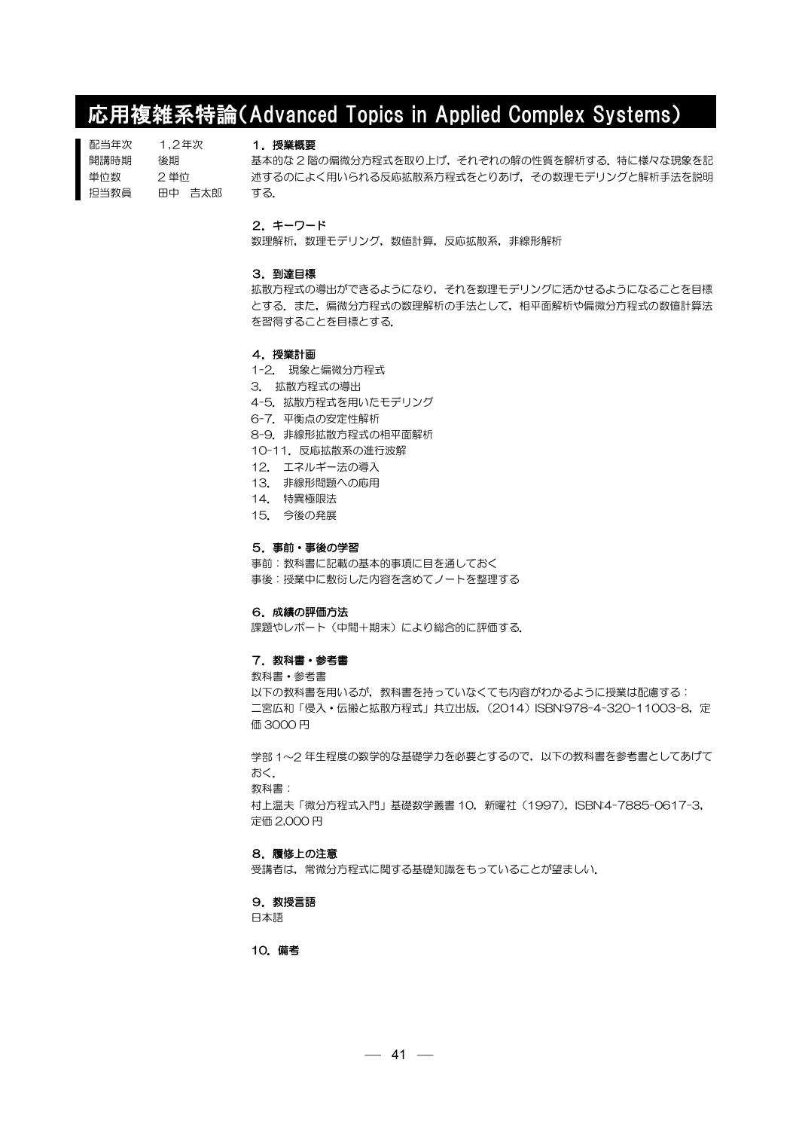# 応用複雑系特論(Advanced Topics in Applied Complex Systems)

| 配当年次<br>1.2年次  | 将業概要                                          |
|----------------|-----------------------------------------------|
| 開講時期<br>後期     | 基本的な 2 階の偏微分方程式を取り上げ、それぞれの解の性質を解析する、特に様々な現象を記 |
| 2 単位<br>単位数    | 述するのによく用いられる反応拡散系方程式をとりあげ. その数理モデリングと解析手法を説明  |
| 担当教員<br>用中 吉太郎 | する.                                           |

## 2.キーワード

数理解析,数理モデリング,数値計算,反応拡散系,非線形解析

#### 3.到達目標

拡散方程式の導出ができるようになり,それを数理モデリングに活かせるようになることを目標 とする.また,偏微分方程式の数理解析の手法として,相平面解析や偏微分方程式の数値計算法 を習得することを目標とする.

#### 4.授業計画

- 1-2. 現象と偏微分方程式
- 3. 拡散方程式の導出
- 4-5.拡散方程式を用いたモデリング
- 6-7.平衡点の安定性解析
- 8-9.非線形拡散方程式の相平面解析
- 10-11.反応拡散系の進行波解
- 12. エネルギー法の導入
- 13. 非線形問題への応用
- 14. 特異極限法
- 15. 今後の発展

#### 5.事前・事後の学習

事前:教科書に記載の基本的事項に目を通しておく 事後:授業中に敷衍した内容を含めてノートを整理する

# 6.成績の評価方法

課題やレポート(中間+期末)により総合的に評価する.

### 7.教科書・参考書

教科書・参考書

以下の教科書を用いるが、教科書を持っていなくても内容がわかるように授業は配慮する: 二宮広和「侵入·伝搬と拡散方程式」共立出版, (2014) ISBN:978-4-320-11003-8, 定 価 3000 円

学部 1~2 年生程度の数学的な基礎学力を必要とするので,以下の教科書を参考書としてあげて おく. 教科書: 村上温夫「微分方程式入門」基礎数学叢書 10, 新曜社 (1997), ISBN:4-7885-0617-3,

定価 2,000 円

# 8.履修上の注意

受講者は,常微分方程式に関する基礎知識をもっていることが望ましい.

### 9. 教授言語

日本語

## 10.備考

 $-41 -$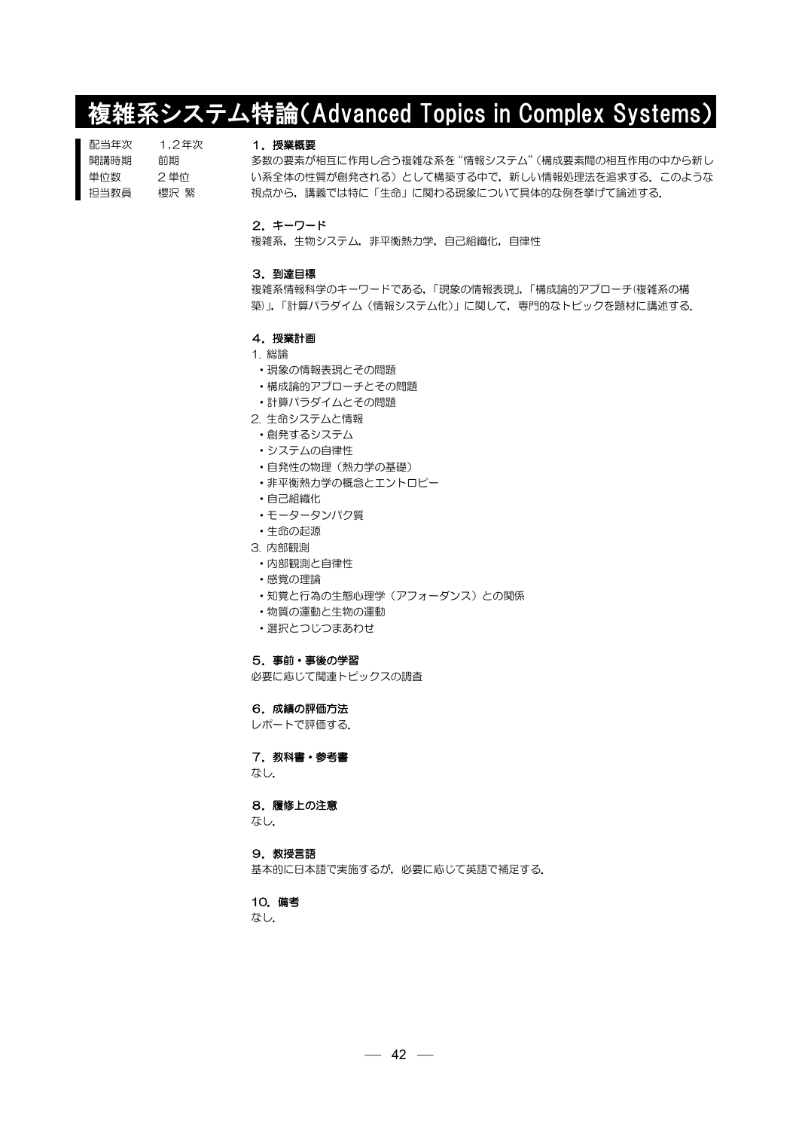# 複雑系システム特論(Advanced Topics in Complex Systems)

| 配当年次 | 1.2年次 |
|------|-------|
| 開講時期 | 前期    |
| 単位数  | 2 単位  |
| 担当教員 | 櫻沢 慜  |

### 1.授業概要

多数の要素が相互に作用し合う複雑な系を"情報システム"(構成要素間の相互作用の中から新し い系全体の性質が創発される)として構築する中で,新しい情報処理法を追求する. このような 視点から,講義では特に「生命」に関わる現象について具体的な例を挙げて論述する.

### 2.キーワード

複雑系,生物システム,非平衡熱力学,自己組織化,自律性

#### 3.到達目標

複雑系情報科学のキーワードである,「現象の情報表現」,「構成論的アプローチ(複雑系の構 築)」,「計算パラダイム(情報システム化)」に関して,専門的なトピックを題材に講述する.

- 4.授業計画
- 1. 総論
- ・現象の情報表現とその問題
- ・構成論的アプローチとその問題
- ・計算パラダイムとその問題
- 2. 生命システムと情報
- ・創発するシステム
- ・システムの自律性
- ・自発性の物理(熱力学の基礎)
- ・非平衡熱力学の概念とエントロピー
- ・自己組織化
- ・モータータンパク質
- ・生命の起源
- 3. 内部観測
- ・内部観測と自律性
- ・感覚の理論
- ・知覚と行為の生態心理学(アフォーダンス)との関係
- ・物質の運動と生物の運動
- ・選択とつじつまあわせ

# 5.事前・事後の学習

必要に応じて関連トピックスの調査

6.成績の評価方法

レポートで評価する.

# 7. 教科書・参考書

なし.

# 8.履修上の注意

なし.

#### 9. 教授言語

基本的に日本語で実施するが,必要に応じて英語で補足する.

10.備考

なし.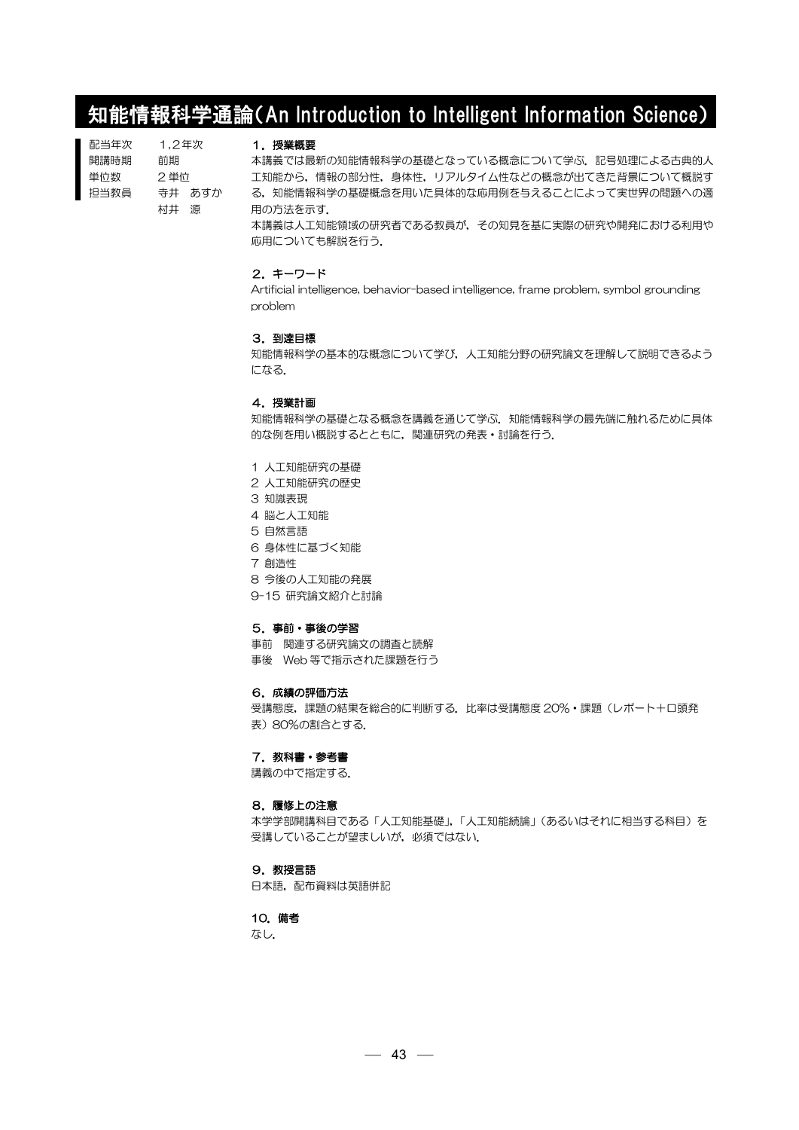# 知能情報科学通論(An Introduction to Intelligent Information Science)

| 配当年次 | 1.2年次 |        |
|------|-------|--------|
| 開講時期 | 前期    |        |
| 単位数  | 2 単位  |        |
| 抇当教員 |       | 寺井 あすか |
|      | 村井    | 狼      |

#### 1.授業概要

本講義では最新の知能情報科学の基礎となっている概念について学ぶ.記号処理による古典的人 工知能から,情報の部分性,身体性,リアルタイム性などの概念が出てきた背景について概説す る,知能情報科学の基礎概念を用いた具体的な応用例を与えることによって実世界の問題への適 用の方法を示す.

本講義は人工知能領域の研究者である教員が,その知見を基に実際の研究や開発における利用や 応用についても解説を行う.

#### 2.キーワード

Artificial intelligence, behavior-based intelligence, frame problem, symbol grounding problem

#### 3.到達目標

知能情報科学の基本的な概念について学び,人工知能分野の研究論文を理解して説明できるよう になる.

# 4.授業計画

知能情報科学の基礎となる概念を講義を通じて学ぶ. 知能情報科学の最先端に触れるために具体 的な例を用い概説するとともに,関連研究の発表・討論を行う.

- 1 人工知能研究の基礎
- 2 人工知能研究の歴史
- 3 知識表現
- 4 脳と人工知能
- 5 自然言語
- 6 身体性に基づく知能
- 7 創造性
- 8 今後の人工知能の発展
- 9-15 研究論文紹介と討論

#### 5.事前・事後の学習

事前 関連する研究論文の調査と読解 事後 Web 等で指示された課題を行う

#### 6.成績の評価方法

受講態度,課題の結果を総合的に判断する.比率は受講態度 20%・課題(レポート+口頭発 表)80%の割合とする.

# 7. 教科書・参考書

講義の中で指定する.

#### 8.履修上の注意

本学学部開講科目である「人工知能基礎」、「人工知能続論」(あるいはそれに相当する科目)を 受講していることが望ましいが,必須ではない.

#### 9. 教授言語

日本語,配布資料は英語併記

# 10.備考

なし.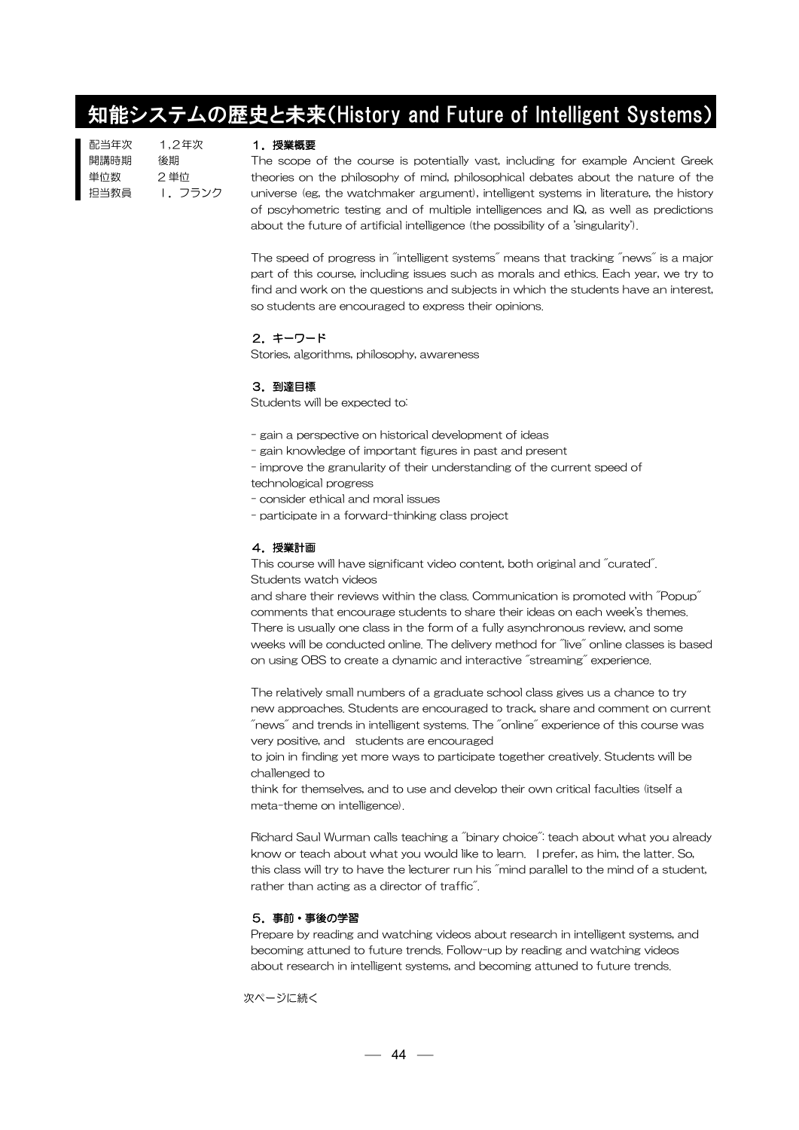# 知能システムの歴史と未来(History and Future of Intelligent Systems)

| 配当年次 | 1.2年次   |
|------|---------|
| 開講時期 | 後期      |
| 単位数  | 2単位     |
| 担当教員 | 1. フランク |

## 1.授業概要

The scope of the course is potentially vast, including for example Ancient Greek theories on the philosophy of mind, philosophical debates about the nature of the universe (eg, the watchmaker argument), intelligent systems in literature, the history of pscyhometric testing and of multiple intelligences and IQ, as well as predictions about the future of artificial intelligence (the possibility of a 'singularity').

The speed of progress in "intelligent systems" means that tracking "news" is a major part of this course, including issues such as morals and ethics. Each year, we try to find and work on the questions and subjects in which the students have an interest, so students are encouraged to express their opinions.

## 2.キーワード

Stories, algorithms, philosophy, awareness

# 3.到達目標

Students will be expected to:

- gain a perspective on historical development of ideas
- gain knowledge of important figures in past and present
- improve the granularity of their understanding of the current speed of technological progress
- consider ethical and moral issues
- participate in a forward-thinking class project

## 4.授業計画

This course will have significant video content, both original and "curated". Students watch videos

and share their reviews within the class. Communication is promoted with "Popup" comments that encourage students to share their ideas on each week's themes. There is usually one class in the form of a fully asynchronous review, and some weeks will be conducted online. The delivery method for "live" online classes is based on using OBS to create a dynamic and interactive "streaming" experience.

The relatively small numbers of a graduate school class gives us a chance to try new approaches. Students are encouraged to track, share and comment on current  $\degree$ news $\degree$  and trends in intelligent systems. The  $\degree$ online $\degree$  experience of this course was very positive, and students are encouraged

to join in finding yet more ways to participate together creatively. Students will be challenged to

think for themselves, and to use and develop their own critical faculties (itself a meta-theme on intelligence).

Richard Saul Wurman calls teaching a "binary choice": teach about what you already know or teach about what you would like to learn. I prefer, as him, the latter. So, this class will try to have the lecturer run his "mind parallel to the mind of a student, rather than acting as a director of traffic".

# 5.事前・事後の学習

Prepare by reading and watching videos about research in intelligent systems, and becoming attuned to future trends. Follow-up by reading and watching videos about research in intelligent systems, and becoming attuned to future trends.

次ページに続く

 $- 44 -$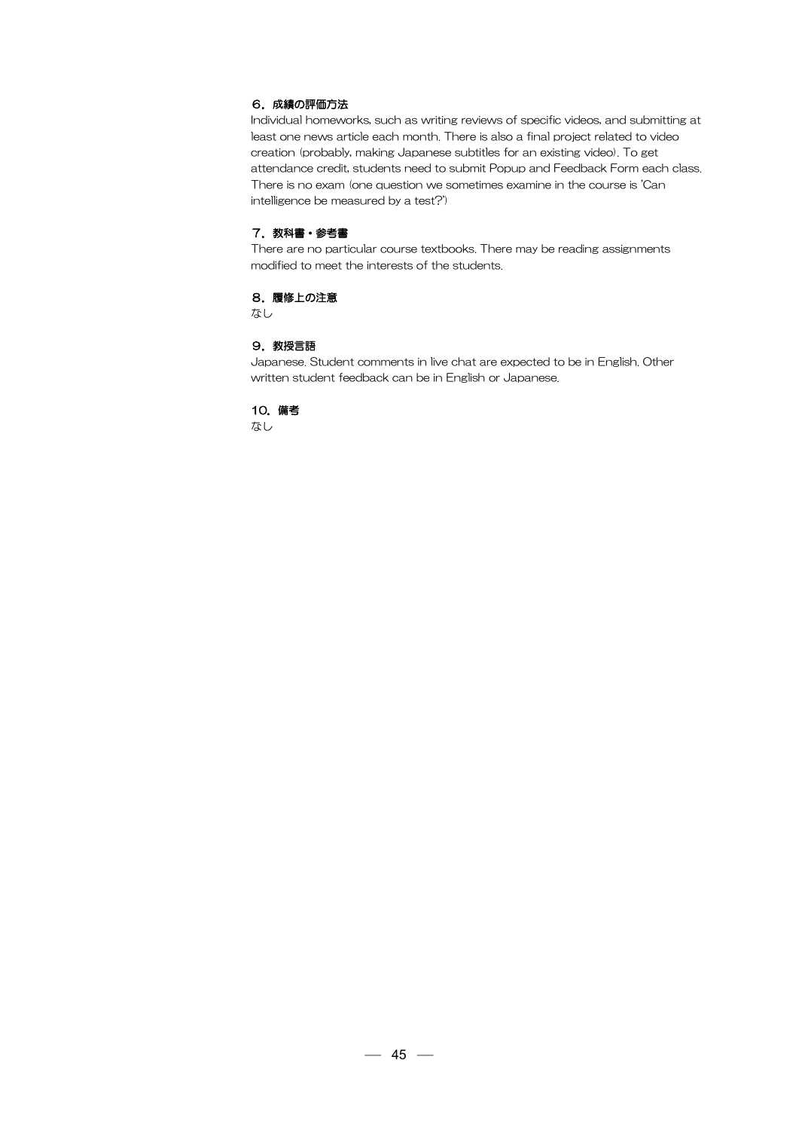# 6.成績の評価方法

Individual homeworks, such as writing reviews of specific videos, and submitting at least one news article each month. There is also a final project related to video creation (probably, making Japanese subtitles for an existing video). To get attendance credit, students need to submit Popup and Feedback Form each class. There is no exam (one question we sometimes examine in the course is 'Can intelligence be measured by a test?')

# 7. 教科書・参考書

There are no particular course textbooks. There may be reading assignments modified to meet the interests of the students.

## 8.履修上の注意

なし

# 9. 教授言語

Japanese. Student comments in live chat are expected to be in English. Other written student feedback can be in English or Japanese.

# 10.備考

なし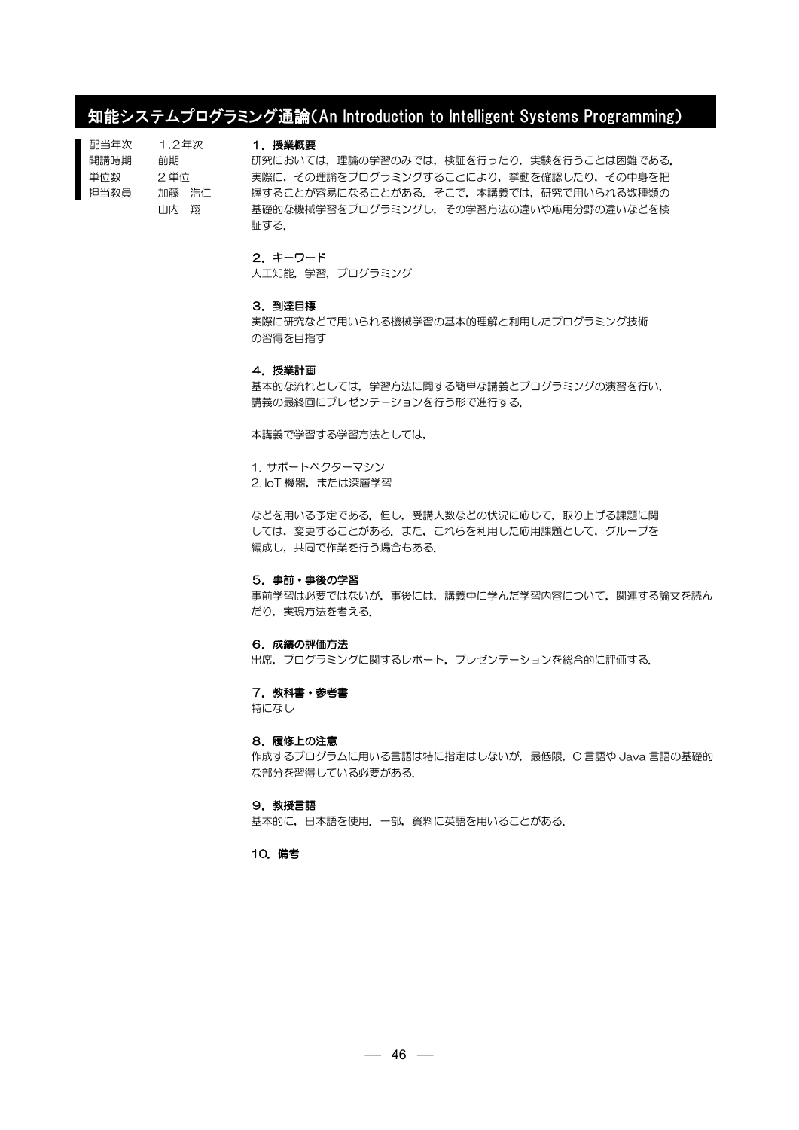# 知能システムプログラミング通論(An Introduction to Intelligent Systems Programming)

| 配当年次 | 1.2年次   |  |
|------|---------|--|
| 開講時期 | 前期      |  |
| 単位数  | 2 単位    |  |
| 担当教員 | 加藤の浩仁   |  |
|      | 山内<br>现 |  |

### 1.授業概要

研究においては、理論の学習のみでは、検証を行ったり、実験を行うことは困難である. 実際に,その理論をプログラミングすることにより,挙動を確認したり,その中身を把 握することが容易になることがある.そこで,本講義では,研究で用いられる数種類の 基礎的な機械学習をプログラミングし,その学習方法の違いや応用分野の違いなどを検 証する.

# 2.キーワード

人工知能,学習,プログラミング

## 3.到達目標

実際に研究などで用いられる機械学習の基本的理解と利用したプログラミング技術 の習得を目指す

#### 4.授業計画

基本的な流れとしては,学習方法に関する簡単な講義とプログラミングの演習を行い, 講義の最終回にプレゼンテーションを行う形で進行する.

本講義で学習する学習方法としては,

1. サポートベクターマシン

2. IoT 機器, または深層学習

などを用いる予定である.但し,受講人数などの状況に応じて,取り上げる課題に関 しては、変更することがある。また、これらを利用した応用課題として、グループを 編成し,共同で作業を行う場合もある.

#### 5.事前・事後の学習

事前学習は必要ではないが,事後には,講義中に学んだ学習内容について,関連する論文を読ん だり、実現方法を考える.

#### 6.成績の評価方法

出席,プログラミングに関するレポート,プレゼンテーションを総合的に評価する.

### 7. 教科書・参考書

特になし

#### 8.履修上の注意

作成するプログラムに用いる言語は特に指定はしないが,最低限,C 言語や Java 言語の基礎的 な部分を習得している必要がある.

#### 9.教授言語

基本的に,日本語を使用.一部,資料に英語を用いることがある.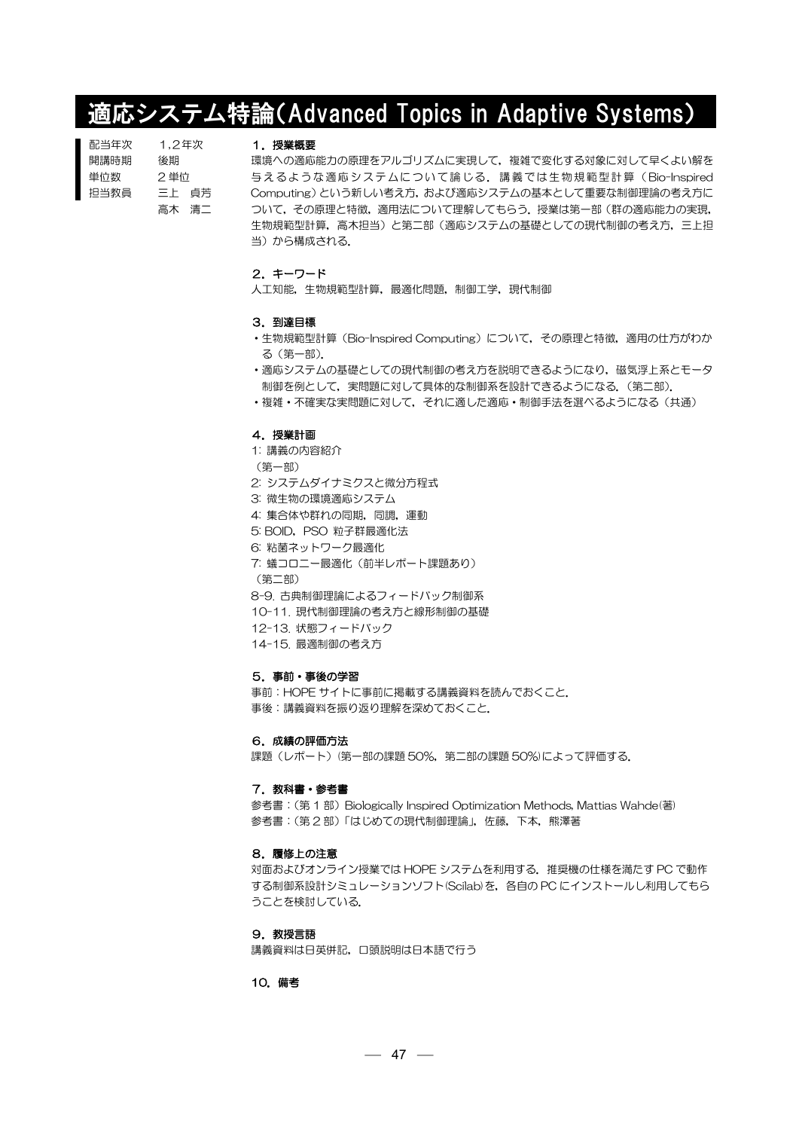# 適応システム特論(Advanced Topics in Adaptive Systems)

| 配当年次 | 1.2年次 |
|------|-------|
| 開講時期 | 後期    |
| 単位数  | 2 単位  |
| 抇当教員 | 三上の貞芳 |
|      | 高木 清二 |

#### 1.授業概要

環境への適応能力の原理をアルゴリズムに実現して、複雑で変化する対象に対して早くよい解を 与えるような適応システムについて論じる.講義では生物規範型計算( Bio-Inspired Computing)という新しい考え方,および適応システムの基本として重要な制御理論の考え方に ついて,その原理と特徴,適用法について理解してもらう.授業は第一部(群の適応能力の実現, 生物規範型計算,高木担当)と第二部(適応システムの基礎としての現代制御の考え方,三上担 当)から構成される.

# 2.キーワード

人工知能,生物規範型計算,最適化問題,制御工学,現代制御

#### 3.到達目標

- ·生物規範型計算(Bio-Inspired Computing)について、その原理と特徴、適用の仕方がわか る(第一部).
- ・適応システムの基礎としての現代制御の考え方を説明できるようになり,磁気浮上系とモータ 制御を例として,実問題に対して具体的な制御系を設計できるようになる.(第二部).
- ・複雑・不確実な実問題に対して,それに適した適応・制御手法を選べるようになる(共通)

# 4.授業計画

- 1: 講義の内容紹介
- (第一部)
- 2: システムダイナミクスと微分方程式
- 3: 微生物の環境適応システム
- 4: 集合体や群れの同期, 同調, 運動
- 5: BOID, PSO 粒子群最適化法
- 6: 粘菌ネットワーク最適化
- 7: 蟻コロニー最適化(前半レポート課題あり)
- (第二部)
- 8-9. 古典制御理論によるフィードバック制御系
- 10-11. 現代制御理論の考え方と線形制御の基礎
- 12-13. 状態フィードバック
- 14-15. 最適制御の考え方

# 5.事前・事後の学習

事前:HOPE サイトに事前に掲載する講義資料を読んでおくこと. 事後:講義資料を振り返り理解を深めておくこと.

### 6.成績の評価方法

課題(レポート)(第一部の課題 50%,第二部の課題 50%)によって評価する.

#### 7. 教科書・参考書

参考書: (第 1 部) Biologically Inspired Optimization Methods, Mattias Wahde(著) 参考書:(第 2 部)「はじめての現代制御理論」,佐藤,下本,熊澤著

#### 8.履修上の注意

対面およびオンライン授業では HOPE システムを利用する.推奨機の仕様を満たす PC で動作 する制御系設計シミュレーションソフト(Scilab)を,各自の PC にインストールし利用してもら うことを検討している.

#### 9. 教授言語

講義資料は日英併記,口頭説明は日本語で行う

#### 10.備考

 $-47 -$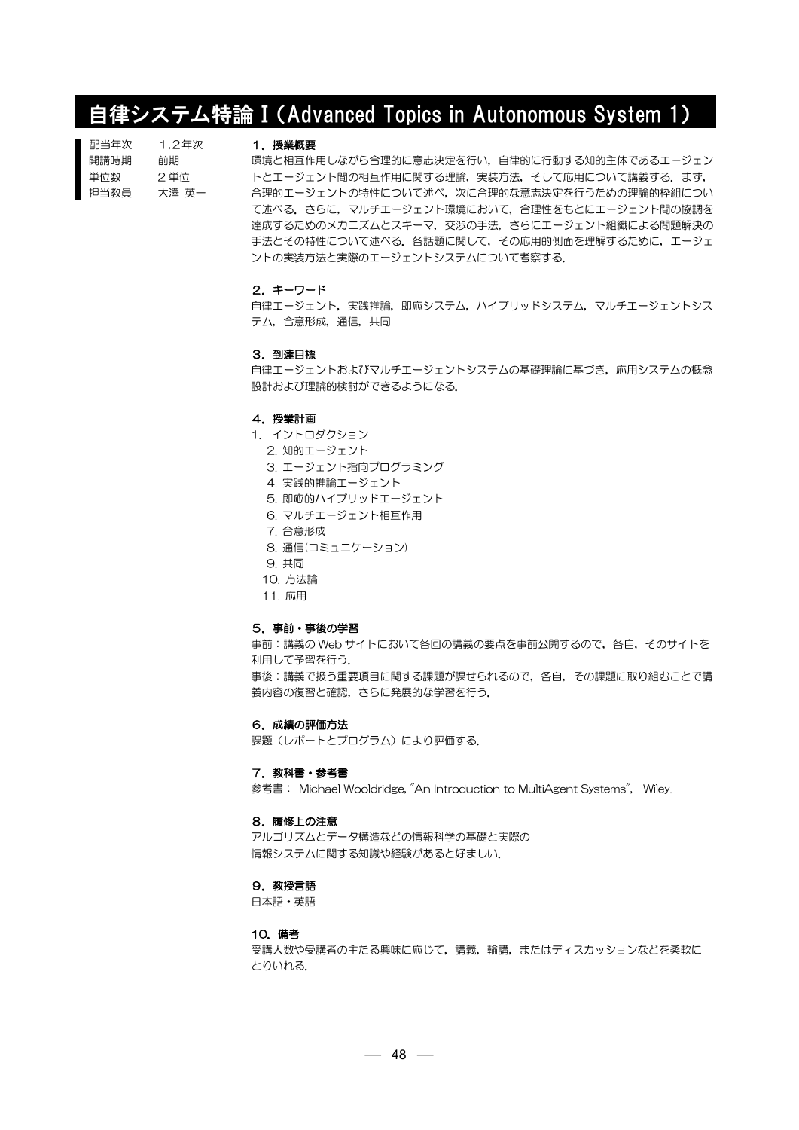# 自律システム特論Ⅰ(Advanced Topics in Autonomous System 1)

| 配当年次 | 1.2年次 |
|------|-------|
| 開講時期 | 前期    |
| 単位数  | 2 単位  |
| 担当教員 | 大澤 英一 |

#### 1.授業概要

環境と相互作用しながら合理的に意志決定を行い,自律的に行動する知的主体であるエージェン トとエージェント間の相互作用に関する理論,実装方法,そして応用について講義する.ます, 合理的エージェントの特性について述べ,次に合理的な意志決定を行うための理論的枠組につい て述べる.さらに,マルチエージェント環境において,合理性をもとにエージェント間の協調を 達成するためのメカニズムとスキーマ,交渉の手法,さらにエージェント組織による問題解決の 手法とその特性について述べる. 各話題に関して, その応用的側面を理解するために, エージェ ントの実装方法と実際のエージェントシステムについて考察する.

#### 2.キーワード

白律エージェント,実践推論,即応システム,ハイブリッドシステム,マルチエージェントシス テム,合意形成,通信,共同

#### 3.到達目標

自律エージェントおよびマルチエージェントシステムの基礎理論に基づき、応用システムの概念 設計および理論的検討ができるようになる.

### 4.授業計画

- 1. イントロダクション
	- 2. 知的エージェント
	- 3. エージェント指向プログラミング
	- 4. 実践的推論エージェント
	- 5. 即応的ハイブリッドエージェント
	- 6. マルチエージェント相互作用
	- 7. 合意形成
	- 8. 通信(コミュニケーション)
	- 9. 共同
	- 10. 方法論
	- 11. 応用

#### 5.事前・事後の学習

事前:講義の Web サイトにおいて各回の講義の要点を事前公開するので,各自,そのサイトを 利用して予習を行う. 事後:講義で扱う重要項目に関する課題が課せられるので,各自,その課題に取り組むことで講

義内容の復習と確認,さらに発展的な学習を行う.

# 6.成績の評価方法

課題(レポートとプログラム)により評価する.

#### 7. 教科書・参考書

参考書: Michael Wooldridge, "An Introduction to MultiAgent Systems", Wiley.

#### 8.履修上の注意

アルゴリズムとデータ構造などの情報科学の基礎と実際の 情報システムに関する知識や経験があると好ましい.

## 9. 教授言語

日本語・英語

#### 10.備考

受講人数や受講者の主たる興味に応じて,講義,輪講,またはディスカッションなどを柔軟に とりいれる.

 $-48 -$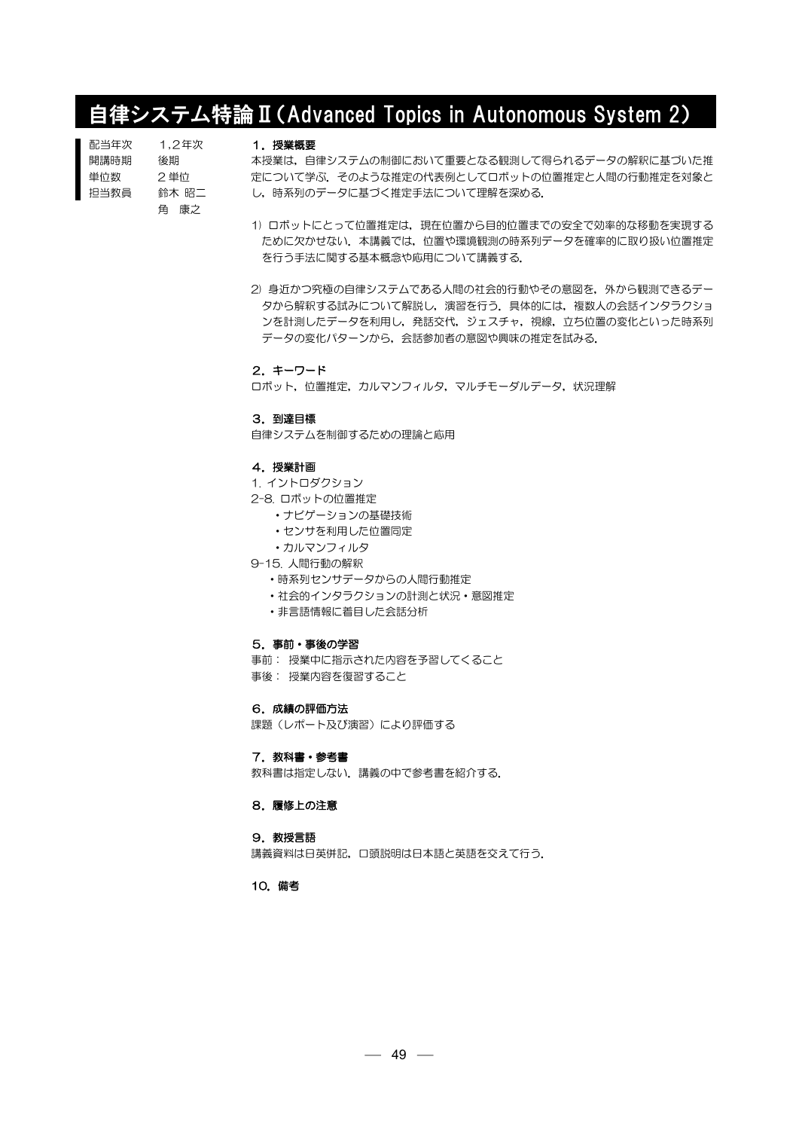# 自律システム特論Ⅱ(Advanced Topics in Autonomous System 2)

| 配当年次 | 1.2年次 |
|------|-------|
| 開講時期 | 後期    |
| 単位数  | 2 単位  |
| 担当教員 | 鈴木 昭二 |
|      | 角 康之  |

### 1.授業概要

本授業は,自律システムの制御において重要となる観測して得られるデータの解釈に基づいた推 定について学ぶ.そのような推定の代表例としてロボットの位置推定と人間の行動推定を対象と し,時系列のデータに基づく推定手法について理解を深める.

- 1) ロボットにとって位置推定は,現在位置から目的位置までの安全で効率的な移動を実現する ために欠かせない.本講義では,位置や環境観測の時系列データを確率的に取り扱い位置推定 を行う手法に関する基本概念や応用について講義する.
- 2) 身近かつ究極の自律システムである人間の社会的行動やその意図を,外から観測できるデー タから解釈する試みについて解説し,演習を行う.具体的には,複数人の会話インタラクショ ンを計測したデータを利用し,発話交代,ジェスチャ,視線,立ち位置の変化といった時系列 データの変化パターンから,会話参加者の意図や興味の推定を試みる.

#### 2.キーワード

ロボット,位置推定,カルマンフィルタ,マルチモーダルデータ,状況理解

# 3.到達目標

自律システムを制御するための理論と応用

### 4.授業計画

1. イントロダクション

2-8. ロボットの位置推定

- ・ナビゲーションの基礎技術
- ・センサを利用した位置同定
- ・カルマンフィルタ
- 9-15. 人間行動の解釈
	- ・時系列センサデータからの人間行動推定
	- ・社会的インタラクションの計測と状況・意図推定
	- ・非言語情報に着目した会話分析

#### 5.事前・事後の学習

事前: 授業中に指示された内容を予習してくること

事後: 授業内容を復習すること

# 6.成績の評価方法

課題(レポート及び演習)により評価する

### 7. 教科書・参考書

教科書は指定しない.講義の中で参考書を紹介する.

## 8.履修上の注意

### 9.教授言語

講義資料は日英併記,口頭説明は日本語と英語を交えて行う.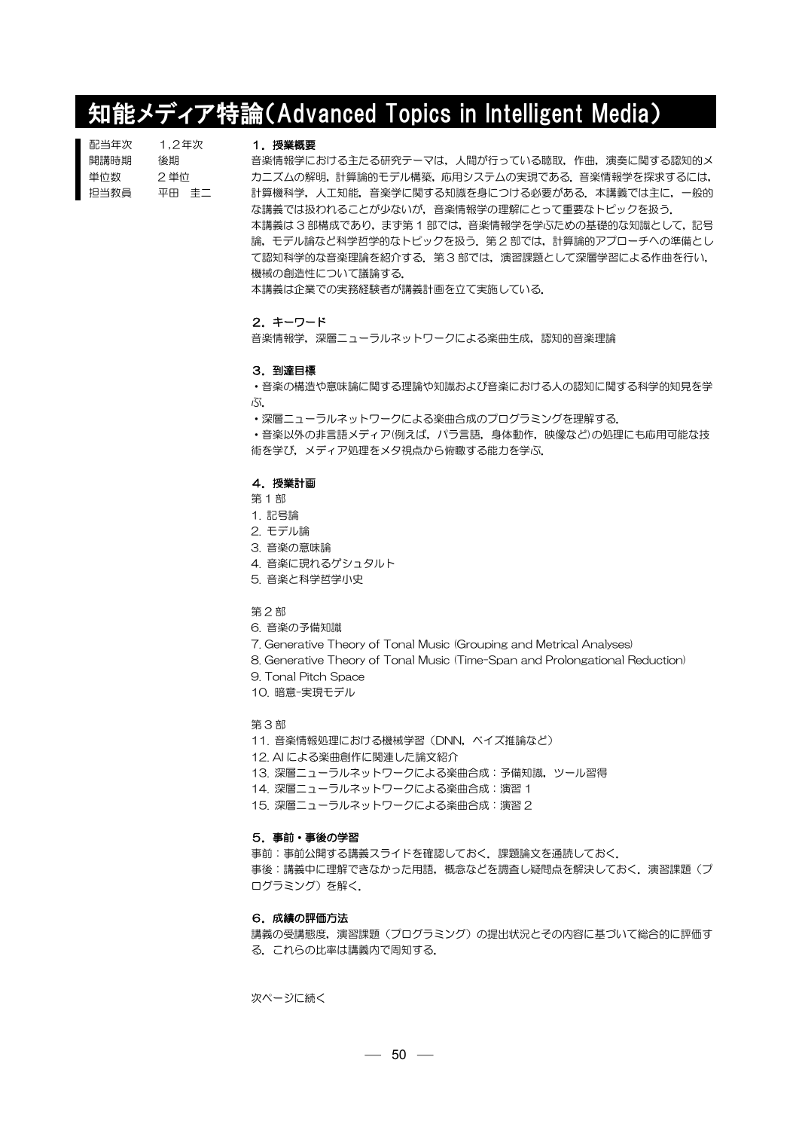# 知能メディア特論(Advanced Topics in Intelligent Media)

| 配当年次 | 1.2年次 |
|------|-------|
| 開講時期 | 後期    |
| 単位数  | 2 単位  |
| 担当教員 | 平田 丰二 |

#### 1.授業概要

音楽情報学における主たる研究テーマは,人間が行っている聴取,作曲,演奏に関する認知的メ カニズムの解明,計算論的モデル構築,応用システムの実現である.音楽情報学を探求するには, 計算機科学,人工知能,音楽学に関する知識を身につける必要がある.本講義では主に,一般的 な講義では扱われることが少ないが,音楽情報学の理解にとって重要なトピックを扱う. 本講義は 3 部構成であり,ます第 1 部では,音楽情報学を学ぶための基礎的な知識として,記号 論,モデル論など科学哲学的なトピックを扱う.第 2 部では,計算論的アプローチへの準備とし て認知科学的な音楽理論を紹介する.第 3 部では,演習課題として深層学習による作曲を行い, 機械の創造性について議論する.

本講義は企業での実務経験者が講義計画を立て実施している.

# 2.キーワード

音楽情報学,深層ニューラルネットワークによる楽曲生成,認知的音楽理論

#### 3.到達目標

・音楽の構造や意味論に関する理論や知識および音楽における人の認知に関する科学的知見を学 ぶ.

・深層ニューラルネットワークによる楽曲合成のプログラミングを理解する.

・音楽以外の非言語メディア(例えば,パラ言語,身体動作,映像など)の処理にも応用可能な技 術を学び,メディア処理をメタ視点から俯瞰する能力を学ぶ.

### 4.授業計画

- 第 1 部
- 1. 記号論
- 2. モデル論
- 3. 音楽の意味論
- 4. 音楽に現れるゲシュタルト
- 5. 音楽と科学哲学小史
- 第 2 部
- 6. 音楽の予備知識
- 7. Generative Theory of Tonal Music (Grouping and Metrical Analyses)
- 8. Generative Theory of Tonal Music (Time-Span and Prolongational Reduction)
- 9. Tonal Pitch Space
- 10. 暗意-実現モデル

# 第 3 部

- 11. 音楽情報処理における機械学習(DNN,ベイズ推論など)
- 12. AI による楽曲創作に関連した論文紹介
- 13. 深層ニューラルネットワークによる楽曲合成:予備知識, ツール習得
- 14. 深層ニューラルネットワークによる楽曲合成:演習1
- 15. 深層ニューラルネットワークによる楽曲合成:演習2

# 5.事前・事後の学習

事前:事前公開する講義スライドを確認しておく.課題論文を通読しておく. 事後:講義中に理解できなかった用語,概念などを調査し疑問点を解決しておく.演習課題(プ ログラミング)を解く.

# 6.成績の評価方法

講義の受講態度,演習課題(プログラミング)の提出状況とその内容に基づいて総合的に評価す る.これらの比率は講義内で周知する.

次ページに続く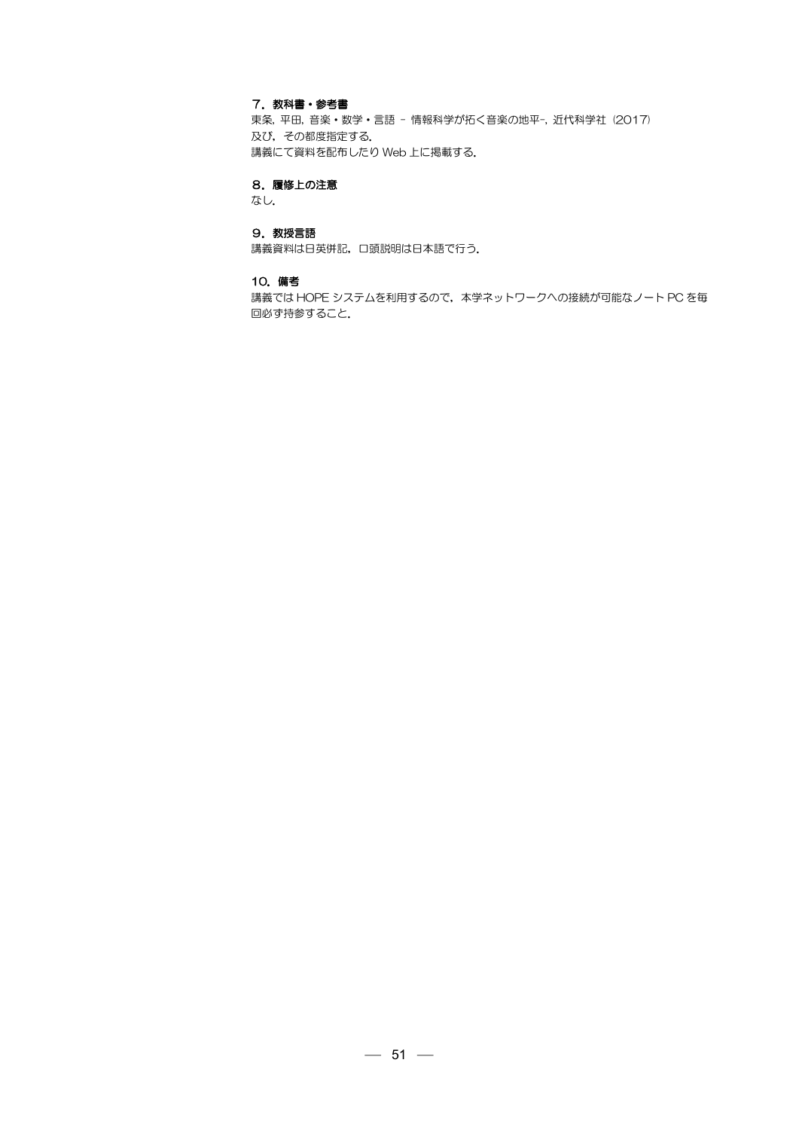# 7. 教科書・参考書

東条, 平田, 音楽・数学・言語 - 情報科学が拓く音楽の地平-, 近代科学社 (2017) 及び、その都度指定する. 講義にて資料を配布したり Web 上に掲載する.

# 8.履修上の注意

なし.

# 9. 教授言語

講義資料は日英併記,口頭説明は日本語で行う.

### 10.備考

講義では HOPE システムを利用するので,本学ネットワークへの接続が可能なノート PC を毎 回必ず持参すること.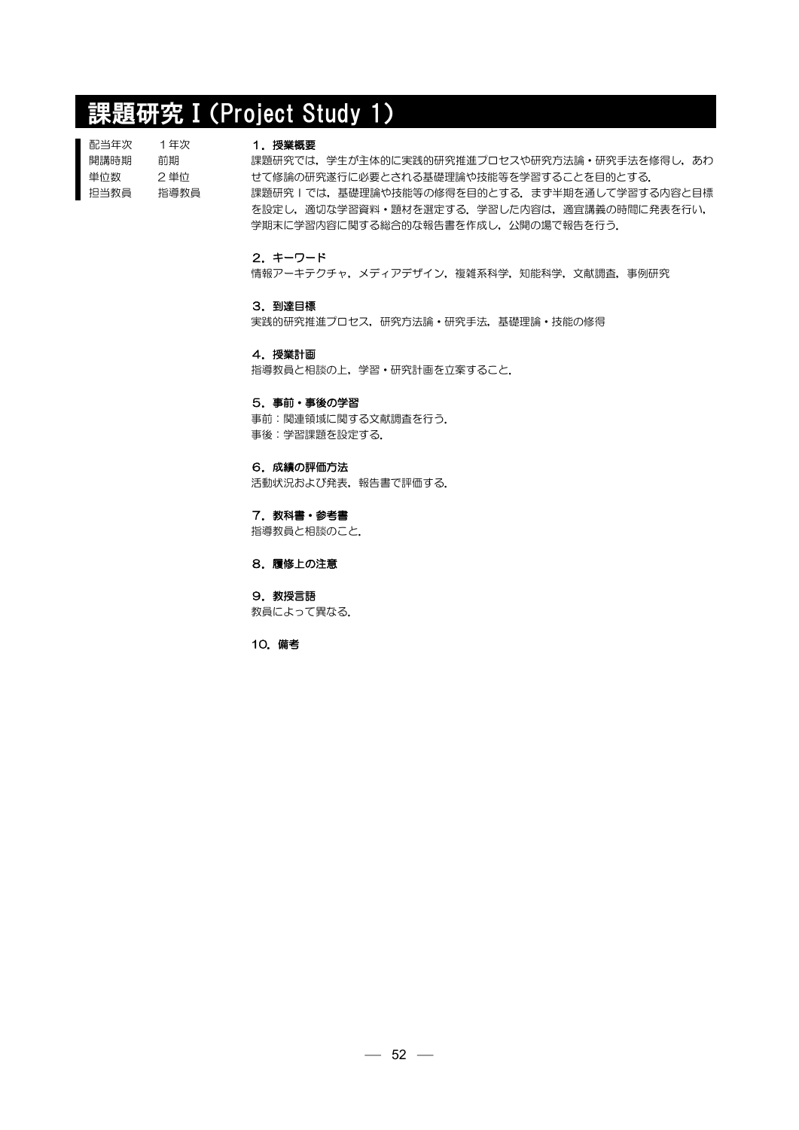# 課題研究Ⅰ(Project Study 1)

| 1年次  |
|------|
| 前期   |
| 2 単位 |
| 指導教員 |
|      |

#### 1.授業概要

課題研究では、学生が主体的に実践的研究推進プロセスや研究方法論·研究手法を修得し、あわ せて修論の研究遂行に必要とされる基礎理論や技能等を学習することを目的とする. 課題研究 | では、基礎理論や技能等の修得を目的とする. まず半期を通して学習する内容と目標 を設定し,適切な学習資料・題材を選定する.学習した内容は,適宜講義の時間に発表を行い, 学期末に学習内容に関する総合的な報告書を作成し,公開の場で報告を行う.

# 2.キーワード

情報アーキテクチャ,メディアデザイン,複雑系科学,知能科学,文献調査,事例研究

# 3.到達目標

実践的研究推進プロセス,研究方法論・研究手法,基礎理論・技能の修得

4.授業計画

指導教員と相談の上,学習・研究計画を立案すること.

## 5.事前・事後の学習

事前:関連領域に関する文献調査を行う. 事後:学習課題を設定する.

# 6.成績の評価方法

活動状況および発表,報告書で評価する.

7. 教科書・参考書 指導教員と相談のこと.

8.履修上の注意

9. 教授言語 教員によって異なる.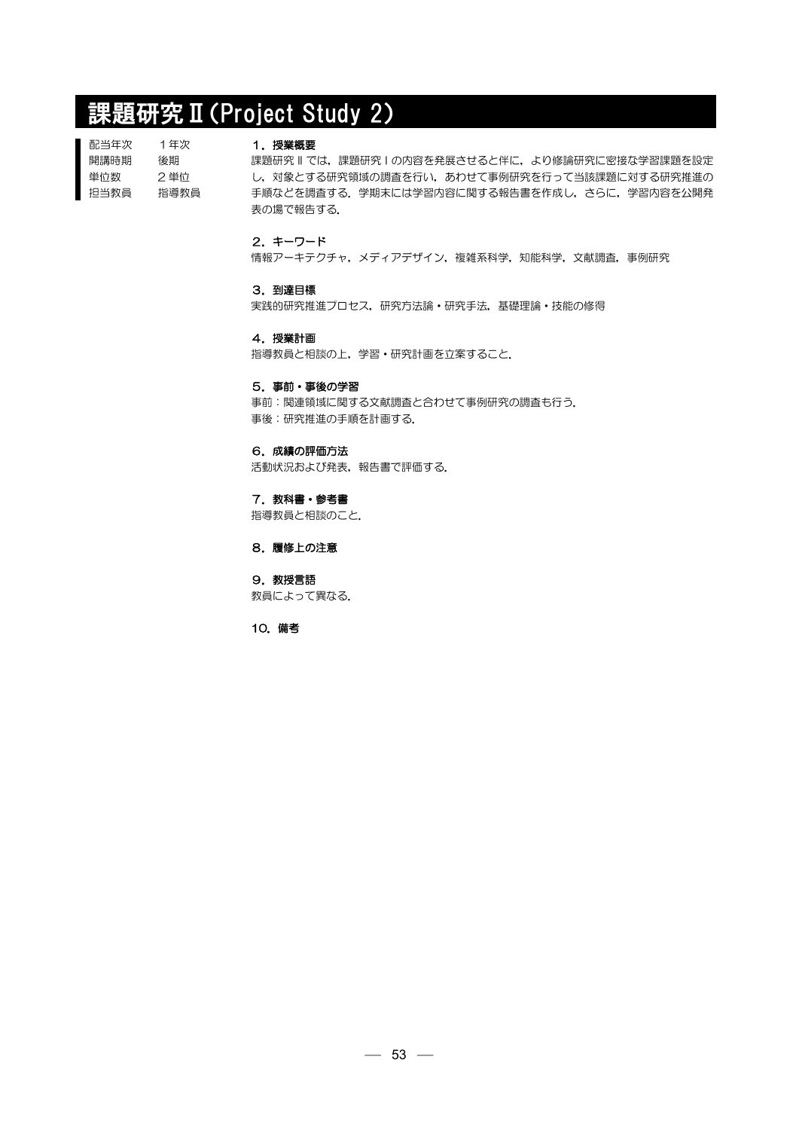# 課題研究Ⅱ(Project Study 2)

| 1年次  |
|------|
| 後期   |
| 2 単位 |
| 指導教員 |
|      |

### 1.授業概要

課題研究 II では,課題研究 I の内容を発展させると伴に,より修論研究に密接な学習課題を設定 し,対象とする研究領域の調査を行い,あわせて事例研究を行って当該課題に対する研究推進の 手順などを調査する.学期末には学習内容に関する報告書を作成し,さらに,学習内容を公開発 表の場で報告する.

# 2.キーワード

情報アーキテクチャ,メディアデザイン,複雑系科学,知能科学,文献調査,事例研究

### 3.到達目標

実践的研究推進プロセス,研究方法論・研究手法,基礎理論・技能の修得

#### 4.授業計画

指導教員と相談の上,学習・研究計画を立案すること.

#### 5.事前・事後の学習

事前:関連領域に関する文献調査と合わせて事例研究の調査も行う. 事後:研究推進の手順を計画する.

# 6.成績の評価方法

活動状況および発表,報告書で評価する.

## 7. 教科書・参考書

指導教員と相談のこと.

## 8.履修上の注意

9. 教授言語 教員によって異なる.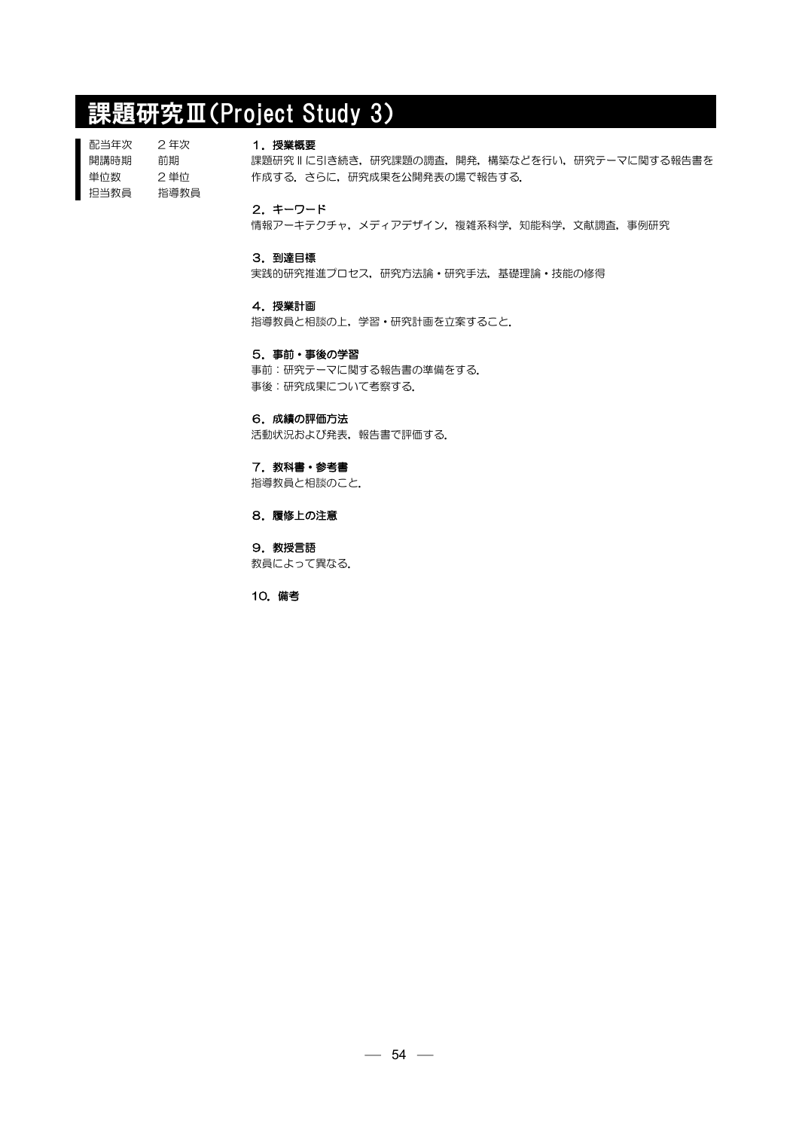# 課題研究Ⅲ(Project Study 3)

配当年次 開講時期 単位数 担当教員 2 年次 前期 2 単位 指導教員

#### 1.授業概要

課題研究 II に引き続き,研究課題の調査,開発,構築などを行い,研究テーマに関する報告書を 作成する.さらに,研究成果を公開発表の場で報告する.

### 2.キーワード

情報アーキテクチャ,メディアデザイン,複雑系科学,知能科学,文献調査,事例研究

## 3.到達目標

実践的研究推進プロセス,研究方法論・研究手法,基礎理論・技能の修得

## 4.授業計画

指導教員と相談の上,学習・研究計画を立案すること.

### 5.事前・事後の学習

事前:研究テーマに関する報告書の準備をする. 事後:研究成果について考察する.

# 6.成績の評価方法

活動状況および発表,報告書で評価する.

# 7. 教科書・参考書

指導教員と相談のこと.

# 8.履修上の注意

9.教授言語 教員によって異なる.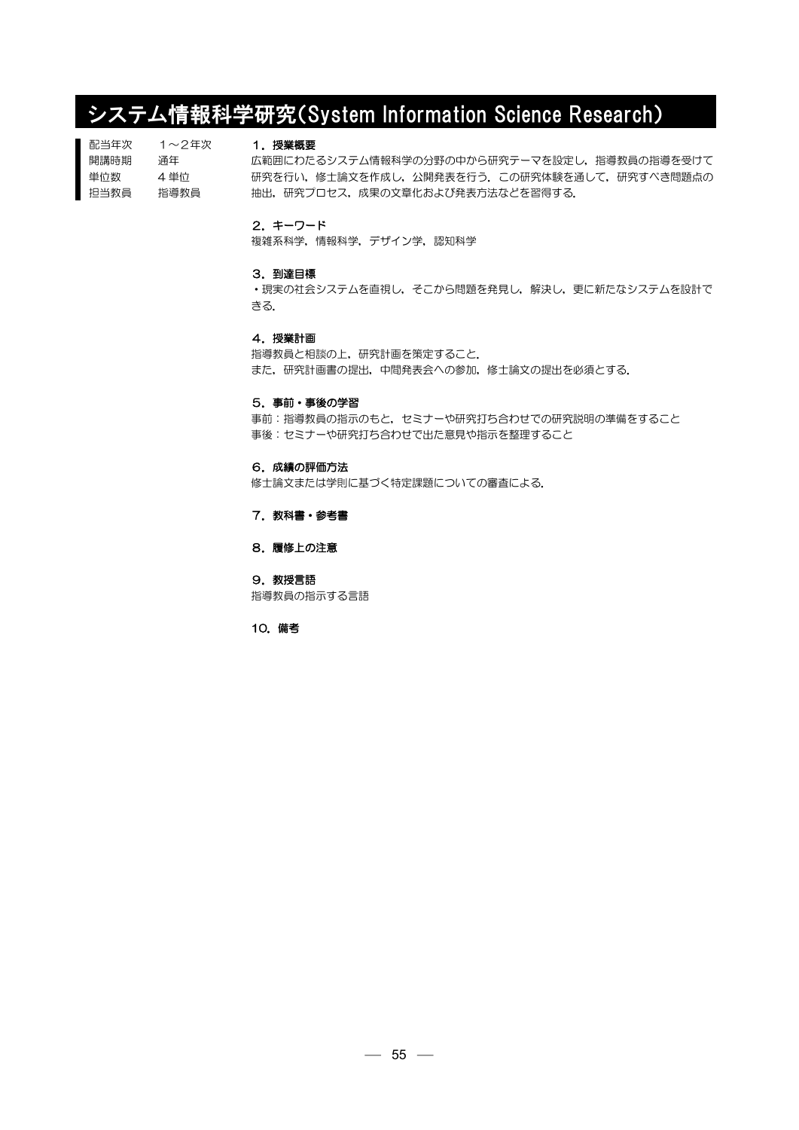# システム情報科学研究(System Information Science Research)

| 配当年次 | 1〜2年次 |
|------|-------|
| 開講時期 | 诵年    |
| 単位数  | 4 単位  |
| 担当教員 | 指導教員  |

# 1.授業概要

広範囲にわたるシステム情報科学の分野の中から研究テーマを設定し,指導教員の指導を受けて 研究を行い,修士論文を作成し,公開発表を行う.この研究体験を通して,研究すべき問題点の 抽出,研究プロセス,成果の文章化および発表方法などを習得する.

### 2.キーワード

複雑系科学,情報科学,デザイン学,認知科学

#### 3.到達目標

・現実の社会システムを直視し,そこから問題を発見し,解決し,更に新たなシステムを設計で きる.

# 4.授業計画

指導教員と相談の上,研究計画を策定すること. また,研究計画書の提出,中間発表会への参加,修士論文の提出を必須とする.

### 5.事前・事後の学習

事前:指導教員の指示のもと,セミナーや研究打ち合わせでの研究説明の準備をすること 事後:セミナーや研究打ち合わせで出た意見や指示を整理すること

## 6.成績の評価方法

修士論文または学則に基づく特定課題についての審査による.

7. 教科書・参考書

# 8.履修上の注意

9. 教授言語 指導教員の指示する言語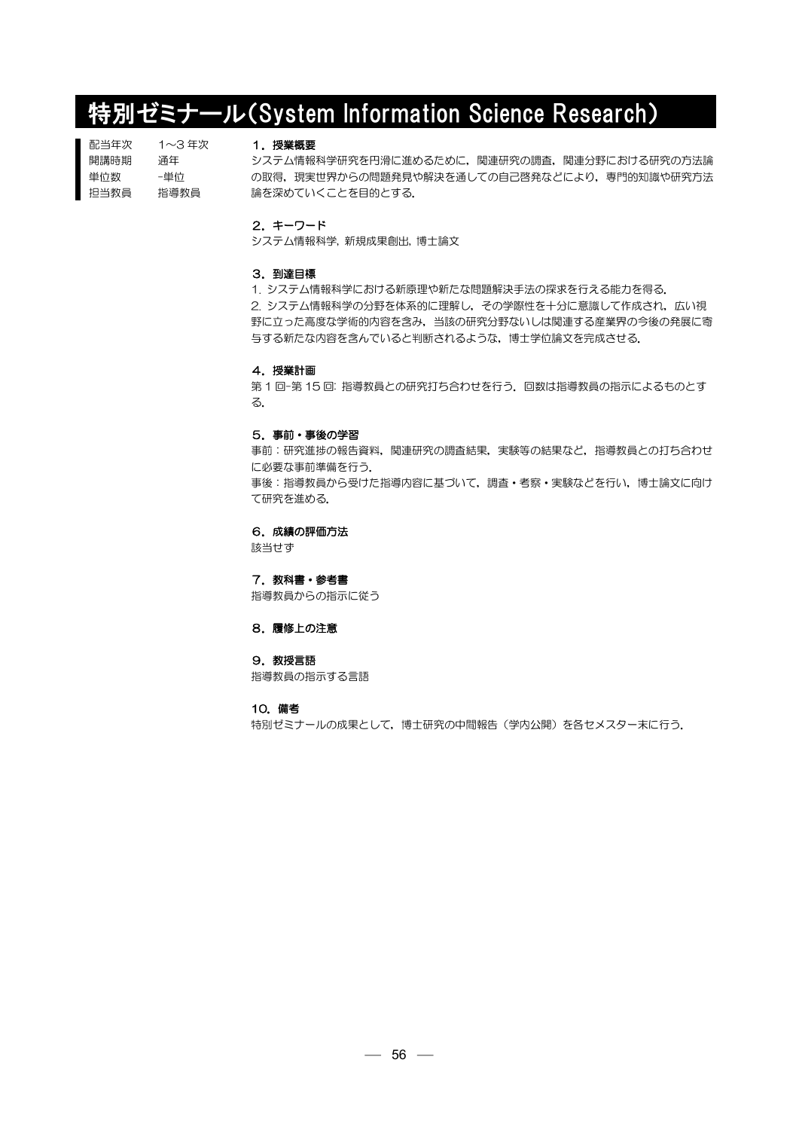# 特別ゼミナール(System Information Science Research)

配当年次 開講時期 単位数 担当教員 1~3 年次 通年 -単位 指導教員

# 1.授業概要

システム情報科学研究を円滑に進めるために,関連研究の調査,関連分野における研究の方法論 の取得、現実世界からの問題発見や解決を通しての自己啓発などにより、専門的知識や研究方法 論を深めていくことを目的とする.

#### 2.キーワード

システム情報科学, 新規成果創出, 博士論文

#### 3.到達目標

1. システム情報科学における新原理や新たな問題解決手法の探求を行える能力を得る. 2. システム情報科学の分野を体系的に理解し,その学際性を十分に意識して作成され,広い視 野に立った高度な学術的内容を含み,当該の研究分野ないしは関連する産業界の今後の発展に寄 与する新たな内容を含んでいると判断されるような,博士学位論文を完成させる.

#### 4.授業計画

第1回-第15回: 指導教員との研究打ち合わせを行う. 回数は指導教員の指示によるものとす る.

# 5.事前・事後の学習

事前:研究進捗の報告資料,関連研究の調査結果,実験等の結果など,指導教員との打ち合わせ に必要な事前準備を行う. 事後:指導教員から受けた指導内容に基づいて,調査・考察・実験などを行い,博士論文に向け て研究を進める.

#### 6.成績の評価方法

該当せず

7. 教科書・参考書

指導教員からの指示に従う

8.履修上の注意

#### 9.教授言語

指導教員の指示する言語

#### 10.備考

特別ゼミナールの成果として、博士研究の中間報告(学内公開)を各セメスター末に行う.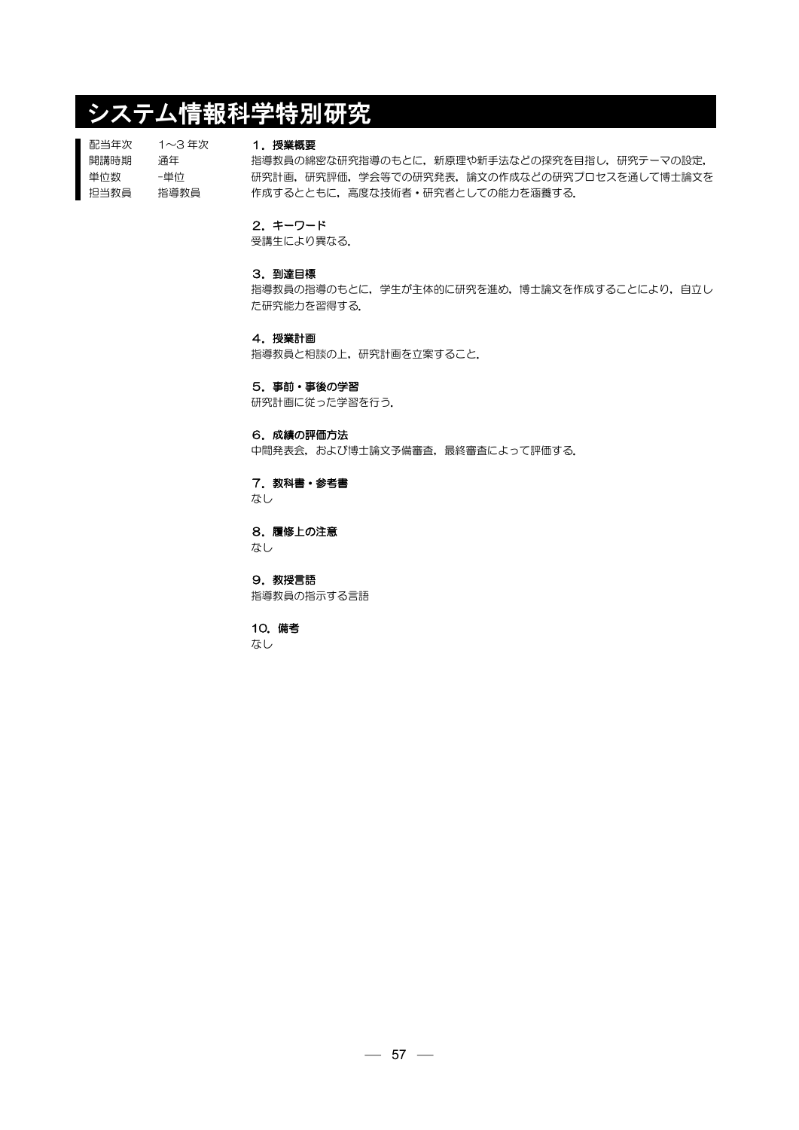# システム情報科学特別研究

配当年次 開講時期 単位数 担当教員 1~3 年次 通年 -単位 指導教員

# 1.授業概要

指導教員の綿密な研究指導のもとに,新原理や新手法などの探究を目指し,研究テーマの設定, 研究計画,研究評価,学会等での研究発表,論文の作成などの研究プロセスを通して博士論文を 作成するとともに,高度な技術者・研究者としての能力を涵養する.

### 2.キーワード

受講生により異なる.

# 3.到達目標

指導教員の指導のもとに,学生が主体的に研究を進め,博士論文を作成することにより,自立し た研究能力を習得する.

## 4.授業計画

指導教員と相談の上,研究計画を立案すること.

#### 5.事前・事後の学習

研究計画に従った学習を行う.

# 6.成績の評価方法

中間発表会,および博士論文予備審査,最終審査によって評価する.

# 7. 教科書・参考書

なし

### 8.履修上の注意

なし

9. 教授言語 指導教員の指示する言語

# 10.備考

なし